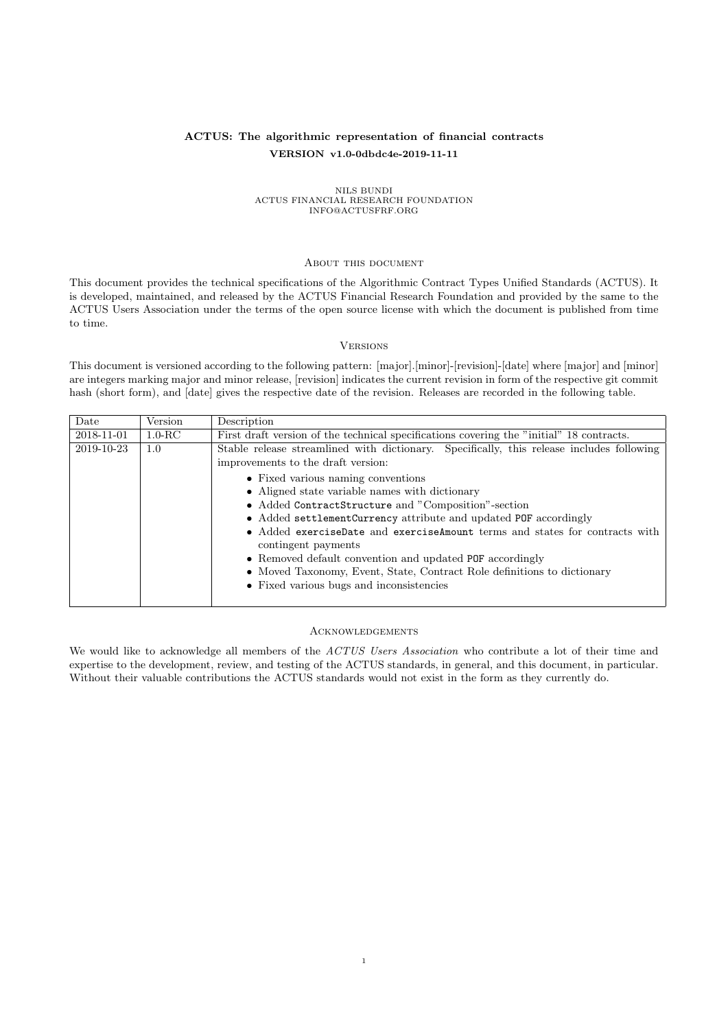#### ACTUS: The algorithmic representation of financial contracts VERSION v1.0-0dbdc4e-2019-11-11

# NILS BUNDI<br>ACTUS FINANCIAL RESEARCH FOUNDATION<br>INFO@ACTUSFRF.ORG

#### <span id="page-0-0"></span>About this document

This document provides the technical specifications of the Algorithmic Contract Types Unified Standards (ACTUS). It is developed, maintained, and released by the ACTUS Financial Research Foundation and provided by the same to the ACTUS Users Association under the terms of the open source license with which the document is published from time to time.

#### <span id="page-0-1"></span>**VERSIONS**

This document is versioned according to the following pattern: [major].[minor]-[revision]-[date] where [major] and [minor] are integers marking major and minor release, [revision] indicates the current revision in form of the respective git commit hash (short form), and [date] gives the respective date of the revision. Releases are recorded in the following table.

| Date       | Version    | Description                                                                                                                                                                                                                                                                                                                                                                                                                                                                                                                                                                                     |
|------------|------------|-------------------------------------------------------------------------------------------------------------------------------------------------------------------------------------------------------------------------------------------------------------------------------------------------------------------------------------------------------------------------------------------------------------------------------------------------------------------------------------------------------------------------------------------------------------------------------------------------|
| 2018-11-01 | $1.0 - RC$ | First draft version of the technical specifications covering the "initial" 18 contracts.                                                                                                                                                                                                                                                                                                                                                                                                                                                                                                        |
| 2019-10-23 | 1.0        | Stable release streamlined with dictionary. Specifically, this release includes following<br>improvements to the draft version:<br>• Fixed various naming conventions<br>• Aligned state variable names with dictionary<br>• Added ContractStructure and "Composition"-section<br>• Added settlementCurrency attribute and updated POF accordingly<br>• Added exerciseDate and exerciseAmount terms and states for contracts with<br>contingent payments<br>• Removed default convention and updated POF accordingly<br>• Moved Taxonomy, Event, State, Contract Role definitions to dictionary |
|            |            | • Fixed various bugs and inconsistencies                                                                                                                                                                                                                                                                                                                                                                                                                                                                                                                                                        |

#### <span id="page-0-2"></span>Acknowledgements

We would like to acknowledge all members of the ACTUS Users Association who contribute a lot of their time and expertise to the development, review, and testing of the ACTUS standards, in general, and this document, in particular. Without their valuable contributions the ACTUS standards would not exist in the form as they currently do.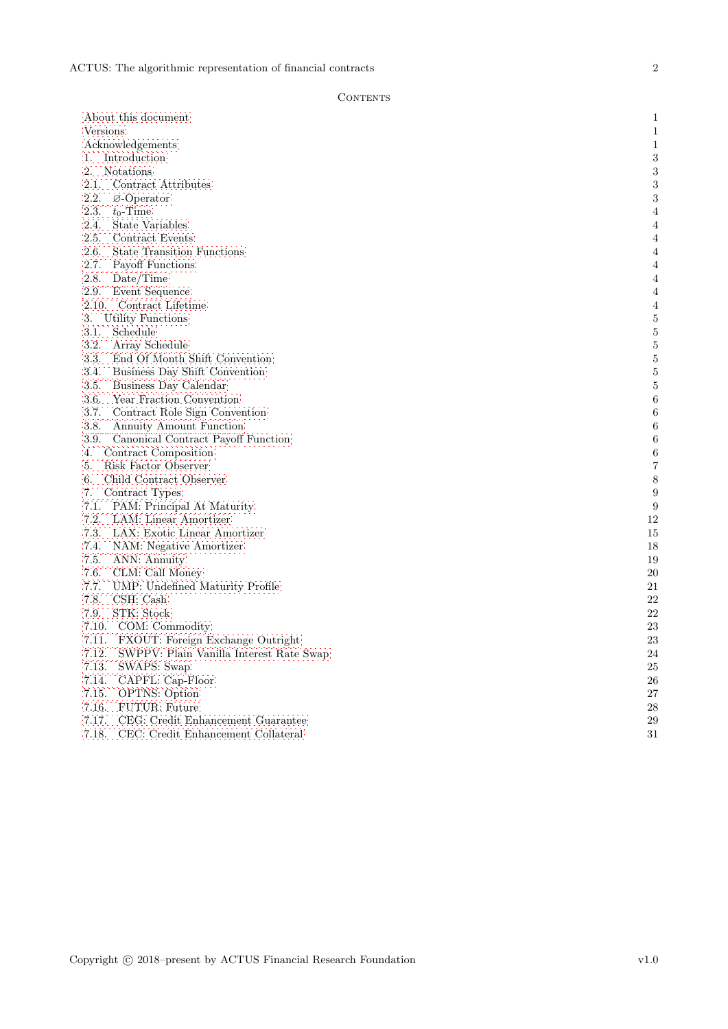#### $\mbox{CONTENTS}$

| About this document                                              | $\mathbf{1}$     |
|------------------------------------------------------------------|------------------|
| Versions                                                         | $\mathbf{1}$     |
| Acknowledgements                                                 | $\mathbf{1}$     |
| 1. Introduction                                                  | $\,3$            |
| 2.<br><b>Notations</b>                                           | $\boldsymbol{3}$ |
| $\label{eq:control_1} \text{Contract}~\text{Attributes}$<br>2.1. | $\sqrt{3}$       |
| 2.2.<br>$\varnothing$ -Operator                                  | $\,3$            |
| 2.3.<br>$t_0$ -Time                                              | $\overline{4}$   |
| 2.4.<br>State Variables                                          | $\overline{4}$   |
| 2.5.<br>Contract Events                                          | $\overline{4}$   |
| <b>State Transition Functions</b><br>2.6.                        | $\overline{4}$   |
| 2.7.<br>Payoff Functions                                         | $\overline{4}$   |
| 2.8.<br>Date/Time                                                | $\overline{4}$   |
| 2.9.<br>Event Sequence                                           | $\overline{4}$   |
| 2.10. Contract Lifetime                                          | 4                |
| 3.<br>Utility Functions                                          | $\bf 5$          |
| 3.1.<br>Schedule                                                 | $\bf 5$          |
| 3.2.<br>Array Schedule                                           | $\bf 5$          |
| 3.3.<br>End Of Month Shift Convention                            | $\bf 5$          |
| 3.4.<br>Business Day Shift Convention                            | $\bf 5$          |
| 3.5.<br>Business Day Calendar                                    | $\bf 5$          |
| 3.6.<br>Year Fraction Convention                                 | $\,6$            |
| 3.7.<br>Contract Role Sign Convention                            | $\,6$            |
| 3.8.<br>Annuity Amount Function                                  | 6                |
| 3.9.<br>Canonical Contract Payoff Function                       | $\,6$            |
| Contract Composition<br>4.                                       | $\,6$            |
| Risk Factor Observer<br>5.                                       | 7                |
| Child Contract Observer<br>6.                                    | $\,$ $\,$        |
| Contract Types<br>7.                                             | $\boldsymbol{9}$ |
| 7.1. PAM: Principal At Maturity                                  | 9                |
| 7.2.<br>LAM: Linear Amortizer                                    | 12               |
| 7.3.<br>LAX: Exotic Linear Amortizer                             | 15               |
| 7.4.<br>NAM: Negative Amortizer                                  | 18               |
| 7.5.<br>ANN: Annuity                                             | 19               |
| 7.6.<br>CLM: Call Money                                          | 20               |
| 7.7.<br>UMP: Undefined Maturity Profile                          | 21               |
| 7.8.<br>CSH: Cash                                                | 22               |
| STK: Stock<br>7.9.                                               | 22               |
| 7.10. COM: Commodity                                             | 23               |
| 7.11.<br>FXOUT: Foreign Exchange Outright                        | 23               |
| 7.12. SWPPV: Plain Vanilla Interest Rate Swap                    | 24               |
| 7.13.<br>SWAPS: Swap                                             | 25               |
| 7.14.<br>CAPFL: Cap-Floor                                        | 26               |
| 7.15.<br><b>OPTNS:</b> Option                                    | 27               |
| 7.16.<br>FUTUR: Future                                           | 28               |
| 7.17.<br>CEG: Credit Enhancement Guarantee                       | 29               |
| 7.18.<br>CEC: Credit Enhancement Collateral                      | 31               |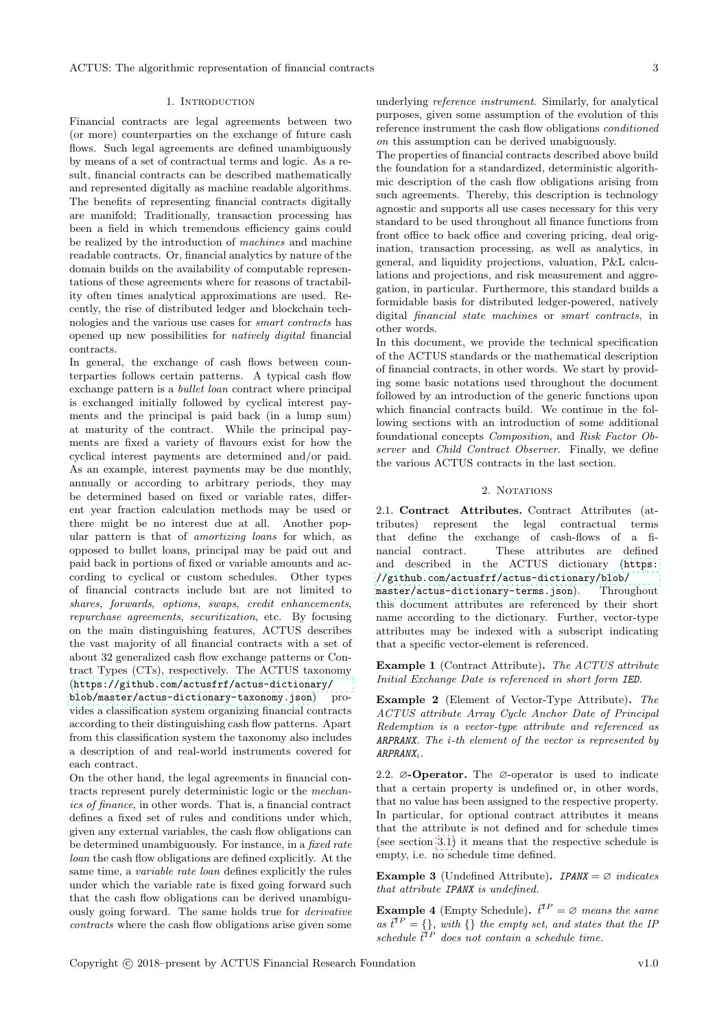#### 1. Introduction

<span id="page-2-0"></span>Financial contracts are legal agreements between two (or more) counterparties on the exchange of future cash flows. Such legal agreements are defined unambiguously by means of a set of contractual terms and logic. As a result, financial contracts can be described mathematically and represented digitally as machine readable algorithms. The benefits of representing financial contracts digitally are manifold; Traditionally, transaction processing has been a field in which tremendous efficiency gains could be realized by the introduction of machines and machine readable contracts. Or, financial analytics by nature of the domain builds on the availability of computable representations of these agreements where for reasons of tractability often times analytical approximations are used. Recently, the rise of distributed ledger and blockchain technologies and the various use cases for smart contracts has opened up new possibilities for natively digital financial contracts.

In general, the exchange of cash flows between counterparties follows certain patterns. A typical cash flow exchange pattern is a bullet loan contract where principal is exchanged initially followed by cyclical interest payments and the principal is paid back (in a lump sum) at maturity of the contract. While the principal payments are fixed a variety of flavours exist for how the cyclical interest payments are determined and/or paid. As an example, interest payments may be due monthly, annually or according to arbitrary periods, they may be determined based on fixed or variable rates, different year fraction calculation methods may be used or there might be no interest due at all. Another popular pattern is that of amortizing loans for which, as opposed to bullet loans, principal may be paid out and paid back in portions of fixed or variable amounts and according to cyclical or custom schedules. Other types of financial contracts include but are not limited to shares, forwards, options, swaps, credit enhancements, repurchase agreements, securitization, etc. By focusing on the main distinguishing features, ACTUS describes the vast majority of all financial contracts with a set of about 32 generalized cash flow exchange patterns or Contract Types (CTs), respectively. The ACTUS taxonomy ([https://github.com/actusfrf/actus-dictionary/](https://github.com/actusfrf/actus-dictionary/blob/master/actus-dictionary-taxonomy.json)

[blob/master/actus-dictionary-taxonomy.json](https://github.com/actusfrf/actus-dictionary/blob/master/actus-dictionary-taxonomy.json)) provides a classification system organizing financial contracts according to their distinguishing cash flow patterns. Apart from this classification system the taxonomy also includes a description of and real-world instruments covered for each contract.

On the other hand, the legal agreements in financial contracts represent purely deterministic logic or the mechanics of finance, in other words. That is, a financial contract defines a fixed set of rules and conditions under which, given any external variables, the cash flow obligations can be determined unambiguously. For instance, in a fixed rate loan the cash flow obligations are defined explicitly. At the same time, a variable rate loan defines explicitly the rules under which the variable rate is fixed going forward such that the cash flow obligations can be derived unambiguously going forward. The same holds true for derivative contracts where the cash flow obligations arise given some underlying reference instrument. Similarly, for analytical purposes, given some assumption of the evolution of this reference instrument the cash flow obligations conditioned on this assumption can be derived unabiguously.

The properties of financial contracts described above build the foundation for a standardized, deterministic algorithmic description of the cash flow obligations arising from such agreements. Thereby, this description is technology agnostic and supports all use cases necessary for this very standard to be used throughout all finance functions from front office to back office and covering pricing, deal origination, transaction processing, as well as analytics, in general, and liquidity projections, valuation, P&L calculations and projections, and risk measurement and aggregation, in particular. Furthermore, this standard builds a formidable basis for distributed ledger-powered, natively digital financial state machines or smart contracts, in other words.

In this document, we provide the technical specification of the ACTUS standards or the mathematical description of financial contracts, in other words. We start by providing some basic notations used throughout the document followed by an introduction of the generic functions upon which financial contracts build. We continue in the following sections with an introduction of some additional foundational concepts Composition, and Risk Factor Observer and Child Contract Observer. Finally, we define the various ACTUS contracts in the last section.

#### 2. NOTATIONS

<span id="page-2-2"></span><span id="page-2-1"></span>2.1. Contract Attributes. Contract Attributes (attributes) represent the legal contractual terms that define the exchange of cash-flows of a financial contract. These attributes are defined and described in the ACTUS dictionary ([https:](https://github.com/actusfrf/actus-dictionary/blob/master/actus-dictionary-terms.json) [//github.com/actusfrf/actus-dictionary/blob/](https://github.com/actusfrf/actus-dictionary/blob/master/actus-dictionary-terms.json) [master/actus-dictionary-terms.json](https://github.com/actusfrf/actus-dictionary/blob/master/actus-dictionary-terms.json)). Throughout this document attributes are referenced by their short name according to the dictionary. Further, vector-type attributes may be indexed with a subscript indicating that a specific vector-element is referenced.

Example 1 (Contract Attribute). The ACTUS attribute Initial Exchange Date is referenced in short form IED.

Example 2 (Element of Vector-Type Attribute). The ACTUS attribute Array Cycle Anchor Date of Principal Redemption is a vector-type attribute and referenced as ARPRANX. The i-th element of the vector is represented by ARPRANXi.

<span id="page-2-3"></span>2.2. ∅-Operator. The ∅-operator is used to indicate that a certain property is undefined or, in other words, that no value has been assigned to the respective property. In particular, for optional contract attributes it means that the attribute is not defined and for schedule times (see section [3.1\)](#page-4-1) it means that the respective schedule is empty, i.e. no schedule time defined.

Example 3 (Undefined Attribute).  $IPANK = \emptyset$  indicates that attribute IPANX is undefined.

**Example 4** (Empty Schedule).  $\vec{t}^{TP} = \emptyset$  means the same as  $\vec{t}^{TP} = \{\},\$  with  $\{\}$  the empty set, and states that the IP schedule  $\vec{t}^{TP}$  does not contain a schedule time.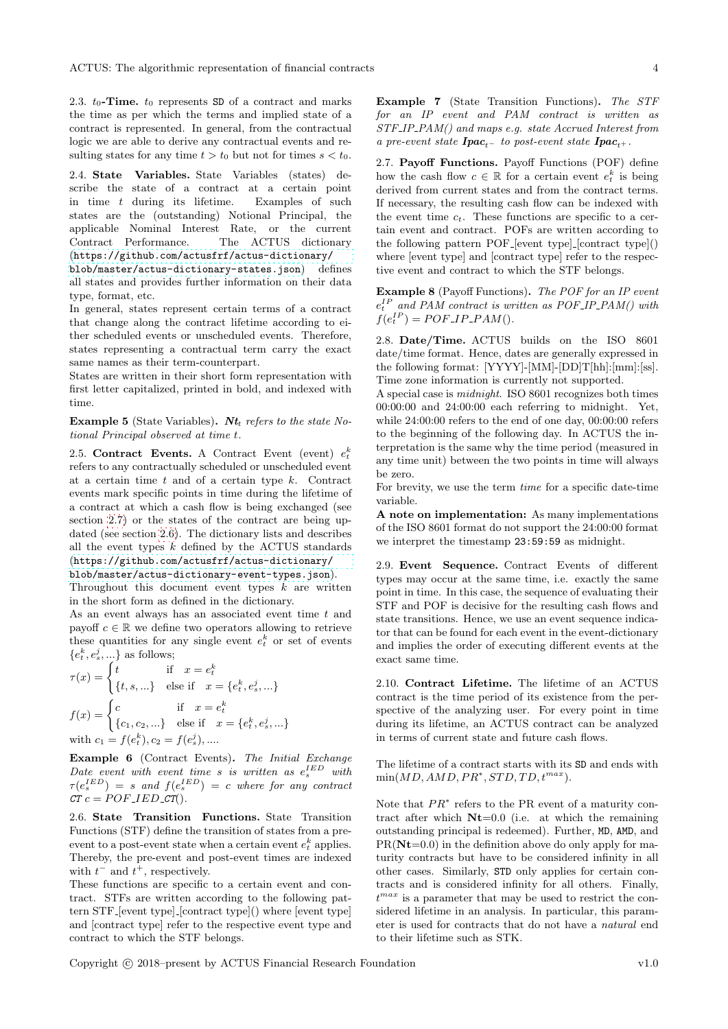<span id="page-3-0"></span>2.3.  $t_0$ -Time.  $t_0$  represents SD of a contract and marks the time as per which the terms and implied state of a contract is represented. In general, from the contractual logic we are able to derive any contractual events and resulting states for any time  $t > t_0$  but not for times  $s < t_0$ .

<span id="page-3-1"></span>2.4. State Variables. State Variables (states) describe the state of a contract at a certain point in time t during its lifetime. Examples of such states are the (outstanding) Notional Principal, the applicable Nominal Interest Rate, or the current Contract Performance. The ACTUS dictionary ([https://github.com/actusfrf/actus-dictionary/](https://github.com/actusfrf/actus-dictionary/blob/master/actus-dictionary-states.json)

[blob/master/actus-dictionary-states.json](https://github.com/actusfrf/actus-dictionary/blob/master/actus-dictionary-states.json)) defines all states and provides further information on their data type, format, etc.

In general, states represent certain terms of a contract that change along the contract lifetime according to either scheduled events or unscheduled events. Therefore, states representing a contractual term carry the exact same names as their term-counterpart.

States are written in their short form representation with first letter capitalized, printed in bold, and indexed with time.

Example 5 (State Variables). Nt<sub>t</sub> refers to the state Notional Principal observed at time t.

<span id="page-3-2"></span>2.5. Contract Events. A Contract Event (event)  $e_t^k$ refers to any contractually scheduled or unscheduled event at a certain time  $t$  and of a certain type  $k$ . Contract events mark specific points in time during the lifetime of a contract at which a cash flow is being exchanged (see section [2.7\)](#page-3-4) or the states of the contract are being updated (see section [2.6\)](#page-3-3). The dictionary lists and describes all the event types  $k$  defined by the ACTUS standards ([https://github.com/actusfrf/actus-dictionary/](https://github.com/actusfrf/actus-dictionary/blob/master/actus-dictionary-event-types.json)

[blob/master/actus-dictionary-event-types.json](https://github.com/actusfrf/actus-dictionary/blob/master/actus-dictionary-event-types.json)). Throughout this document event types  $k$  are written in the short form as defined in the dictionary.

As an event always has an associated event time t and payoff  $c \in \mathbb{R}$  we define two operators allowing to retrieve these quantities for any single event  $e_t^k$  or set of events  $\{e_t^k, e_s^j, ...\}$  as follows;

$$
\tau(x) = \begin{cases} t & \text{if } x = e_t^k \\ \{t, s, \ldots\} & \text{else if } x = \{e_t^k, e_s^j, \ldots\} \end{cases}
$$

$$
f(x) = \begin{cases} c & \text{if } x = e_t^k \\ \{c_1, c_2, \ldots\} & \text{else if } x = \{e_t^k, e_s^j, \ldots\} \end{cases}
$$
with  $c_1 = f(e_t^k), c_2 = f(e_s^j), \ldots$ 

Example 6 (Contract Events). The Initial Exchange Date event with event time  $s$  is written as  $e_s^{IED}$  with  $\tau(e_s^{IED}) = s$  and  $f(e_s^{IED}) = c$  where for any contract  $CT c = POF_{I}ED_{T}$ .

<span id="page-3-3"></span>2.6. State Transition Functions. State Transition Functions (STF) define the transition of states from a preevent to a post-event state when a certain event  $e_t^k$  applies. Thereby, the pre-event and post-event times are indexed with  $t^-$  and  $t^+$ , respectively.

These functions are specific to a certain event and contract. STFs are written according to the following pattern STF [event type] [contract type]() where [event type] and [contract type] refer to the respective event type and contract to which the STF belongs.

Example 7 (State Transition Functions). The STF for an IP event and PAM contract is written as STF IP PAM() and maps e.g. state Accrued Interest from a pre-event state  $\boldsymbol{I} \boldsymbol{p} \boldsymbol{a} \boldsymbol{c}_{t-1}$  to post-event state  $\boldsymbol{I} \boldsymbol{p} \boldsymbol{a} \boldsymbol{c}_{t+1}$ .

<span id="page-3-4"></span>2.7. Payoff Functions. Payoff Functions (POF) define how the cash flow  $c \in \mathbb{R}$  for a certain event  $e_t^k$  is being derived from current states and from the contract terms. If necessary, the resulting cash flow can be indexed with the event time  $c_t$ . These functions are specific to a certain event and contract. POFs are written according to the following pattern POF [event type] [contract type]() where [event type] and [contract type] refer to the respective event and contract to which the STF belongs.

Example 8 (Payoff Functions). The POF for an IP event  $e_t^{IP}$  and PAM contract is written as POF\_IP\_PAM() with  $f(e_t^{IP}) = POF\_IP\_PAM()$ .

<span id="page-3-5"></span>2.8. Date/Time. ACTUS builds on the ISO 8601 date/time format. Hence, dates are generally expressed in the following format: [YYYY]-[MM]-[DD]T[hh]:[mm]:[ss]. Time zone information is currently not supported.

A special case is midnight. ISO 8601 recognizes both times 00:00:00 and 24:00:00 each referring to midnight. Yet, while 24:00:00 refers to the end of one day, 00:00:00 refers to the beginning of the following day. In ACTUS the interpretation is the same why the time period (measured in any time unit) between the two points in time will always be zero.

For brevity, we use the term time for a specific date-time variable.

A note on implementation: As many implementations of the ISO 8601 format do not support the 24:00:00 format we interpret the timestamp 23:59:59 as midnight.

<span id="page-3-6"></span>2.9. Event Sequence. Contract Events of different types may occur at the same time, i.e. exactly the same point in time. In this case, the sequence of evaluating their STF and POF is decisive for the resulting cash flows and state transitions. Hence, we use an event sequence indicator that can be found for each event in the event-dictionary and implies the order of executing different events at the exact same time.

<span id="page-3-7"></span>2.10. Contract Lifetime. The lifetime of an ACTUS contract is the time period of its existence from the perspective of the analyzing user. For every point in time during its lifetime, an ACTUS contract can be analyzed in terms of current state and future cash flows.

The lifetime of a contract starts with its SD and ends with  $min(MD, AMD, PR^*,STD, TD, t^{max}).$ 

Note that  $PR^*$  refers to the PR event of a maturity contract after which  $Nt=0.0$  (i.e. at which the remaining outstanding principal is redeemed). Further, MD, AMD, and  $PR(Nt=0.0)$  in the definition above do only apply for maturity contracts but have to be considered infinity in all other cases. Similarly, STD only applies for certain contracts and is considered infinity for all others. Finally,  $t^{max}$  is a parameter that may be used to restrict the considered lifetime in an analysis. In particular, this parameter is used for contracts that do not have a natural end to their lifetime such as STK.

Copyright c 2018–present by ACTUS Financial Research Foundation v1.0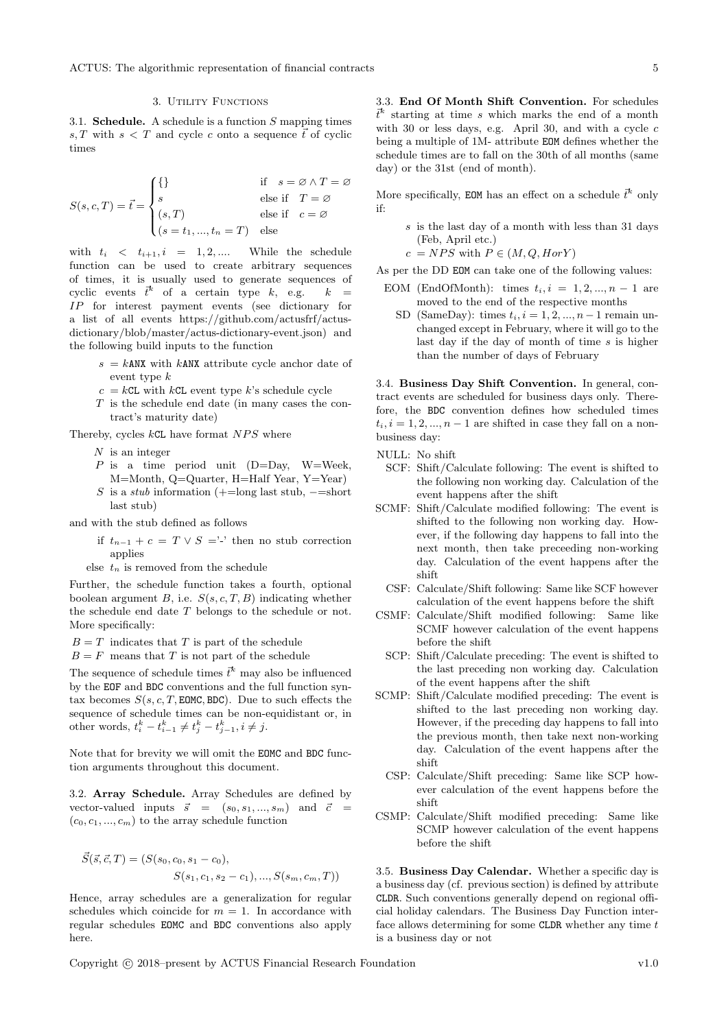#### 3. UTILITY FUNCTIONS

<span id="page-4-1"></span><span id="page-4-0"></span>3.1. **Schedule.** A schedule is a function  $S$  mapping times s, T with  $s < T$  and cycle c onto a sequence  $\vec{t}$  of cyclic times

$$
S(s, c, T) = \vec{t} = \begin{cases} \{\} & \text{if } s = \emptyset \land T = \emptyset \\ s & \text{else if } T = \emptyset \\ (s, T) & \text{else if } c = \emptyset \\ (s = t_1, ..., t_n = T) & \text{else} \end{cases}
$$

with  $t_i \leq t_{i+1}, i = 1, 2, \dots$  While the schedule function can be used to create arbitrary sequences of times, it is usually used to generate sequences of cyclic events  $\vec{t}^k$  of a certain type k, e.g.  $k =$ IP for interest payment events (see dictionary for a list of all events https://github.com/actusfrf/actusdictionary/blob/master/actus-dictionary-event.json) and the following build inputs to the function

- $s = k$ ANX with kANX attribute cycle anchor date of event type k
- $c = kCL$  with  $kCL$  event type k's schedule cycle
- T is the schedule end date (in many cases the contract's maturity date)

Thereby, cycles  $kCL$  have format  $NPS$  where

- $N$  is an integer
- $P$  is a time period unit (D=Day, W=Week, M=Month, Q=Quarter, H=Half Year, Y=Year)
- S is a *stub* information  $(+)$ =long last stub,  $-$ =short last stub)

and with the stub defined as follows

- if  $t_{n-1} + c = T \vee S = '$  then no stub correction applies
- else  $t_n$  is removed from the schedule

Further, the schedule function takes a fourth, optional boolean argument  $B$ , i.e.  $S(s, c, T, B)$  indicating whether the schedule end date T belongs to the schedule or not. More specifically:

 $B = T$  indicates that T is part of the schedule

 $B = F$  means that T is not part of the schedule

The sequence of schedule times  $\vec{t}^k$  may also be influenced by the EOF and BDC conventions and the full function syntax becomes  $S(s, c, T, \text{EDMC}, \text{BDC})$ . Due to such effects the sequence of schedule times can be non-equidistant or, in other words,  $t_i^k - t_{i-1}^k \neq t_j^k - t_{j-1}^k, i \neq j$ .

Note that for brevity we will omit the EOMC and BDC function arguments throughout this document.

<span id="page-4-2"></span>3.2. Array Schedule. Array Schedules are defined by vector-valued inputs  $\vec{s} = (s_0, s_1, ..., s_m)$  and  $\vec{c} =$  $(c_0, c_1, ..., c_m)$  to the array schedule function

$$
\vec{S}(\vec{s}, \vec{c}, T) = (S(s_0, c_0, s_1 - c_0), S(s_1, c_1, s_2 - c_1), ..., S(s_m, c_m, T))
$$

Hence, array schedules are a generalization for regular schedules which coincide for  $m = 1$ . In accordance with regular schedules EOMC and BDC conventions also apply here.

<span id="page-4-3"></span>3.3. End Of Month Shift Convention. For schedules  $\bar{t}^k$  starting at time s which marks the end of a month with 30 or less days, e.g. April 30, and with a cycle  $c$ being a multiple of 1M- attribute EOM defines whether the schedule times are to fall on the 30th of all months (same day) or the 31st (end of month).

More specifically, EOM has an effect on a schedule  $\vec{t}^k$  only if:

s is the last day of a month with less than 31 days (Feb, April etc.)

 $c = NPS$  with  $P \in (M, Q, HorY)$ 

As per the DD EOM can take one of the following values:

- EOM (EndOfMonth): times  $t_i$ ,  $i = 1, 2, ..., n 1$  are moved to the end of the respective months
	- SD (SameDay): times  $t_i$ ,  $i = 1, 2, ..., n-1$  remain unchanged except in February, where it will go to the last day if the day of month of time  $s$  is higher than the number of days of February

<span id="page-4-4"></span>3.4. Business Day Shift Convention. In general, contract events are scheduled for business days only. Therefore, the BDC convention defines how scheduled times  $t_i, i = 1, 2, ..., n-1$  are shifted in case they fall on a nonbusiness day:

NULL: No shift

- SCF: Shift/Calculate following: The event is shifted to the following non working day. Calculation of the event happens after the shift
- SCMF: Shift/Calculate modified following: The event is shifted to the following non working day. However, if the following day happens to fall into the next month, then take preceeding non-working day. Calculation of the event happens after the shift
- CSF: Calculate/Shift following: Same like SCF however calculation of the event happens before the shift
- CSMF: Calculate/Shift modified following: Same like SCMF however calculation of the event happens before the shift
- SCP: Shift/Calculate preceding: The event is shifted to the last preceding non working day. Calculation of the event happens after the shift
- SCMP: Shift/Calculate modified preceding: The event is shifted to the last preceding non working day. However, if the preceding day happens to fall into the previous month, then take next non-working day. Calculation of the event happens after the shift
	- CSP: Calculate/Shift preceding: Same like SCP however calculation of the event happens before the shift
- CSMP: Calculate/Shift modified preceding: Same like SCMP however calculation of the event happens before the shift

<span id="page-4-5"></span>3.5. Business Day Calendar. Whether a specific day is a business day (cf. previous section) is defined by attribute CLDR. Such conventions generally depend on regional official holiday calendars. The Business Day Function interface allows determining for some  $CLDR$  whether any time  $t$ is a business day or not

Copyright c 2018–present by ACTUS Financial Research Foundation v1.0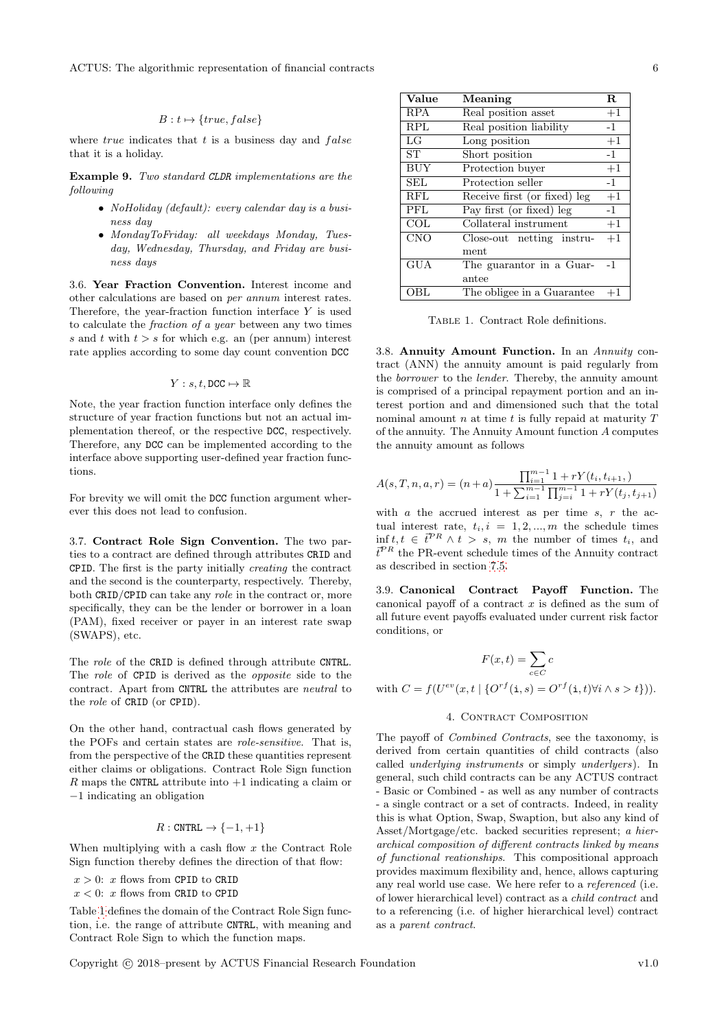#### $B : t \mapsto \{true, false\}$

where  $true$  indicates that  $t$  is a business day and  $false$ that it is a holiday.

Example 9. Two standard CLDR implementations are the following

- NoHoliday (default): every calendar day is a business day
- MondayToFriday: all weekdays Monday, Tuesday, Wednesday, Thursday, and Friday are business days

<span id="page-5-0"></span>3.6. Year Fraction Convention. Interest income and other calculations are based on per annum interest rates. Therefore, the year-fraction function interface  $Y$  is used to calculate the fraction of a year between any two times s and t with  $t > s$  for which e.g. an (per annum) interest rate applies according to some day count convention DCC

$$
Y: s, t, \texttt{DCC} \mapsto \mathbb{R}
$$

Note, the year fraction function interface only defines the structure of year fraction functions but not an actual implementation thereof, or the respective DCC, respectively. Therefore, any DCC can be implemented according to the interface above supporting user-defined year fraction functions.

For brevity we will omit the DCC function argument wherever this does not lead to confusion.

<span id="page-5-1"></span>3.7. Contract Role Sign Convention. The two parties to a contract are defined through attributes CRID and CPID. The first is the party initially creating the contract and the second is the counterparty, respectively. Thereby, both CRID/CPID can take any role in the contract or, more specifically, they can be the lender or borrower in a loan (PAM), fixed receiver or payer in an interest rate swap (SWAPS), etc.

The role of the CRID is defined through attribute CNTRL. The role of CPID is derived as the opposite side to the contract. Apart from CNTRL the attributes are neutral to the role of CRID (or CPID).

On the other hand, contractual cash flows generated by the POFs and certain states are role-sensitive. That is, from the perspective of the CRID these quantities represent either claims or obligations. Contract Role Sign function R maps the CNTRL attribute into  $+1$  indicating a claim or −1 indicating an obligation

$$
R: \text{CNTRL} \to \{-1,+1\}
$$

When multiplying with a cash flow  $x$  the Contract Role Sign function thereby defines the direction of that flow:

- $x > 0$ : x flows from CPID to CRID
- $x < 0$ : x flows from CRID to CPID

Table [1](#page-5-5) defines the domain of the Contract Role Sign function, i.e. the range of attribute CNTRL, with meaning and Contract Role Sign to which the function maps.

| Value      | Meaning                      |      |
|------------|------------------------------|------|
| RPA        | Real position asset          | $+1$ |
| <b>RPL</b> | Real position liability      | $-1$ |
| LG         | Long position                | $+1$ |
| ST         | Short position               | $-1$ |
| <b>BUY</b> | Protection buyer             | $+1$ |
| SEL        | Protection seller            | $-1$ |
| RFL        | Receive first (or fixed) leg | $+1$ |
| PFL        | Pay first (or fixed) leg     | $-1$ |
| COL        | Collateral instrument        | $+1$ |
| <b>CNO</b> | Close-out netting instru-    | $+1$ |
|            | ment                         |      |
| <b>GUA</b> | The guarantor in a Guar-     | -1   |
|            | antee                        |      |
| OBL        | The obligee in a Guarantee   | $+1$ |

<span id="page-5-5"></span>Table 1. Contract Role definitions.

<span id="page-5-2"></span>3.8. Annuity Amount Function. In an Annuity contract (ANN) the annuity amount is paid regularly from the borrower to the lender. Thereby, the annuity amount is comprised of a principal repayment portion and an interest portion and and dimensioned such that the total nominal amount  $n$  at time  $t$  is fully repaid at maturity  $T$ of the annuity. The Annuity Amount function A computes the annuity amount as follows

$$
A(s,T,n,a,r) = (n+a) \frac{\prod_{i=1}^{m-1} 1 + rY(t_i, t_{i+1},)}{1 + \sum_{i=1}^{m-1} \prod_{j=i}^{m-1} 1 + rY(t_j, t_{j+1})}
$$

with  $a$  the accrued interest as per time  $s, r$  the actual interest rate,  $t_i$ ,  $i = 1, 2, ..., m$  the schedule times  $\inf t, t \in \overline{t}^{PR} \wedge t > s$ , m the number of times  $t_i$ , and  $\vec{t}^{PR}$  the PR-event schedule times of the Annuity contract as described in section [7.5.](#page-18-0)

<span id="page-5-3"></span>3.9. Canonical Contract Payoff Function. The canonical payoff of a contract  $x$  is defined as the sum of all future event payoffs evaluated under current risk factor conditions, or

$$
F(x,t) = \sum_{c \in C} c
$$

with  $C = f(U^{ev}(x, t \mid \{O^{rf}(\mathbf{i}, s) = O^{rf}(\mathbf{i}, t) \forall i \land s > t\})).$ 

#### 4. CONTRACT COMPOSITION

<span id="page-5-4"></span>The payoff of Combined Contracts, see the taxonomy, is derived from certain quantities of child contracts (also called underlying instruments or simply underlyers). In general, such child contracts can be any ACTUS contract - Basic or Combined - as well as any number of contracts - a single contract or a set of contracts. Indeed, in reality this is what Option, Swap, Swaption, but also any kind of Asset/Mortgage/etc. backed securities represent; a hierarchical composition of different contracts linked by means of functional reationships. This compositional approach provides maximum flexibility and, hence, allows capturing any real world use case. We here refer to a referenced (i.e. of lower hierarchical level) contract as a child contract and to a referencing (i.e. of higher hierarchical level) contract as a parent contract.

Copyright c 2018–present by ACTUS Financial Research Foundation v1.0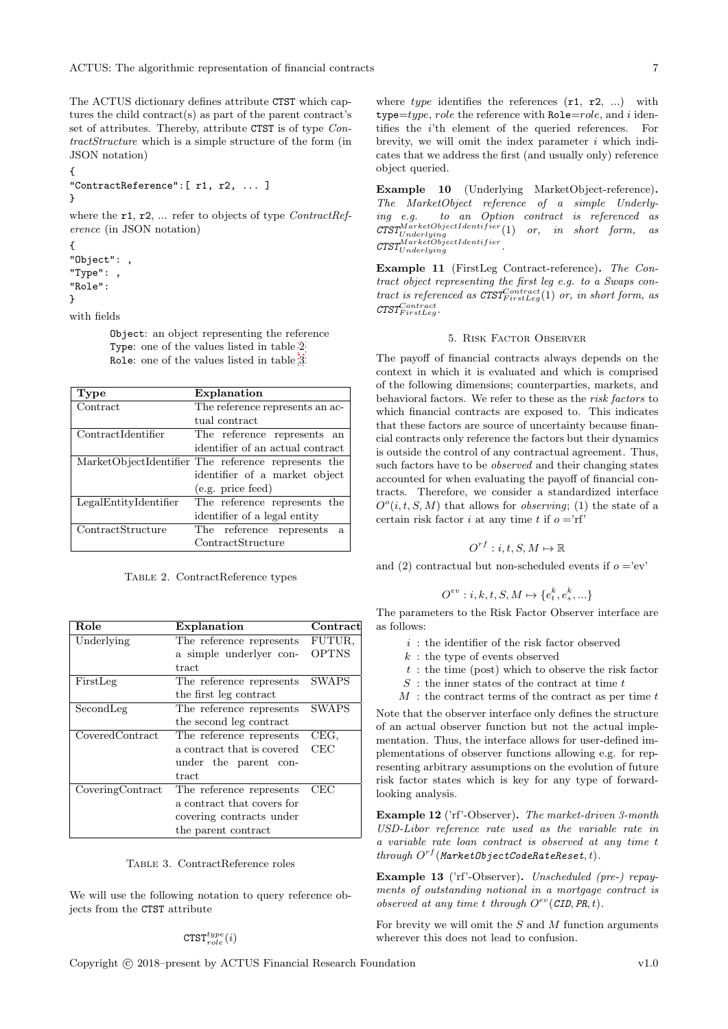The ACTUS dictionary defines attribute CTST which captures the child contract(s) as part of the parent contract's set of attributes. Thereby, attribute CTST is of type ContractStructure which is a simple structure of the form (in JSON notation)

```
{
"ContractReference":[ r1, r2, ... ]
}
```
where the  $r1$ ,  $r2$ , ... refer to objects of type *ContractRef*erence (in JSON notation)

```
{
"Object": ,
"Type": ,
"Role":
}
```
with fields

Object: an object representing the reference Type: one of the values listed in table [2](#page-6-1) Role: one of the values listed in table [3](#page-6-2)

| Type                  | Explanation                                         |
|-----------------------|-----------------------------------------------------|
| Contract              | The reference represents an ac-                     |
|                       | tual contract                                       |
| ContractIdentifier    | The reference represents an                         |
|                       | identifier of an actual contract                    |
|                       | MarketObjectIdentifier The reference represents the |
|                       | identifier of a market object                       |
|                       | (e.g. price feed)                                   |
| LegalEntityIdentifier | The reference represents the                        |
|                       | identifier of a legal entity                        |
| ContractStructure     | The reference represents a                          |
|                       | ContractStructure                                   |

<span id="page-6-1"></span>Table 2. ContractReference types

| Role             | Explanation                | $\rm {Contract}$ |
|------------------|----------------------------|------------------|
| Underlying       | The reference represents   | FUTUR.           |
|                  | a simple underlyer con-    | <b>OPTNS</b>     |
|                  | tract                      |                  |
| FirstLeg         | The reference represents   | SWAPS            |
|                  | the first leg contract     |                  |
| SecondLeg        | The reference represents   | <b>SWAPS</b>     |
|                  | the second leg contract    |                  |
| CoveredContract  | The reference represents   | CEG,             |
|                  | a contract that is covered | CEC              |
|                  | under the parent con-      |                  |
|                  | tract                      |                  |
| CoveringContract | The reference represents   | CEC              |
|                  | a contract that covers for |                  |
|                  | covering contracts under   |                  |
|                  | the parent contract        |                  |

#### <span id="page-6-2"></span>Table 3. ContractReference roles

We will use the following notation to query reference objects from the CTST attribute

$$
{\rm CTST}_{role}^{type}(i)
$$

where type identifies the references  $(r1, r2, ...)$  with type= $type, role$  the reference with Role= $role$ , and i identifies the i'th element of the queried references. For brevity, we will omit the index parameter  $i$  which indicates that we address the first (and usually only) reference object queried.

Example 10 (Underlying MarketObject-reference). The MarketObject reference of a simple Underlying e.g. to an Option contract is referenced as  $\text{CTST}_{Underlying}^{MarketObjectIdentifier}(1)$  or, in short form, as  $\textit{CTST}^{MarketObjectIdentifier}_{Underlying}$ .

Example 11 (FirstLeg Contract-reference). The Contract object representing the first leg e.g. to a Swaps contract is referenced as  $CTST_{FirstLeg}^{Contract}(1)$  or, in short form, as  $\textit{CTST}_{FirstLeg}^{Contract}.$ 

#### 5. Risk Factor Observer

<span id="page-6-0"></span>The payoff of financial contracts always depends on the context in which it is evaluated and which is comprised of the following dimensions; counterparties, markets, and behavioral factors. We refer to these as the risk factors to which financial contracts are exposed to. This indicates that these factors are source of uncertainty because financial contracts only reference the factors but their dynamics is outside the control of any contractual agreement. Thus, such factors have to be observed and their changing states accounted for when evaluating the payoff of financial contracts. Therefore, we consider a standardized interface  $O<sup>o</sup>(i, t, S, M)$  that allows for *observing*; (1) the state of a certain risk factor *i* at any time *t* if  $o = rf'$ 

$$
O^{rf}: i, t, S, M \mapsto \mathbb{R}
$$

and (2) contractual but non-scheduled events if  $o = 'ev'$ 

$$
O^{ev}: i, k, t, S, M \mapsto \{e_t^k, e_s^k, \ldots\}
$$

The parameters to the Risk Factor Observer interface are as follows:

- $i$ : the identifier of the risk factor observed
- $k$ : the type of events observed
- $t :$  the time (post) which to observe the risk factor
- $S$ : the inner states of the contract at time t
- $M$ : the contract terms of the contract as per time  $t$

Note that the observer interface only defines the structure of an actual observer function but not the actual implementation. Thus, the interface allows for user-defined implementations of observer functions allowing e.g. for representing arbitrary assumptions on the evolution of future risk factor states which is key for any type of forwardlooking analysis.

Example 12 ('rf'-Observer). The market-driven 3-month USD-Libor reference rate used as the variable rate in a variable rate loan contract is observed at any time t  $through\ O^{rf}({\tt MarketObjectCodeRateReset},t).$ 

Example 13 ('rf'-Observer). Unscheduled (pre-) repayments of outstanding notional in a mortgage contract is observed at any time t through  $O^{ev}(\text{CID}, \text{PR}, t)$ .

For brevity we will omit the  $S$  and  $M$  function arguments wherever this does not lead to confusion.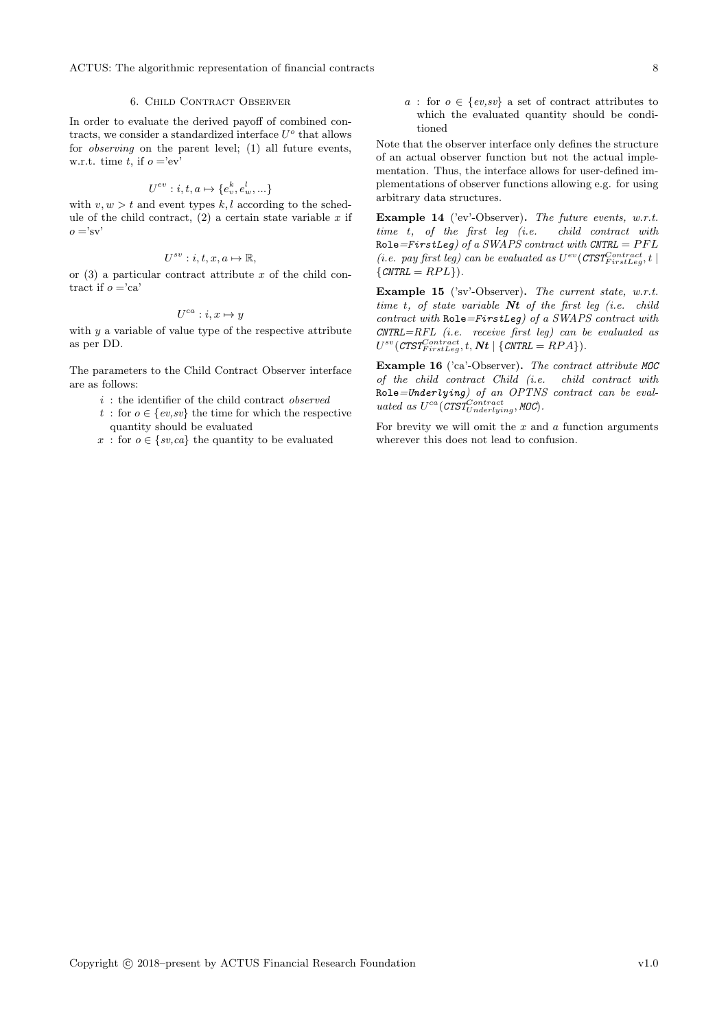ACTUS: The algorithmic representation of financial contracts 8

#### 6. Child Contract Observer

<span id="page-7-0"></span>In order to evaluate the derived payoff of combined contracts, we consider a standardized interface  $U^o$  that allows for observing on the parent level; (1) all future events, w.r.t. time t, if  $o = 'ev'$ 

$$
U^{ev}: i, t, a \mapsto \{e_v^k, e_w^l, \ldots\}
$$

with  $v, w > t$  and event types k, l according to the schedule of the child contract,  $(2)$  a certain state variable x if  $\alpha =$ 'sv'

$$
U^{sv}: i, t, x, a \mapsto \mathbb{R},
$$

or  $(3)$  a particular contract attribute x of the child contract if  $o = 'ca'$ 

$$
U^{ca}: i, x \mapsto y
$$

with  $y$  a variable of value type of the respective attribute as per DD.

The parameters to the Child Contract Observer interface are as follows:

- $i$ : the identifier of the child contract *observed*
- t: for  $o \in \{ev, sv\}$  the time for which the respective quantity should be evaluated
- x: for  $o \in \{sv, ca\}$  the quantity to be evaluated

a : for  $o \in \{ev, sv\}$  a set of contract attributes to which the evaluated quantity should be conditioned

Note that the observer interface only defines the structure of an actual observer function but not the actual implementation. Thus, the interface allows for user-defined implementations of observer functions allowing e.g. for using arbitrary data structures.

Example 14 ('ev'-Observer). The future events, w.r.t. time t, of the first leg (i.e. child contract with Role=FirstLeg) of a SWAPS contract with CNTRL =  $PFL$ (i.e. pay first leg) can be evaluated as  $U^{ev}(\text{CTST}_{FirstLeg}^{Contract}, t \mid$  $\{CNTRL = RPL\}$ .

Example 15 ('sv'-Observer). The current state, w.r.t. time t, of state variable  $Nt$  of the first leg (i.e. child contract with  $\text{Role} = \text{FirstLeg}$  of a SWAPS contract with  $C\text{NTRL} = \text{RFL}$  (i.e. receive first leg) can be evaluated as  $U^{sv}(\textit{CTST}^{Contract}_{FirstLeg}, t, \textit{\textbf{Nt}} \mid \{\textit{CNTRL} = \textit{RPA}\}).$ 

Example 16 ('ca'-Observer). The contract attribute MOC of the child contract Child (i.e. child contract with Role=Underlying) of an OPTNS contract can be evaluated as  $U^{ca}(C T S T_{Underlying}^{Contract}, MOC)$ .

For brevity we will omit the  $x$  and  $a$  function arguments wherever this does not lead to confusion.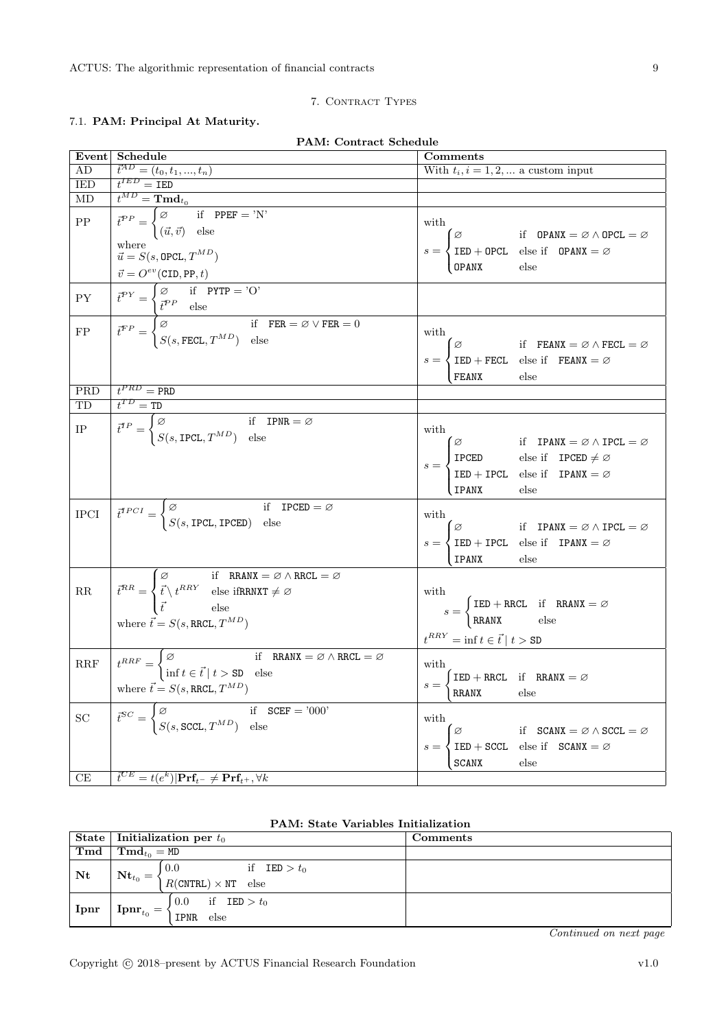### 7. CONTRACT TYPES

PAM: Contract Schedule

### <span id="page-8-1"></span><span id="page-8-0"></span>7.1. PAM: Principal At Maturity.

| Event                                                                                                                                                                                                                                                                                                   | <b>Schedule</b>                                                                                                                                                                                                                                                                                                                                                                                                    | Comments                                                                                                                                                                                                                                                                              |  |  |
|---------------------------------------------------------------------------------------------------------------------------------------------------------------------------------------------------------------------------------------------------------------------------------------------------------|--------------------------------------------------------------------------------------------------------------------------------------------------------------------------------------------------------------------------------------------------------------------------------------------------------------------------------------------------------------------------------------------------------------------|---------------------------------------------------------------------------------------------------------------------------------------------------------------------------------------------------------------------------------------------------------------------------------------|--|--|
| AD                                                                                                                                                                                                                                                                                                      | $\vec{t}^{AD} = (t_0, t_1, , t_n)$<br>$t^{IED} = \text{IED}$                                                                                                                                                                                                                                                                                                                                                       | With $t_i, i = 1, 2, $ a custom input                                                                                                                                                                                                                                                 |  |  |
| <b>IED</b>                                                                                                                                                                                                                                                                                              |                                                                                                                                                                                                                                                                                                                                                                                                                    |                                                                                                                                                                                                                                                                                       |  |  |
| MD                                                                                                                                                                                                                                                                                                      |                                                                                                                                                                                                                                                                                                                                                                                                                    |                                                                                                                                                                                                                                                                                       |  |  |
| ${\rm PP}$                                                                                                                                                                                                                                                                                              | $\begin{aligned} \overline{t^{MD}=\textbf{Tmd}_{t_0}}\\ \overline{t}^{PP} &= \begin{cases} \varnothing & \text{if} \quad \text{PPEF} = \text{'N'}\\ (\vec{u},\vec{v}) & \text{else} \end{cases} \end{aligned}$                                                                                                                                                                                                     | with                                                                                                                                                                                                                                                                                  |  |  |
|                                                                                                                                                                                                                                                                                                         | where<br>where $\vec{u} = S(s, \texttt{OPCL}, T^{MD})$                                                                                                                                                                                                                                                                                                                                                             |                                                                                                                                                                                                                                                                                       |  |  |
|                                                                                                                                                                                                                                                                                                         |                                                                                                                                                                                                                                                                                                                                                                                                                    | $s = \begin{cases} \varnothing & \text{if } \text{ OPANX} = \varnothing \land \text{OPCL} = \varnothing \\ \text{IED} + \text{OPCL} & \text{else if } \text{ OPANX} = \varnothing \\ \text{OPANX} & \text{else} \end{cases}$                                                          |  |  |
| ${\rm PY}$                                                                                                                                                                                                                                                                                              |                                                                                                                                                                                                                                                                                                                                                                                                                    |                                                                                                                                                                                                                                                                                       |  |  |
| $\overline{FP}$                                                                                                                                                                                                                                                                                         | $\label{eq:1} \begin{array}{ l l } \hline \vec{v} = O^{ev}(\text{CID}, \text{PP}, t) \\ \hline \vec{t}^{PY} = \begin{cases} \varnothing & \text{if} \quad \text{PTTP} = \text{'O'} \\ \vec{t}^{PP} & \text{else} \end{cases} \\ \hline \vec{t}^{FP} = \begin{cases} \varnothing & \text{if} \quad \text{FER} = \varnothing \lor \text{FER} = 0 \\ S(s, \text{FECL}, T^{MD}) & \text{else} \end{cases} \end{array}$ | with<br>$s = \begin{cases} \varnothing & \text{if} \quad \text{FEANX} = \varnothing \land \text{FECL} = \varnothing \\ \text{IED + FECL} & \text{else} \quad \text{FEANX} = \varnothing \\ \text{FEANX} & \text{else} \end{cases}$                                                    |  |  |
| PRD                                                                                                                                                                                                                                                                                                     | $t^{PRD}$ = PRD                                                                                                                                                                                                                                                                                                                                                                                                    |                                                                                                                                                                                                                                                                                       |  |  |
| TD                                                                                                                                                                                                                                                                                                      |                                                                                                                                                                                                                                                                                                                                                                                                                    |                                                                                                                                                                                                                                                                                       |  |  |
| $\begin{tabular}{ c c } \hline \quad \quad & \quad \quad & \quad \quad \\ \hline \quad \quad & \quad \quad & \quad \quad \\ \hline \quad \quad & \quad \quad & \quad \quad \\ \hline \quad \quad & \quad \quad & \quad \quad \\ \hline \quad \quad & \quad \quad & \quad \quad \\ \hline \end{tabular}$ | $\begin{array}{l} \overbrace{t^{TP} = \texttt{TD}}^{\texttt{TD}} \\ \overline{t^{TP}} = \begin{cases} \varnothing & \text{if } \texttt{IPNR} = \varnothing \\ S(s, \texttt{IPCL}, T^{MD}) & \text{else} \end{cases} \end{array}$                                                                                                                                                                                   | with<br>$s = \begin{cases} \varnothing & \text{if } \text{IPANX} = \varnothing \land \text{IPCL} = \varnothing \\ \text{IPCED} & \text{else if } \text{IPCED} \neq \varnothing \\ \text{IED} + \text{IPCL} & \text{else if } \text{IPANX} = \varnothing \end{cases}$<br>IPANX<br>else |  |  |
| $\rm IPCI$                                                                                                                                                                                                                                                                                              | $\label{eq:1} \left\vert \begin{array}{ll} \vec{t}^{TPCI}=\begin{cases} \varnothing \qquad & \text{if}\quad \text{IPCED}=\varnothing \\ S(s,\text{IPCL},\text{IPCED}) \quad \text{else} \end{cases} \end{array} \right.$                                                                                                                                                                                           | with<br>where $s = \begin{cases} \varnothing & \text{if } \text{IPANK} = \varnothing \land \text{IPCL} = \varnothing \\ \text{IED + IPCL} & \text{else if } \text{IPANK} = \varnothing \\ \text{IPANK} & \text{else} \end{cases}$                                                     |  |  |
| $\rm RR$                                                                                                                                                                                                                                                                                                | $\overline{t}^{RR} = \begin{cases} \varnothing & \text{if } \text{RRANX} = \varnothing \land \text{RRCL} = \varnothing \\ \overline{t} \land t^{RRY} & \text{else } \text{ifRRNXT} \neq \varnothing \\ \overline{t} & \text{else} \end{cases}$<br>where $\vec{t} = S(s, \text{RRCL}, T^{MD})$                                                                                                                      | with<br>$s = \begin{cases} \text{IED + RRCL} & \text{if} \quad \text{RRANX} = \varnothing \\ \text{RRANX} & \text{else} \end{cases}$<br>$t^{RRY} = \inf t \in \vec{t} \mid t > SD$                                                                                                    |  |  |
| $\operatorname{RRF}$                                                                                                                                                                                                                                                                                    | $t^{RRF} = \begin{cases} \varnothing & \text{if } \text{RRANX} = \varnothing \wedge \text{RRCL} = \varnothing \\ \inf t \in \vec{t} \mid t > \text{SD} & \text{else} \end{cases}$<br>where $\vec{t} = S(s, \text{RRCL}, T^{MD})$                                                                                                                                                                                   | with,<br>$s = \begin{cases} \text{IED + RRCL} & \text{if} \quad \text{RRANX} = \varnothing \\ \text{RRANX} & \text{else} \end{cases}$                                                                                                                                                 |  |  |
| SC                                                                                                                                                                                                                                                                                                      | $\overline{t}^{SC} = \begin{cases} \varnothing & \text{if } \text{SCEF} = \text{'000'}\\ S(s, \text{SCCL}, T^{MD}) & \text{else} \end{cases}$                                                                                                                                                                                                                                                                      | with<br>$s = \begin{cases} \varnothing & \text{if } \text{SCANX} = \varnothing \land \text{SCCL} = \varnothing \\ \text{IED} + \text{SCCL} & \text{else if } \text{SCANX} = \varnothing \\ \text{SCANX} & \text{else} \end{cases}$                                                    |  |  |

|  |  | <b>PAM: State Variables Initialization</b> |
|--|--|--------------------------------------------|
|  |  |                                            |

|      | State   Initialization per $t_0$                                                         | Comments |
|------|------------------------------------------------------------------------------------------|----------|
| Tmd  | $\mid \mathbf{Tmd}_{to} = \texttt{MD}$                                                   |          |
| Nt   | if $IED > t_0$<br>0.0<br>$Nt_{t_0} = \langle$<br>$R(\text{CNTRL}) \times \text{NT}$ else |          |
| Ipnr | if $IED > t_0$<br>0.0<br>${\bf Ipm}_{t_0}=$<br>IPNR else                                 |          |

Continued on next page

 $^{CE}=t(e^{k})|\mathbf{Pr}\mathbf{f}_{t^{-}}\neq\mathbf{Pr}\mathbf{f}_{t^{+}},\forall k$ 

 $CE$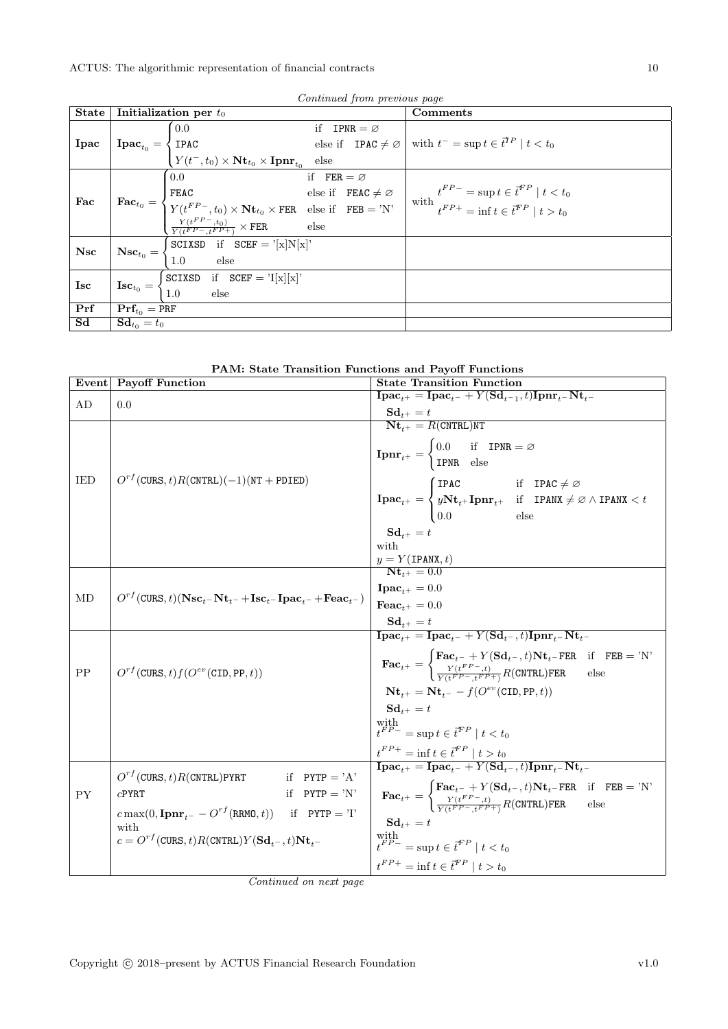|                          | Continued from previous page                                                                                                                                                                                                                                                                                                                                                                                                                                                       |                                                                                                                                               |                        |                       |          |
|--------------------------|------------------------------------------------------------------------------------------------------------------------------------------------------------------------------------------------------------------------------------------------------------------------------------------------------------------------------------------------------------------------------------------------------------------------------------------------------------------------------------|-----------------------------------------------------------------------------------------------------------------------------------------------|------------------------|-----------------------|----------|
| State                    |                                                                                                                                                                                                                                                                                                                                                                                                                                                                                    | Initialization per $t_0$                                                                                                                      |                        |                       | Comments |
|                          |                                                                                                                                                                                                                                                                                                                                                                                                                                                                                    | $\vert 0.0 \vert$                                                                                                                             |                        | if $IPNR = \emptyset$ |          |
|                          | $\begin{array}{ l l }\n\hline\n\end{array}\n\mathbf{I}\n\mathbf{p}\mathbf{a}\n\mathbf{c}_{t_0} = \begin{cases}\n0.0 & \text{if } \mathbf{I}\mathbf{p}\mathbf{a}\n\end{cases}\n\begin{array}{c}\n\text{else if } \mathbf{I}\mathbf{p}\mathbf{A}\mathbf{C} \neq \varnothing \\ \text{if } \mathbf{I}\mathbf{p}\mathbf{A}\mathbf{C} \neq \varnothing\n\end{array}\n\quad \text{with } t^- = \sup t \in \vec{t}^{TP} \mid t < t_0\n\end{array}$                                        |                                                                                                                                               |                        |                       |          |
|                          |                                                                                                                                                                                                                                                                                                                                                                                                                                                                                    | $\sim$ 0.0                                                                                                                                    | if $FER = \varnothing$ |                       |          |
|                          | $\boxed{\text{Fac}_{t_0} = \begin{cases} 0.0 & \text{if} \quad \text{FER} = \varnothing \\ \text{FEAC} & \text{else if} \quad \text{FEAC} \neq \varnothing \\ Y(t^{FP-}, t_0) \times \text{Nt}_{t_0} \times \text{FER} & \text{else if} \quad \text{FEB} = 'N' \\ \frac{Y(t^{FP-}, t_0)}{Y(t^{FP-}, t^{FP+})} \times \text{FER} & \text{else} \end{cases} \quad \text{with} \quad t^{FP-} = \sup t \in \vec{t}^{FP} \mid t > t_0 \\ \text{with} \quad t^{FP+} = \inf t \in \vec{t$ |                                                                                                                                               |                        |                       |          |
| $ $ Fac                  |                                                                                                                                                                                                                                                                                                                                                                                                                                                                                    |                                                                                                                                               |                        |                       |          |
|                          |                                                                                                                                                                                                                                                                                                                                                                                                                                                                                    |                                                                                                                                               |                        |                       |          |
| Nsc                      |                                                                                                                                                                                                                                                                                                                                                                                                                                                                                    | $\mathbf{Nsc}_{t_0} = \begin{cases} \texttt{SCIXSD} & \text{if } \texttt{SCEF} = \text{'[x]} \texttt{N[x]'} \\ 1.0 & \text{else} \end{cases}$ |                        |                       |          |
|                          |                                                                                                                                                                                                                                                                                                                                                                                                                                                                                    |                                                                                                                                               |                        |                       |          |
| $\operatorname{\bf Isc}$ |                                                                                                                                                                                                                                                                                                                                                                                                                                                                                    |                                                                                                                                               |                        |                       |          |
|                          |                                                                                                                                                                                                                                                                                                                                                                                                                                                                                    | $\textbf{Isc}_{t_0} = \begin{cases} \texttt{SCIXSD} & \text{if } \texttt{SCEF} = \text{'I[x][x]'}\\ 1.0 & \text{else} \end{cases}$            |                        |                       |          |
| Prf                      | $\mathbf{Prf}_{t_0} = \text{PRF}$                                                                                                                                                                                                                                                                                                                                                                                                                                                  |                                                                                                                                               |                        |                       |          |
| Sd                       | $\mathbf{Sd}_{t_0}=t_0$                                                                                                                                                                                                                                                                                                                                                                                                                                                            |                                                                                                                                               |                        |                       |          |

Continued from previous

| PAM: State Transition Functions and Payoff Functions |  |  |  |  |  |
|------------------------------------------------------|--|--|--|--|--|
|------------------------------------------------------|--|--|--|--|--|

|            | Event Payoff Function                                                                                    | <b>State Transition Function</b>                                                                                                                                                                                                                                                                                         |
|------------|----------------------------------------------------------------------------------------------------------|--------------------------------------------------------------------------------------------------------------------------------------------------------------------------------------------------------------------------------------------------------------------------------------------------------------------------|
| AD         | 0.0                                                                                                      | $\overline{\textbf{I}\textbf{p}\textbf{a}\textbf{c}_{t^{+}}}=\overline{\textbf{I}\textbf{p}\textbf{a}\textbf{c}_{t^{-}}}+Y(\textbf{S}\textbf{d}_{t^{-1}},t)\textbf{I}\textbf{p}\textbf{n}\textbf{r}_{t^{-}}\textbf{N}\textbf{t}_{t^{-}}$                                                                                 |
|            |                                                                                                          | $\label{eq:1} \begin{array}{l} \mathbf{S}\mathbf{d}_{t^+} = t\\ \mathbf{N}\mathbf{t}_{t^+} = R(\text{CNTRL})\text{NT} \end{array}$                                                                                                                                                                                       |
|            |                                                                                                          |                                                                                                                                                                                                                                                                                                                          |
|            |                                                                                                          | $\textbf{I}\textbf{p}\textbf{n}\textbf{r}_{t^+} = \begin{cases} 0.0 & \text{if} \quad \textbf{I}\textbf{P}\textbf{N}\textbf{R} = \varnothing \\ \textbf{I}\textbf{P}\textbf{N}\textbf{R} & \text{else} \end{cases}$                                                                                                      |
|            |                                                                                                          |                                                                                                                                                                                                                                                                                                                          |
| <b>IED</b> | $O^{rf}$ (CURS, t) $R$ (CNTRL)(-1)(NT + PDIED)                                                           |                                                                                                                                                                                                                                                                                                                          |
|            |                                                                                                          |                                                                                                                                                                                                                                                                                                                          |
|            |                                                                                                          | $\textbf{I}\textbf{p}\textbf{a}\textbf{c}_{t^+} = \begin{cases} \texttt{IPAC} & \text{if} \quad \texttt{IPAC} \neq \varnothing \\ y\textbf{N}\textbf{t}_{t^+}\textbf{I}\textbf{p}\textbf{n}\textbf{r}_{t^+} & \text{if} \quad \texttt{IPANX} \neq \varnothing \land \texttt{IPANX} < t \\ 0.0 & \text{else} \end{cases}$ |
|            |                                                                                                          | $Sd_{t+} = t$                                                                                                                                                                                                                                                                                                            |
|            |                                                                                                          | with                                                                                                                                                                                                                                                                                                                     |
|            |                                                                                                          | $\frac{y = Y(\text{IPANK}, t)}{\text{Nt}_{t+} = 0.0}$                                                                                                                                                                                                                                                                    |
|            |                                                                                                          |                                                                                                                                                                                                                                                                                                                          |
| MD         | $O^{rf}(\text{CURS}, t)(\text{Nsc}_{t-}\text{Nt}_{t-}+\text{Isc}_{t-}\text{Ipac}_{t-}+\text{Fear}_{t-})$ | $\textbf{I}\textbf{pac}_{t+} = 0.0$                                                                                                                                                                                                                                                                                      |
|            |                                                                                                          | $\textbf{F}\textbf{e}\textbf{a}\textbf{c}_{t^+} = 0.0$                                                                                                                                                                                                                                                                   |
|            |                                                                                                          | $\mathbf{Sd}_{t+} = t$                                                                                                                                                                                                                                                                                                   |
|            |                                                                                                          | $\overline{\textbf{I}\textbf{p}\textbf{a}\textbf{c}_{t+}} = \textbf{I}\textbf{p}\textbf{a}\textbf{c}_{t-} + Y(\textbf{S}\textbf{d}_{t-}, t)\textbf{I}\textbf{p}\textbf{n}\textbf{r}_{t-}\textbf{N}\textbf{t}_{t-}$                                                                                                       |
|            |                                                                                                          | $\textbf{Fac}_{t^+} = \begin{cases} \textbf{Fac}_{t^-} + Y(\textbf{Sd}_{t^-}, t) \textbf{Nt}_{t^-} \textbf{FER} & \text{if} \quad \textbf{FEB} = \text{'N'} \\ \frac{Y(t^{FP-}, t)}{Y(t^{FP-}, t^{FP+})} R(\textbf{CNTRL}) \textbf{FER} & \text{else} \end{cases}$                                                       |
| PP         | $O^{rf}$ (CURS, t) $f(O^{ev}(\text{CID}, \text{PP}, t))$                                                 |                                                                                                                                                                                                                                                                                                                          |
|            |                                                                                                          | $Nt_{++} = Nt_{+-} - f(O^{ev}(CID, PP, t))$                                                                                                                                                                                                                                                                              |
|            |                                                                                                          | $Sd_{t+} = t$                                                                                                                                                                                                                                                                                                            |
|            |                                                                                                          | $\label{eq:optimal} \begin{array}{l} \mbox{with}\\ t^{FP-}=\sup t\in \bar{t}^{FP}\mid t< t_0 \end{array}$                                                                                                                                                                                                                |
|            |                                                                                                          | $\boldsymbol{t}^{FP+} = \inf \boldsymbol{t} \in \boldsymbol{\bar{t}}^{FP} \mid t > t_0$                                                                                                                                                                                                                                  |
|            |                                                                                                          | $\overline{\textbf{I}\textbf{p}\textbf{a}\textbf{c}_{t^{+}}} = \overline{\textbf{I}\textbf{p}\textbf{a}\textbf{c}_{t^{-}}} + Y(\textbf{S}\overline{\textbf{d}_{t^{-}}}, t)\textbf{I}\textbf{p}\textbf{n}\textbf{r}_{t^{-}}\textbf{N}\textbf{t}_{t^{-}}}$                                                                 |
|            | $O^{rf}$ (CURS, t) R(CNTRL)PYRT<br>if $PYTP = 'A'$                                                       |                                                                                                                                                                                                                                                                                                                          |
| <b>PY</b>  | CPYRT if PYTP = 'N'<br>$c \max(0, {\bf Ipm}_{t^-} - O^{rf}({\tt RRM0}, t))$ if PYTP = 'I'                | $\textbf{Fac}_{t^+} = \begin{cases} \textbf{Fac}_{t^-} + Y(\textbf{Sd}_{t^-}, t) \textbf{Nt}_{t^-} \textbf{FER} & \text{if} \quad \textbf{FEB} = \text{'N'} \\ \frac{Y(t^{FP-}, t)}{Y(t^{FP-}, t^{FP+})} R(\textbf{CNTRL}) \textbf{FER} & \text{else} \end{cases}$                                                       |
|            |                                                                                                          | $\mathbf{Sd}_{t^+}=t$                                                                                                                                                                                                                                                                                                    |
|            | with<br>$c = O^{rf}(\text{CURS}, t)R(\text{CNTRL})Y(\text{Sd}_{t-}, t)\text{Nt}_{t-}$                    |                                                                                                                                                                                                                                                                                                                          |
|            |                                                                                                          | with $t^{FP-} = \sup t \in \vec{t}^{FP} \mid t < t_0$                                                                                                                                                                                                                                                                    |
|            |                                                                                                          | $t^{FP+} = \inf t \in \bar{t}^{FP} \mid t > t_0$                                                                                                                                                                                                                                                                         |

Continued on next page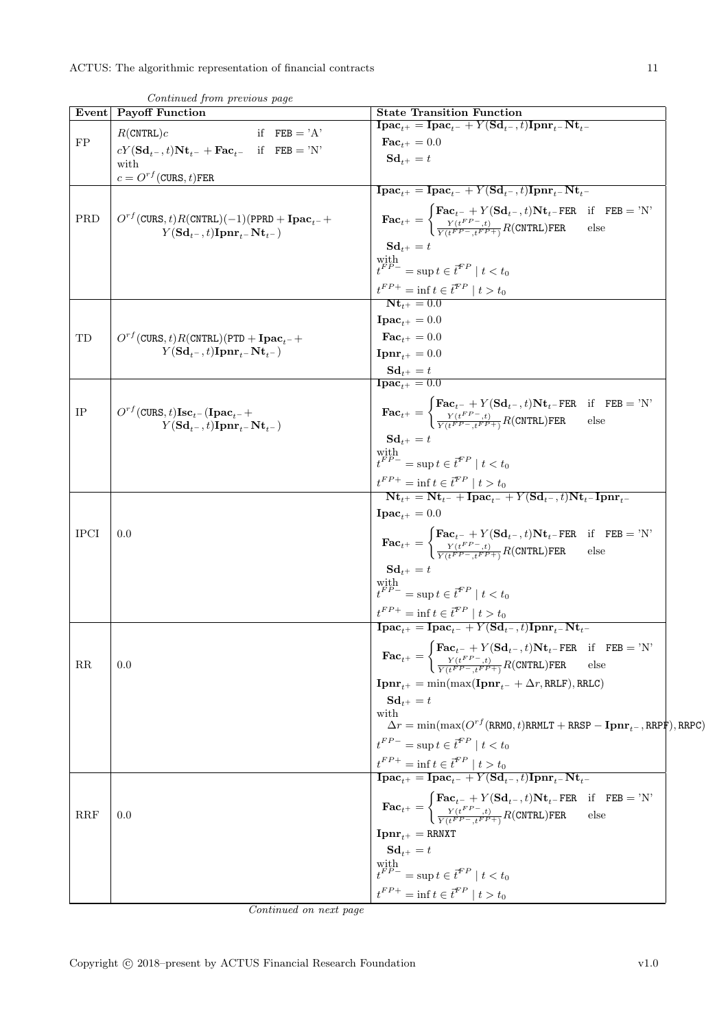| <b>Event</b> | Continued from previous page<br>Payoff Function                                          | <b>State Transition Function</b>                                                                                                                                                                                                                                                                                                                        |
|--------------|------------------------------------------------------------------------------------------|---------------------------------------------------------------------------------------------------------------------------------------------------------------------------------------------------------------------------------------------------------------------------------------------------------------------------------------------------------|
|              | $R$ (CNTRL) $c$<br>if $FEB = 'A'$                                                        | $\mathbf{I}\mathbf{pac}_{t+} = \mathbf{I}\mathbf{pac}_{t-} + Y(\mathbf{Sd}_{t-}, t)\mathbf{I}\mathbf{pnr}_{t-} \mathbf{Nt}_{t-}$                                                                                                                                                                                                                        |
| FP           | $cY(\mathbf{Sd}_{t^-}, t)\mathbf{Nt}_{t^-} + \mathbf{Fac}_{t^-}$ if $\mathbf{FEB} = 'N'$ | $\textbf{Fac}_{t+} = 0.0$                                                                                                                                                                                                                                                                                                                               |
|              | with                                                                                     | $Sd_{t+} = t$                                                                                                                                                                                                                                                                                                                                           |
|              | $c = O^{rf}$ (CURS, t)FER                                                                | $\overline{\textbf{I} \textbf{p} \textbf{a} \textbf{c}_{t+}} = \overline{\textbf{I} \textbf{p} \textbf{a} \textbf{c}_{t-}} + Y(\textbf{S} \textbf{d}_{t-}, t) \overline{\textbf{I} \textbf{p} \textbf{n} \textbf{r}_{t-}} \textbf{N} \textbf{t}_{t-}$                                                                                                   |
|              |                                                                                          |                                                                                                                                                                                                                                                                                                                                                         |
| PRD          | $O^{rf}$ (CURS, t) $R$ (CNTRL)(-1)(PPRD + Ipac <sub>t-</sub> +                           | $\textbf{Fac}_{t^+} = \begin{cases} \textbf{Fac}_{t^-} + Y(\textbf{Sd}_{t^-}, t) \textbf{Nt}_{t^-} \textbf{FER} & \text{if} \quad \textbf{FEB} = \text{'N'} \\ \frac{Y(t^{FP}, t)}{Y(t^{FP}, t^{FP+})} R(\textbf{CNTRL}) \textbf{FER} & \text{else} \end{cases}$                                                                                        |
|              | $Y(\mathbf{Sd}_{t-}, t)\mathbf{Ipm}_{t-}\mathbf{Nt}_{t-})$                               |                                                                                                                                                                                                                                                                                                                                                         |
|              |                                                                                          | $\mathbf{Sd}_{t+} = t$                                                                                                                                                                                                                                                                                                                                  |
|              |                                                                                          | $\label{eq:optimal} \begin{array}{l} \mbox{with} \\ t^{FP-} = \sup t \in \boldsymbol{\bar{t}}^{FP} \mid t < t_0 \end{array}$                                                                                                                                                                                                                            |
|              |                                                                                          | $t^{FP+}$ = inf $t \in \bar{t}^{FP}$   $t > t_0$<br><b>Nt</b> <sub>t+</sub> = 0.0                                                                                                                                                                                                                                                                       |
|              |                                                                                          |                                                                                                                                                                                                                                                                                                                                                         |
|              |                                                                                          | $\textbf{I}\textbf{pac}_{t+} = 0.0$                                                                                                                                                                                                                                                                                                                     |
| TD           | $O^{rf}$ (CURS, t) R(CNTRL)(PTD + Ipac <sub>t</sub> -+                                   | $\mathbf{Fac}_{t^+}=0.0$                                                                                                                                                                                                                                                                                                                                |
|              | $Y(\mathbf{Sd}_{t-}, t)\mathbf{Inrr}_{t-}\mathbf{Nt}_{t-})$                              | $\mathbf{Ipm}_{t+} = 0.0$                                                                                                                                                                                                                                                                                                                               |
|              |                                                                                          | $\frac{\mathbf{S}\mathbf{d}_{t^{+}}=t}{\mathbf{I}\mathbf{p}\mathbf{a}\mathbf{c}_{t^{+}}=0.0}$                                                                                                                                                                                                                                                           |
|              |                                                                                          |                                                                                                                                                                                                                                                                                                                                                         |
| IP           | $O^{rf}$ (CURS, t) $\text{Isc}_{t-}$ (Ipac <sub>t-</sub> +                               | $\textbf{Fac}_{t^+} = \begin{cases} \textbf{Fac}_{t^-} + Y(\textbf{Sd}_{t^-}, t) \textbf{Nt}_{t^-} \textbf{FER} & \text{if} \quad \textbf{FEB} = \text{'N'} \\ \frac{Y(t^{FP-}, t)}{Y(t^{FP-}, t^{FP+})} R(\textbf{CNTRL}) \textbf{FER} & \text{else} \end{cases}$                                                                                      |
|              | $Y(\mathbf{Sd}_{t-}, t)\mathbf{Inrr}_{t-}\mathbf{Nt}_{t-})$                              |                                                                                                                                                                                                                                                                                                                                                         |
|              |                                                                                          | $Sd_{t+} = t$                                                                                                                                                                                                                                                                                                                                           |
|              |                                                                                          | with $t^{FP-}=\sup t\in\vec{t}^{FP}\mid t< t_0$                                                                                                                                                                                                                                                                                                         |
|              |                                                                                          |                                                                                                                                                                                                                                                                                                                                                         |
|              |                                                                                          | $\frac{t^{FP+}-\inf t\in \bar{t}^{FP}\mid t>t_0}{\mathbf{Nt}_{t^+}-\mathbf{Nt}_{t^-}+\mathbf{Ipa}\mathbf{c}_{t^-}+Y(\mathbf{Sd}_{t^-},t)\mathbf{Nt}_{t^-}\mathbf{Ipnr}_{t^-}}$                                                                                                                                                                          |
|              |                                                                                          | $\textbf{I}\textbf{pac}_{t+} = 0.0$                                                                                                                                                                                                                                                                                                                     |
| <b>IPCI</b>  | 0.0                                                                                      |                                                                                                                                                                                                                                                                                                                                                         |
|              |                                                                                          | $\textbf{Fac}_{t^+} = \begin{cases} \textbf{Fac}_{t^-} + Y(\textbf{Sd}_{t^-}, t) \textbf{Nt}_{t^-} \textbf{FER} & \text{if} \quad \textbf{FEB} = \text{'N'} \\ \frac{Y(t^{FP-}, t)}{Y(t^{FP-}, t^{FP+})} R(\textbf{CNTRL}) \textbf{FER} & \text{else} \end{cases}$                                                                                      |
|              |                                                                                          | $Sd_{t+} = t$                                                                                                                                                                                                                                                                                                                                           |
|              |                                                                                          | with $t^{FP-}=\sup t\in \vec{t}^{FP}\mid t< t_0$                                                                                                                                                                                                                                                                                                        |
|              |                                                                                          |                                                                                                                                                                                                                                                                                                                                                         |
|              |                                                                                          | $\frac{t^{FP+}}{\textbf{I}\textbf{pac}_{t+}} = \textbf{inf } t \in \overline{t}^{FP} \mid t > t_0$<br>$\textbf{I}\textbf{pac}_{t+} = \textbf{I}\textbf{pac}_{t-} + Y(\textbf{Sd}_{t-}, t)\textbf{I}\textbf{pnr}_{t-} \textbf{Nt}_{t-}$                                                                                                                  |
|              |                                                                                          |                                                                                                                                                                                                                                                                                                                                                         |
|              |                                                                                          | $\textbf{Fac}_{t^+} = \begin{cases} \textbf{Fac}_{t^-} + Y(\textbf{Sd}_{t^-}, t) \textbf{Nt}_{t^-} \textbf{FER} & \text{if} \quad \textbf{FEB} = \text{'N'} \\ \frac{Y(t^{FP-}, t)}{Y(t^{FP-}, t^{FP+})} R(\textbf{CNTRL}) \textbf{FER} & \text{else} \end{cases}$                                                                                      |
| $_{\rm RR}$  | 0.0                                                                                      |                                                                                                                                                                                                                                                                                                                                                         |
|              |                                                                                          | $\mathbf{Ipm}_{t^+} = \min(\max(\mathbf{Ipm}_{t^-} + \Delta r, \text{RRLF}), \text{RRLC})$                                                                                                                                                                                                                                                              |
|              |                                                                                          | $\mathbf{Sd}_{t+} = t$                                                                                                                                                                                                                                                                                                                                  |
|              |                                                                                          | with<br>$\Delta r = \min(\max(O^{rf}(\text{RRMO}, t) \text{RRMLT} + \text{RRSP} - \text{Ipm}_{t-}, \text{RRPF}), \text{RRPC})$                                                                                                                                                                                                                          |
|              |                                                                                          | $t^{FP-}$ = sup $t \in \overline{t}^{FP} \mid t < t_0$                                                                                                                                                                                                                                                                                                  |
|              |                                                                                          |                                                                                                                                                                                                                                                                                                                                                         |
|              |                                                                                          | $\frac{t^{FP+}}{\textbf{I}\textbf{p}\textbf{a}\textbf{c}_{t+}} = \inf t \in \overline{t}^{FP} \mid t > t_0$<br>$\overline{\textbf{I}\textbf{p}\textbf{a}\textbf{c}_{t+}} = \overline{\textbf{I}\textbf{p}\textbf{a}\textbf{c}_{t-}} + Y(\textbf{S}\textbf{d}_{t-}, t)\overline{\textbf{I}\textbf{p}\textbf{n}\textbf{r}_{t-}}\textbf{N}\textbf{t}_{t-}$ |
|              |                                                                                          |                                                                                                                                                                                                                                                                                                                                                         |
| <b>RRF</b>   | 0.0                                                                                      | $\textbf{Fac}_{t^+} = \begin{cases} \textbf{Fac}_{t^-} + Y(\textbf{Sd}_{t^-}, t) \textbf{Nt}_{t^-} \textbf{FER} & \text{if} \quad \textbf{FEB} = \text{'N'} \\ \frac{Y(t^{FP-}, t)}{Y(t^{FP-}, t^{FP+})} R(\textbf{CNTRL}) \textbf{FER} & \text{else} \end{cases}$                                                                                      |
|              |                                                                                          | ${\bf Ipm}_{t+} =$ RRNXT                                                                                                                                                                                                                                                                                                                                |
|              |                                                                                          | $\mathbf{Sd}_{t+} = t$                                                                                                                                                                                                                                                                                                                                  |
|              |                                                                                          |                                                                                                                                                                                                                                                                                                                                                         |
|              |                                                                                          | $\label{eq:optimal} \begin{array}{l} \mbox{with} \\ t^{FP-} = \sup t \in \vec{t}^{FP} \mid t < t_0 \end{array}$                                                                                                                                                                                                                                         |
|              |                                                                                          | $t^{FP+}$ = inf $t \in \bar{t}^{FP}$   $t > t_0$                                                                                                                                                                                                                                                                                                        |

Continued from previous page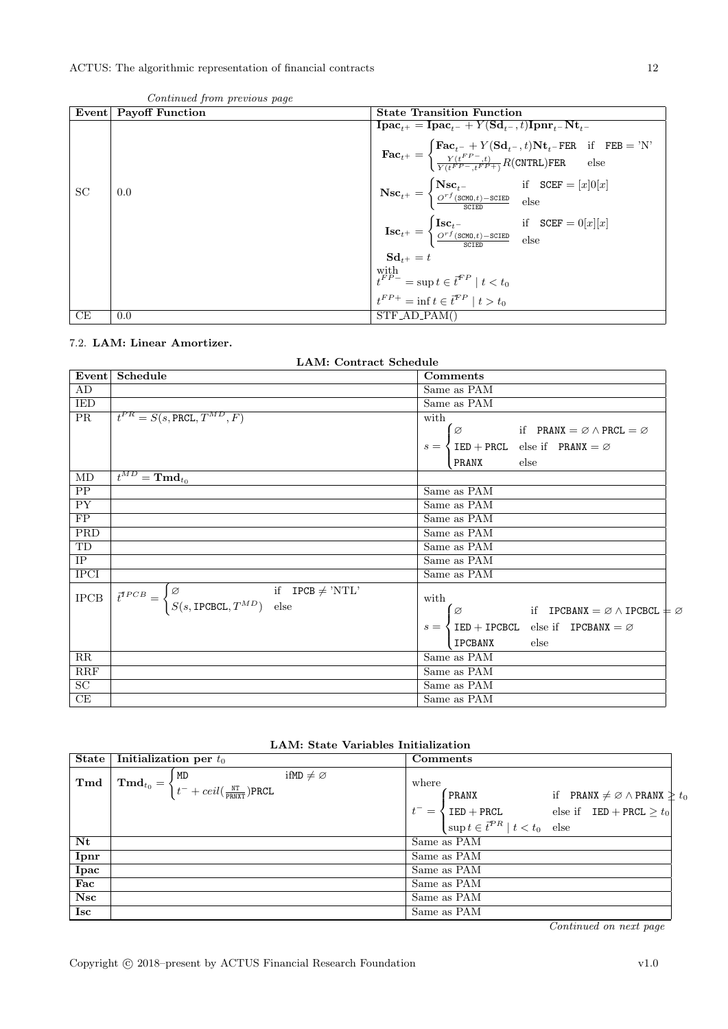|           | $5.100010$ to $1.00110$ provided to $1.000$ |                                                                                                                                                                                                                                                                                                                                                                                                       |
|-----------|---------------------------------------------|-------------------------------------------------------------------------------------------------------------------------------------------------------------------------------------------------------------------------------------------------------------------------------------------------------------------------------------------------------------------------------------------------------|
| Event     | <b>Payoff Function</b>                      | <b>State Transition Function</b>                                                                                                                                                                                                                                                                                                                                                                      |
|           |                                             | $\mathbf{I}\mathbf{pac}_{t+} = \mathbf{I}\mathbf{pac}_{t-} + Y(\mathbf{Sd}_{t-}, t)\mathbf{I}\mathbf{pnr}_{t-}\mathbf{Nt}_{t-}$<br>$\textbf{Fac}_{t^+} = \begin{cases} \textbf{Fac}_{t^-} + Y(\textbf{Sd}_{t^-}, t) \textbf{Nt}_{t^-} \textbf{FER} & \text{if} \quad \textbf{FEB} = \text{'N'} \\ \frac{Y(t^{FP-}, t)}{Y(t^{FP-}, t^{FP+})} R(\textbf{CNTRL}) \textbf{FER} & \text{else} \end{cases}$ |
| <b>SC</b> | 0.0                                         | $\textbf{Nsc}_{t^+} = \begin{cases} \textbf{Nsc}_{t^-} & \text{if} \quad \texttt{SCEF} = [x]0[x] \\ \frac{O^{rf}(\texttt{SCMD},t) - \texttt{SCEED}}{\texttt{SCIED}} & \text{else} \end{cases}$                                                                                                                                                                                                        |
|           |                                             | $\textbf{Isc}_{t^+} = \begin{cases} \textbf{Isc}_{t^-} & \text{if} \quad \text{SCEF} = 0[x][x] \\ \frac{O^{rf}(\texttt{SCMD},t) - \texttt{SCEED}}{\texttt{SCFFD}} & \text{else} \end{cases}$                                                                                                                                                                                                          |
|           |                                             | $Sd_{t+} = t$                                                                                                                                                                                                                                                                                                                                                                                         |
|           |                                             | $\left  \begin{array}{l} \text{with} \\ t^{FP-} = \sup t \in \overline{t}^{FP} \mid t < t_0 \\ t^{FP+} = \inf t \in \overline{t}^{FP} \mid t > t_0 \end{array} \right.$                                                                                                                                                                                                                               |
|           |                                             |                                                                                                                                                                                                                                                                                                                                                                                                       |
| CЕ        | 0.0                                         | $STF$ <sub>-AD</sub> -PAM()                                                                                                                                                                                                                                                                                                                                                                           |

Continued from previous page

### <span id="page-11-0"></span>7.2. LAM: Linear Amortizer.

LAM: Contract Schedule

| Event           | Schedule                                                                                                                                                 | Comments                                                                        |
|-----------------|----------------------------------------------------------------------------------------------------------------------------------------------------------|---------------------------------------------------------------------------------|
| AD              |                                                                                                                                                          | Same as PAM                                                                     |
| IED             |                                                                                                                                                          | Same as PAM                                                                     |
| PR              | $t^{PR} = S(s, \text{PRCL}, T^{MD}, F)$                                                                                                                  | with                                                                            |
|                 |                                                                                                                                                          | $\varnothing$<br>if PRANX = $\varnothing \wedge \text{PRCL} = \varnothing$      |
|                 |                                                                                                                                                          | $s = \{ \text{IED} + \text{PRCL} \text{ else if } \text{PRANX} = \emptyset \}$  |
|                 |                                                                                                                                                          | $_{\text{else}}$<br>PRANX                                                       |
| MD              | $\overline{t^{MD}} = \textbf{T} \textbf{m} \textbf{d}_{t_0}$                                                                                             |                                                                                 |
| PP              |                                                                                                                                                          | Same as PAM                                                                     |
| PY              |                                                                                                                                                          | Same as PAM                                                                     |
| FP              |                                                                                                                                                          | Same as PAM                                                                     |
| PRD             |                                                                                                                                                          | Same as PAM                                                                     |
| TD              |                                                                                                                                                          | Same as PAM                                                                     |
| IP              |                                                                                                                                                          | Same as PAM                                                                     |
| <b>IPCI</b>     |                                                                                                                                                          | Same as PAM                                                                     |
| $_{\rm IPCB}$   | if $IPCB \neq 'NTL'$<br>$\vec{t}^{TPCB} = \begin{cases} \varnothing & \text{if} \quad \text{J} \\ S(s, \text{IPCBCL}, T^{MD}) & \text{else} \end{cases}$ | with<br>Ø<br>if IPCBANX = $\varnothing \wedge$ IPCBCL $\pm \varnothing$         |
|                 |                                                                                                                                                          | $s = \{ \text{IED} + \text{IPCBCL} \text{ else if } \text{IPCBANK} = \emptyset$ |
|                 |                                                                                                                                                          | else<br>IPCBANX                                                                 |
| RR              |                                                                                                                                                          | Same as PAM                                                                     |
| RRF             |                                                                                                                                                          | Same as PAM                                                                     |
| $\overline{SC}$ |                                                                                                                                                          | Same as PAM                                                                     |
| CE              |                                                                                                                                                          | Same as PAM                                                                     |

| LAM: State Variables Initialization |  |
|-------------------------------------|--|
|-------------------------------------|--|

| State       | Initialization per $t_0$                                                                                                                                      | Comments                                                                                                                                                                                                       |
|-------------|---------------------------------------------------------------------------------------------------------------------------------------------------------------|----------------------------------------------------------------------------------------------------------------------------------------------------------------------------------------------------------------|
| Tmd         | ifMD $\neq \emptyset$<br>$\mathbf{Fmd}_{t_0} = \begin{cases} \mathtt{MD} \ t^- + \mathit{ceil}(\frac{\mathtt{NT}}{\mathtt{PRNXT}}) \mathtt{PRCL} \end{cases}$ | where<br>$P$ RANX<br>if PRANX $\neq \emptyset \wedge$ PRANX $\geq t_0$<br>$t^{-} = \begin{cases}$ TED + PRCL<br>$\text{Sup } t \in t^{PR} \mid t < t_0 \text{ else} \end{cases}$ else if TED + PRCL $\geq t_0$ |
| Nt          |                                                                                                                                                               | Same as PAM                                                                                                                                                                                                    |
| Ipnr        |                                                                                                                                                               | Same as PAM                                                                                                                                                                                                    |
| <b>Ipac</b> |                                                                                                                                                               | Same as PAM                                                                                                                                                                                                    |
| Fac         |                                                                                                                                                               | Same as PAM                                                                                                                                                                                                    |
| <b>Nsc</b>  |                                                                                                                                                               | Same as PAM                                                                                                                                                                                                    |
| <b>Isc</b>  |                                                                                                                                                               | Same as PAM                                                                                                                                                                                                    |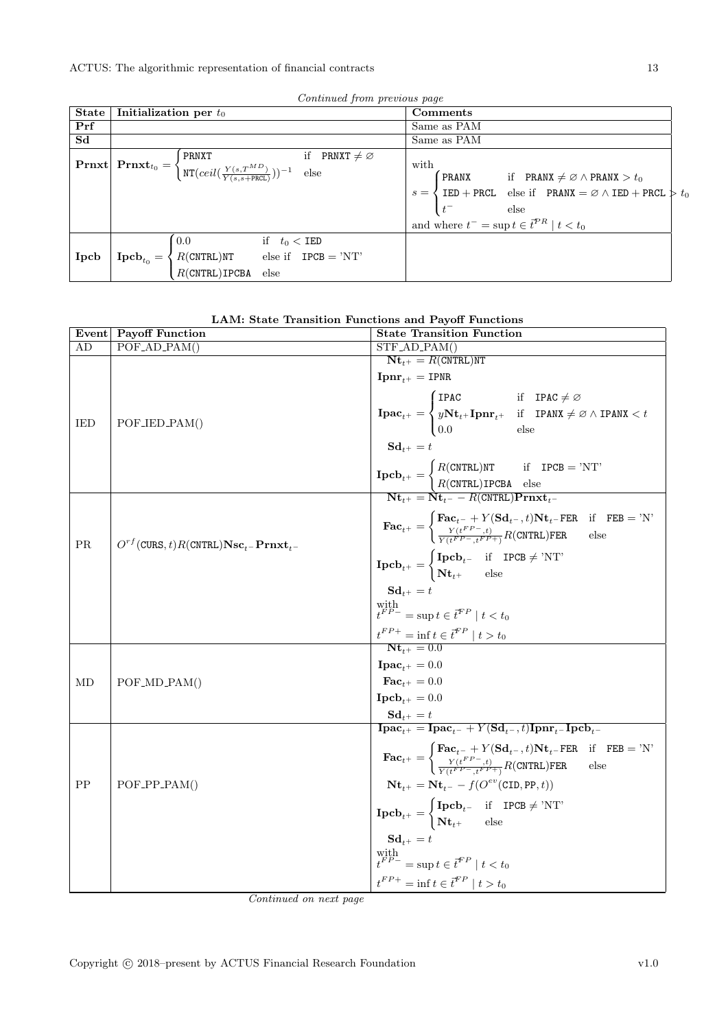|                | Continued from previous page                                                                                                                                                                                                                      |                                                                                                                                                                                                      |
|----------------|---------------------------------------------------------------------------------------------------------------------------------------------------------------------------------------------------------------------------------------------------|------------------------------------------------------------------------------------------------------------------------------------------------------------------------------------------------------|
| <b>State</b>   | Initialization per $t_0$                                                                                                                                                                                                                          | Comments                                                                                                                                                                                             |
| Prf            |                                                                                                                                                                                                                                                   | Same as PAM                                                                                                                                                                                          |
| S <sub>d</sub> |                                                                                                                                                                                                                                                   | Same as PAM                                                                                                                                                                                          |
|                | if PRNXT $\neq \emptyset$<br>$\boxed{\text{Prnxt}\left[\text{Prnxt}_{t_0} = \begin{cases} \texttt{PRNXT} & \text{if } \texttt{PR} \\ \texttt{NT}(ceil(\frac{Y(s,T^{MD})}{Y(s,s+\texttt{PRCL})}))^{-1} & \text{else} \end{cases}\right.}$          | with<br>PRANX if PRANX $\neq \emptyset \wedge$ PRANX $> t_0$                                                                                                                                         |
|                |                                                                                                                                                                                                                                                   | $\begin{cases} s = \begin{cases} \text{IED} + \text{PRCL} & \text{else if} \\ t^- & \text{else} \end{cases} & \text{PRANK} = \varnothing \land \text{IED} + \text{PRCL} \end{cases} \Rightarrow t_0$ |
|                |                                                                                                                                                                                                                                                   |                                                                                                                                                                                                      |
|                |                                                                                                                                                                                                                                                   | and where $t^- = \sup t \in \vec{t}^{PR} \mid t < t_0$                                                                                                                                               |
|                |                                                                                                                                                                                                                                                   |                                                                                                                                                                                                      |
| Ipcb           |                                                                                                                                                                                                                                                   |                                                                                                                                                                                                      |
|                | $\label{eq:proba} \textbf{Ipcb}_{t_0} = \begin{cases} 0.0 & \text{if} \quad t_0 < \texttt{IED} \\ R(\texttt{CNTRL})\texttt{NT} & \text{else if} \quad \texttt{IPCB} = \texttt{'NT'} \\ R(\texttt{CNTRL})\texttt{IPCBA} & \text{else} \end{cases}$ |                                                                                                                                                                                                      |

Continued from previous page

|  |  | LAM: State Transition Functions and Payoff Functions |  |  |  |
|--|--|------------------------------------------------------|--|--|--|
|--|--|------------------------------------------------------|--|--|--|

| Event | <b>Payoff Function</b>                                              | <b>State Transition Function</b>                                                                                                                                                                                                                                                                                                                                                                                                                        |
|-------|---------------------------------------------------------------------|---------------------------------------------------------------------------------------------------------------------------------------------------------------------------------------------------------------------------------------------------------------------------------------------------------------------------------------------------------------------------------------------------------------------------------------------------------|
| AD    | $POF_{AD_{PAM()}}$                                                  | $STF$ <sub>-AD</sub> <sub>-PAM</sub> $()$                                                                                                                                                                                                                                                                                                                                                                                                               |
|       |                                                                     | $Nt_{t+} = R(CNTRL)NT$                                                                                                                                                                                                                                                                                                                                                                                                                                  |
|       |                                                                     | ${\bf Ipm}_{t^+}={\rm IPR}$                                                                                                                                                                                                                                                                                                                                                                                                                             |
|       |                                                                     | $\textbf{I}\textbf{p}\textbf{a}\textbf{c}_{t^+} = \begin{cases} \textbf{I} \textbf{P}\textbf{A}\textbf{C} & \text{if} \quad \textbf{I}\textbf{P}\textbf{A}\textbf{C} \neq \varnothing \\ y\textbf{N}\textbf{t}_{t^+}\textbf{I}\textbf{p}\textbf{n}\textbf{r}_{t^+} & \text{if} \quad \textbf{I}\textbf{P}\textbf{A}\textbf{N}\textbf{X} \neq \varnothing \land \textbf{I}\textbf{P}\textbf{A}\textbf{N}\textbf{X} < t \\ 0.0 & \text{else} \end{cases}$ |
| IED   | $POF_\text{JED\_PAM()}$                                             |                                                                                                                                                                                                                                                                                                                                                                                                                                                         |
|       |                                                                     |                                                                                                                                                                                                                                                                                                                                                                                                                                                         |
|       |                                                                     | $\mathbf{Sd}_{t^+}=t$                                                                                                                                                                                                                                                                                                                                                                                                                                   |
|       |                                                                     | $\boxed{\begin{aligned} \textbf{Ipcb}_{t^+} = \begin{cases} R(\texttt{CNTRL})\texttt{NT} & \text{if} \quad \texttt{IPCB = 'NT'}\\ R(\texttt{CNTRL})\texttt{IPCBA} & \text{else} \end{cases}} \\ \hline \textbf{Nt}_{t^+} = \textbf{Nt}_{t^-} - R(\texttt{CNTRL})\textbf{P} \textbf{r} \textbf{n} \textbf{x} \textbf{t}_{t^-}} \end{aligned}}$                                                                                                           |
|       |                                                                     |                                                                                                                                                                                                                                                                                                                                                                                                                                                         |
|       |                                                                     |                                                                                                                                                                                                                                                                                                                                                                                                                                                         |
|       |                                                                     | $\textbf{Fac}_{t+} = \begin{cases} \textbf{Fac}_{t-} + Y(\textbf{Sd}_{t-}, t)\textbf{Nt}_{t-} \textbf{FER} & \text{if} \quad \textbf{FEB} = 'N' \\ \frac{Y(t^{FP}-, t)}{Y(t^{FP}-, t^{FP}+)} R(\textbf{CNTRL}) \textbf{FER} & \text{else} \end{cases}$                                                                                                                                                                                                  |
| PR    | $O^{rf}$ (CURS, t)R(CNTRL) $\mathbf{Nsc}_{t-}$ Prnxt <sub>t</sub> - |                                                                                                                                                                                                                                                                                                                                                                                                                                                         |
|       |                                                                     | $\mathbf{Ipcb}_{t^+} = \begin{cases} \mathbf{Ipcb}_{t^-} & \text{if} \quad \text{IPCB} \neq \text{'NT'} \\ \mathbf{Nt}_{t^+} & \text{else} \end{cases}$                                                                                                                                                                                                                                                                                                 |
|       |                                                                     |                                                                                                                                                                                                                                                                                                                                                                                                                                                         |
|       |                                                                     | $Sd_{t+} = t$                                                                                                                                                                                                                                                                                                                                                                                                                                           |
|       |                                                                     | $\label{eq:optimal} \begin{array}{l} \mbox{with} \\ \mathbf{f}^{FP-}=\mbox{sup}\,t\in\boldsymbol{\bar{t}}^{FP}\mid t< t_0 \end{array}$                                                                                                                                                                                                                                                                                                                  |
|       |                                                                     | $t^{FP+}$ = inf $t \in \bar{t}^{FP}$   $t > t_0$<br>Nt <sub>t+</sub> = 0.0                                                                                                                                                                                                                                                                                                                                                                              |
|       |                                                                     |                                                                                                                                                                                                                                                                                                                                                                                                                                                         |
|       |                                                                     | $\textbf{I}\textbf{p}\textbf{a}\textbf{c}_{t+} = 0.0$                                                                                                                                                                                                                                                                                                                                                                                                   |
| МD    | $POF\_MD\_PAM()$                                                    | $\mathbf{Fac}_{t+}=0.0$                                                                                                                                                                                                                                                                                                                                                                                                                                 |
|       |                                                                     | $\mathbf{Ipcb}_{\scriptscriptstyle{++}}=0.0$                                                                                                                                                                                                                                                                                                                                                                                                            |
|       |                                                                     | $\begin{array}{l} \mathbf{S}\mathbf{d}_{t^+} = t \\ \mathbf{I}\mathbf{p}\mathbf{a}\mathbf{c}_{t^+} = \mathbf{I}\mathbf{p}\mathbf{a}\mathbf{c}_{t^-} + Y(\mathbf{S}\mathbf{d}_{t^-},t)\mathbf{I}\mathbf{p}\mathbf{n}\mathbf{r}_{t^-}\mathbf{I}\mathbf{p}\mathbf{c}\mathbf{b}_{t^-} \end{array}$                                                                                                                                                          |
|       |                                                                     |                                                                                                                                                                                                                                                                                                                                                                                                                                                         |
|       |                                                                     | $\textbf{Fac}_{t+} = \begin{cases} \textbf{Fac}_{t-} + Y(\textbf{Sd}_{t-}, t) \textbf{Nt}_{t-} \textbf{FER} & \text{if} \quad \textbf{FEB} = 'N' \\ \frac{Y(t^{FP} - t)}{Y(t^{FP} - t^{FP} + 1)} R(\textbf{CNTRL}) \textbf{FER} & \text{else} \end{cases}$                                                                                                                                                                                              |
|       |                                                                     |                                                                                                                                                                                                                                                                                                                                                                                                                                                         |
| PP    | $POF_PPP_PAM()$                                                     | $\mathbf{N} \mathbf{t}_{t+} = \mathbf{N} \mathbf{t}_{t-} - f(O^{ev}(\texttt{CID}, \texttt{PP}, t))$                                                                                                                                                                                                                                                                                                                                                     |
|       |                                                                     |                                                                                                                                                                                                                                                                                                                                                                                                                                                         |
|       |                                                                     | $\mathbf{Ipcb}_{t^{+}} = \begin{cases} \mathbf{Ipcb}_{t^{-}} & \text{if } \mathbf{IPCB} \neq \text{'NT'} \\ \mathbf{Nt}_{t^{+}} & \text{else} \end{cases}$                                                                                                                                                                                                                                                                                              |
|       |                                                                     | $\mathbf{Sd}_{t+} = t$                                                                                                                                                                                                                                                                                                                                                                                                                                  |
|       |                                                                     | with $t^{FP-} = \sup t \in \overline{t}^{FP} \mid t < t_0$                                                                                                                                                                                                                                                                                                                                                                                              |
|       |                                                                     |                                                                                                                                                                                                                                                                                                                                                                                                                                                         |
|       |                                                                     | $t^{FP+} = \inf t \in \overline{t}^{FP} \mid t > t_0$                                                                                                                                                                                                                                                                                                                                                                                                   |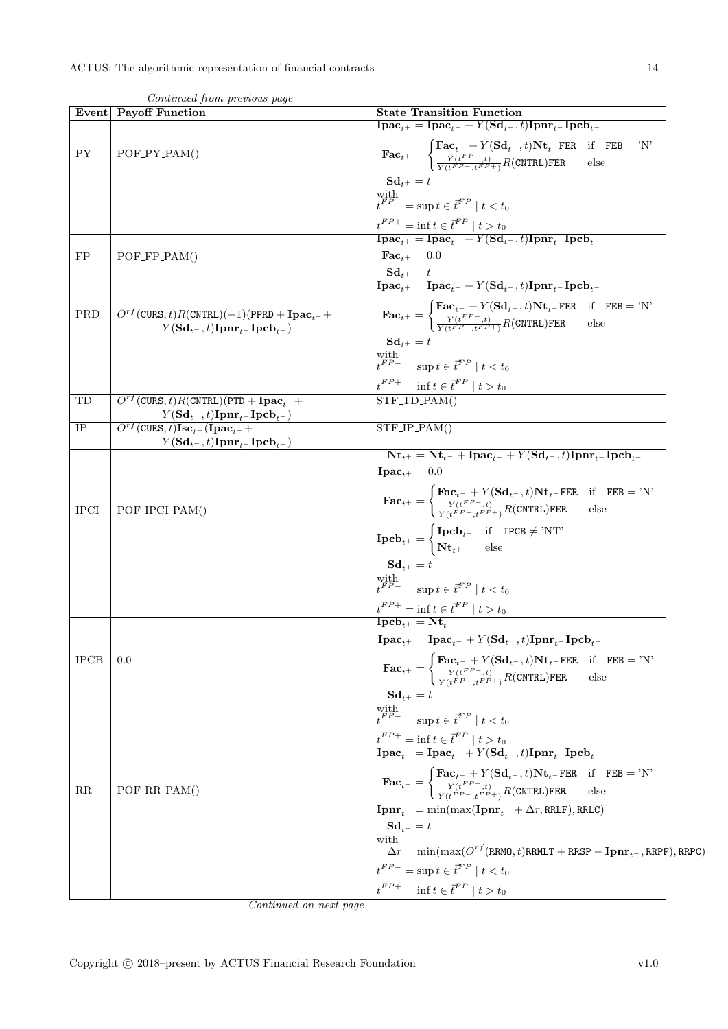| Event       | Continued from previous page<br><b>Payoff Function</b>                                                                                                                   | <b>State Transition Function</b>                                                                                                                                                                                                                                                                                                   |
|-------------|--------------------------------------------------------------------------------------------------------------------------------------------------------------------------|------------------------------------------------------------------------------------------------------------------------------------------------------------------------------------------------------------------------------------------------------------------------------------------------------------------------------------|
|             |                                                                                                                                                                          | $\mathbf{I}\mathbf{pac}_{t+} = \mathbf{I}\mathbf{pac}_{t-} + Y(\mathbf{Sd}_{t-}, t)\mathbf{I}\mathbf{pnr}_{t-}\mathbf{I}\mathbf{pcb}_{t-}$                                                                                                                                                                                         |
| ${\rm PY}$  | $POF_PY_PAM()$                                                                                                                                                           | $\textbf{Fac}_{t+} = \begin{cases} \textbf{Fac}_{t-} + Y(\textbf{Sd}_{t-}, t) \textbf{Nt}_{t-} \textbf{FER} & \text{if} \quad \textbf{FEB} = 'N' \\ \frac{Y(t^{FP} - t)}{Y(t^{FP} - t^{FP} + 1)} R(\textbf{CNTRL}) \textbf{FER} & \text{else} \end{cases}$                                                                         |
|             |                                                                                                                                                                          | $S_{t+1} = t$                                                                                                                                                                                                                                                                                                                      |
|             |                                                                                                                                                                          | with $t^{FP-}=\sup t\in\bar{t}^{FP}\mid t< t_0$                                                                                                                                                                                                                                                                                    |
|             |                                                                                                                                                                          |                                                                                                                                                                                                                                                                                                                                    |
|             |                                                                                                                                                                          | $\frac{t^{FP+}}{\textbf{I}\textbf{pac}_{t+}} = \textbf{inf } t \in \overline{t}^{FP} \mid t > t_0$<br>$\textbf{I}\textbf{pac}_{t+} = \textbf{I}\textbf{pac}_{t-} + Y(\textbf{Sd}_{t-}, t)\textbf{I}\textbf{pnr}_{t-}\textbf{I}\textbf{pcb}_{t-}$                                                                                   |
| FP          | $POF_FPP_PAM()$                                                                                                                                                          | $\mathbf{Fac}_{t+} = 0.0$                                                                                                                                                                                                                                                                                                          |
|             |                                                                                                                                                                          | $\begin{array}{l} \mathbf{S}\mathbf{d}_{t^+} = t\\ \mathbf{I}\mathbf{p}\mathbf{a}\mathbf{c}_{t^+} = \mathbf{I}\mathbf{p}\mathbf{a}\mathbf{c}_{t^-} + Y(\mathbf{S}\mathbf{d}_{t^-},t)\mathbf{I}\mathbf{p}\mathbf{n}\mathbf{r}_{t^-}\mathbf{I}\mathbf{p}\mathbf{c}\mathbf{b}_{t^-} \end{array}$                                      |
|             |                                                                                                                                                                          |                                                                                                                                                                                                                                                                                                                                    |
| PRD         | $O^{rf}$ (CURS, t) R(CNTRL)(-1)(PPRD + Ipac <sub>t-</sub> +<br>$Y({\bf S}{\bf d}_{t-},t){\bf I}{\bf pnr}_{t-}{\bf I}{\bf p}{\bf c}{\bf b}_{t-})$                         | $\textbf{Fac}_{t^+} = \begin{cases} \textbf{Fac}_{t^-} + Y(\textbf{Sd}_{t^-}, t) \textbf{Nt}_{t^-} \textbf{FER} & \text{if} \quad \textbf{FEB} = \text{'N'} \\ \frac{Y(t^{FP-}, t)}{Y(t^{FP-}, t^{FP+})} R(\textbf{CNTRL}) \textbf{FER} & \text{else} \end{cases}$                                                                 |
|             |                                                                                                                                                                          | $\mathbf{Sd}_{t+} = t$                                                                                                                                                                                                                                                                                                             |
|             |                                                                                                                                                                          | with $t^{FP-}=\sup t\in\vec{t}^{FP}\mid t< t_0$                                                                                                                                                                                                                                                                                    |
|             |                                                                                                                                                                          |                                                                                                                                                                                                                                                                                                                                    |
| TD          | $O^{rf}$ (CURS, t) R(CNTRL)(PTD + Ipac <sub>t</sub> -+                                                                                                                   | $\frac{t^{FP+}}{\text{STF\_TD\_PAM()}}t > t_0$                                                                                                                                                                                                                                                                                     |
| $\rm IP$    | $Y({\bf S}{\bf d}_{t^-},t){\bf I}{\bf p}{\bf n}{\bf r}_{t^-}{\bf I}{\bf p}{\bf c}{\bf b}_{t^-})$<br>$\overline{O^{rf}(\text{CURS},t)\text{Isc}_{t-}(\text{Ipac}_{t-}+)}$ |                                                                                                                                                                                                                                                                                                                                    |
|             | $Y({\bf S}{\bf d}_{t^-},t){\bf I}{\bf p}{\bf n}{\bf r}_{t^-}{\bf I}{\bf p}{\bf c}{\bf b}_{t^-})$                                                                         | STF_IP_PAM()                                                                                                                                                                                                                                                                                                                       |
|             |                                                                                                                                                                          | $N_{t_{+}} = N_{t_{-}} + I p a c_{t_{-}} + Y (S d_{t_{-}}, t) I p n r_{t_{-}} I p c b_{t_{-}}$                                                                                                                                                                                                                                     |
|             |                                                                                                                                                                          | $\textbf{I}\textbf{p}\textbf{a}\textbf{c}_{t+} = 0.0$                                                                                                                                                                                                                                                                              |
| <b>IPCI</b> | POF_IPCLPAM()                                                                                                                                                            | $\textbf{Fac}_{t^+} = \begin{cases} \textbf{Fac}_{t^-} + Y(\textbf{Sd}_{t^-}, t) \textbf{Nt}_{t^-} \textbf{FER} & \text{if} \quad \textbf{FEB} = \text{'N'} \\ \frac{Y(t^{FP-}, t)}{Y(t^{FP-}, t^{FP+})} R(\textbf{CNTRL}) \textbf{FER} & \text{else} \end{cases}$                                                                 |
|             |                                                                                                                                                                          | $\mathbf{Ipcb}_{t^{+}} = \begin{cases} \mathbf{Ipcb}_{t^{-}} & \text{if } \mathbf{IPCB} \neq \text{'NT'} \\ \mathbf{Nt}_{t^{+}} & \text{else} \end{cases}$                                                                                                                                                                         |
|             |                                                                                                                                                                          | $\mathbf{Sd}_{t^+} = t$                                                                                                                                                                                                                                                                                                            |
|             |                                                                                                                                                                          | $\label{eq:optimal} \begin{array}{l} \mbox{with} \\ t^{FP-} = \sup t \in \vec{t}^{FP} \mid t < t_0 \end{array}$                                                                                                                                                                                                                    |
|             |                                                                                                                                                                          |                                                                                                                                                                                                                                                                                                                                    |
|             |                                                                                                                                                                          | $\frac{t^{FP+}}{\mathbf{Ipcb}_{t+}} = \inf t \in \overline{t}^{FP} \mid t > t_0$<br><b>Ipcb</b> <sub>t+</sub> = $Nt_{t-}$                                                                                                                                                                                                          |
|             |                                                                                                                                                                          | $\textbf{I}\textbf{p}\textbf{a}\textbf{c}_{t+} = \textbf{I}\textbf{p}\textbf{a}\textbf{c}_{t-} + Y(\textbf{S}\textbf{d}_{t-}, t)\textbf{I}\textbf{p}\textbf{n}\textbf{r}_{t-}\textbf{I}\textbf{p}\textbf{c}\textbf{b}_{t-}$                                                                                                        |
| <b>IPCB</b> | 0.0                                                                                                                                                                      | $\textbf{Fac}_{t^+} = \begin{cases} \textbf{Fac}_{t^-} + Y(\textbf{Sd}_{t^-}, t) \textbf{Nt}_{t^-} \textbf{FER} & \text{if} \quad \textbf{FEB} = \text{'N'} \\ \frac{Y(t^{FP-}, t)}{Y(t^{FP-}, t^{FP+})} R(\textbf{CNTRL}) \textbf{FER} & \text{else} \end{cases}$                                                                 |
|             |                                                                                                                                                                          | $Sd_{t+} = t$                                                                                                                                                                                                                                                                                                                      |
|             |                                                                                                                                                                          | with $t^{FP-} = \sup t \in \bar{t}^{FP} \mid t < t_0$                                                                                                                                                                                                                                                                              |
|             |                                                                                                                                                                          |                                                                                                                                                                                                                                                                                                                                    |
|             |                                                                                                                                                                          | $\begin{array}{l} \label{eq:trp} \text{$t^{FP+}=\inf t\in \overline{t}^{FP}\mid t>t_0$}\\ \textbf{I}\textbf{p}\textbf{a}\textbf{c}_{t^+}=\textbf{I}\textbf{p}\textbf{a}\textbf{c}_{t^-}+Y(\textbf{S}\textbf{d}_{t^-},t)\textbf{I}\textbf{p}\textbf{n}\textbf{r}_{t^-}\textbf{I}\textbf{p}\textbf{c}\textbf{b}_{t^-}$} \end{array}$ |
| RR          | $POF_RR_PAM()$                                                                                                                                                           | $\textbf{Fac}_{t^+} = \begin{cases} \textbf{Fac}_{t^-} + Y(\textbf{Sd}_{t^-}, t) \textbf{Nt}_{t^-} \textbf{FER} & \text{if} \quad \textbf{FEB} = 'N' \\ \frac{Y(t^{FP} - t)}{Y(t^{FP} - t^{FP} +)} R(\textbf{CNTRL}) \textbf{FER} & \text{else} \end{cases}$                                                                       |
|             |                                                                                                                                                                          | $\textbf{I}\textbf{p}\textbf{n}\textbf{r}_{t+} = \min(\max(\textbf{I}\textbf{p}\textbf{n}\textbf{r}_{t-} + \Delta r,\texttt{RRLF}),\texttt{RRLC})$                                                                                                                                                                                 |
|             |                                                                                                                                                                          | $\mathbf{Sd}_{t+} = t$                                                                                                                                                                                                                                                                                                             |
|             |                                                                                                                                                                          | with<br>$\Delta r = \min(\max(O^{rf}(\text{RRMO}, t) \text{RRMLT} + \text{RRSP} - \text{Ipm}_{t-}, \text{RRPF}), \text{RRPC})$                                                                                                                                                                                                     |
|             |                                                                                                                                                                          | $t^{FP-} = \sup t \in t^{FP} \mid t < t_0$                                                                                                                                                                                                                                                                                         |
|             |                                                                                                                                                                          |                                                                                                                                                                                                                                                                                                                                    |
|             |                                                                                                                                                                          | $t^{FP+}$ = inf $t \in \bar{t}^{FP}$   $t > t_0$                                                                                                                                                                                                                                                                                   |

 $Continued$  from previous  $C$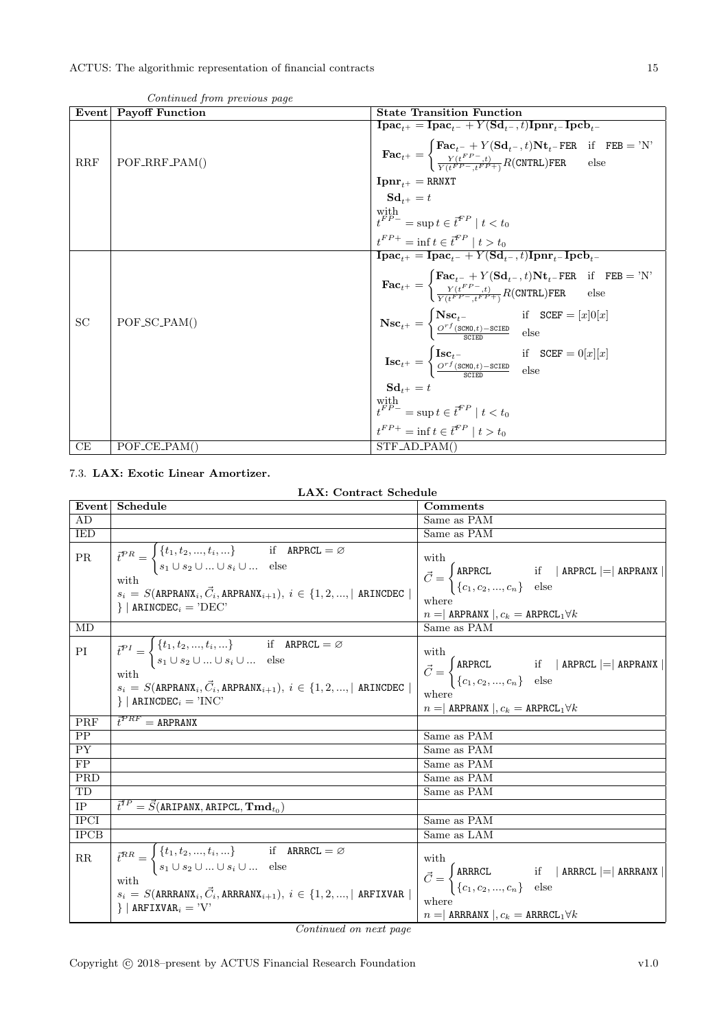| Event     | <b>Payoff Function</b> | <b>State Transition Function</b>                                                                                                                                                                                                                                                                                                                                                                                    |
|-----------|------------------------|---------------------------------------------------------------------------------------------------------------------------------------------------------------------------------------------------------------------------------------------------------------------------------------------------------------------------------------------------------------------------------------------------------------------|
|           |                        | $\mathbf{I}\mathbf{pac}_{t+} = \mathbf{I}\mathbf{pac}_{t-} + Y(\mathbf{Sd}_{t-}, t)\mathbf{I}\mathbf{pnr}_{t-}\mathbf{I}\mathbf{pcb}_{t-}$<br>$\textbf{Fac}_{t^+} = \begin{cases} \textbf{Fac}_{t^-} + Y(\textbf{Sd}_{t^-}, t) \textbf{Nt}_{t^-} \textbf{FER} & \text{if} \quad \textbf{FEB} = \text{'N'} \\ \frac{Y(t^{FP} - t)}{Y(t^{FP} - t^{FP} + 1)} R(\textbf{CNTRL}) \textbf{FER} & \text{else} \end{cases}$ |
| RRF       | $POF_RRF_PAM()$        |                                                                                                                                                                                                                                                                                                                                                                                                                     |
|           |                        | ${\bf Ipm}_{t+}={\tt RRNXT}$                                                                                                                                                                                                                                                                                                                                                                                        |
|           |                        | $S_{d+1} = t$                                                                                                                                                                                                                                                                                                                                                                                                       |
|           |                        | with $t^{FP-}$ = sup $t \in \bar{t}^{FP} \mid t < t_0$                                                                                                                                                                                                                                                                                                                                                              |
|           |                        | $t^{FP+} = \inf t \in \vec{t}^{FP} \mid t > t_0$                                                                                                                                                                                                                                                                                                                                                                    |
|           |                        | $\mathbf{I}\mathbf{pac}_{t+} = \mathbf{I}\mathbf{pac}_{t-} + Y(\mathbf{Sd}_{t-}, t)\mathbf{I}\mathbf{pnr}_{t-}\mathbf{I}\mathbf{pcb}_{t-}$                                                                                                                                                                                                                                                                          |
|           |                        | $\textbf{Fac}_{t^+} = \left\{ \begin{matrix} \textbf{Fac}_{t^-} + Y(\textbf{Sd}_{t^-}, t) \textbf{Nt}_{t^-} \textbf{FER} & \text{if} \quad \textbf{FEB} = \text{'N'} \\ \frac{Y(t^{FP-}, t)}{Y(t^{FP-}, t^{FP+})} R(\textbf{CNTRL}) \textbf{FER} & \text{else} \end{matrix} \right.$                                                                                                                                |
|           |                        |                                                                                                                                                                                                                                                                                                                                                                                                                     |
| <b>SC</b> | $POF_SCDAM()$          | $\textbf{Nsc}_{t^{+}} = \begin{cases} \textbf{Nsc}_{t^{-}} & \text{if} \quad \text{SCEF} = [x]0[x] \\ \frac{O^{rf}(\text{SCMD}, t) - \text{SCEED}}{\text{SCTED}} & \text{else} \end{cases}$                                                                                                                                                                                                                         |
|           |                        | $\textbf{Isc}_{t^{+}} = \begin{cases} \textbf{Isc}_{t^{-}} & \text{if } \text{SCEF} = 0[x][x] \\ \frac{O^{rf}(\text{SCMD}, t) - \text{SCEED}}{CFT} & \text{else} \end{cases}$                                                                                                                                                                                                                                       |
|           |                        |                                                                                                                                                                                                                                                                                                                                                                                                                     |
|           |                        | $Sd_{t+} = t$                                                                                                                                                                                                                                                                                                                                                                                                       |
|           |                        | with $t^{FP-} = \sup t \in \vec{t}^{FP} \mid t < t_0$                                                                                                                                                                                                                                                                                                                                                               |
|           |                        | $t^{FP+}$ = inf $t \in \vec{t}^{FP}$   $t > t_0$                                                                                                                                                                                                                                                                                                                                                                    |
| СE        | $POF_{C}E_{PAM}$       | $STF$ <sub>-AD</sub> $-PAM()$                                                                                                                                                                                                                                                                                                                                                                                       |

Continued from previous page

### <span id="page-14-0"></span>7.3. LAX: Exotic Linear Amortizer.

LAX: Contract Schedule

| Event       | Schedule                                                                                                                                                                                                                                                                                                                                                              | Comments                                                                                                                                                                                                                                            |
|-------------|-----------------------------------------------------------------------------------------------------------------------------------------------------------------------------------------------------------------------------------------------------------------------------------------------------------------------------------------------------------------------|-----------------------------------------------------------------------------------------------------------------------------------------------------------------------------------------------------------------------------------------------------|
| AD          |                                                                                                                                                                                                                                                                                                                                                                       | Same as PAM                                                                                                                                                                                                                                         |
| IED         |                                                                                                                                                                                                                                                                                                                                                                       | Same as PAM                                                                                                                                                                                                                                         |
| PR.<br>MD   | $\vec{t}^{PR} = \begin{cases} \{t_1, t_2, , t_i, \} & \text{if} \quad \texttt{ARPRCL} = \varnothing \\ s_1 \cup s_2 \cup  \cup s_i \cup  & \text{else} \end{cases}$<br>with<br>with $s_i = S(\text{ARPRANK}_i, \vec{C}_i, \text{ARPRANK}_{i+1}), i \in \{1, 2, , \mid \text{ARINCDEC} \mid \}$<br>$\}$   ARINCDEC <sub>i</sub> = 'DEC'                                | with<br>$\vec{C} = \begin{cases} \texttt{ARPRCL} & \text{if} \quad   \texttt{ ARPRCL}   =   \texttt{ARPRANK}   \\ \{c_1, c_2, , c_n\} & \text{else} \end{cases}$<br>where<br>$n =$ ARPRANX $, c_k =$ ARPRCL <sub>1</sub> $\forall k$<br>Same as PAM |
|             |                                                                                                                                                                                                                                                                                                                                                                       |                                                                                                                                                                                                                                                     |
| PI          | $\label{eq:top_t} \vec{t}^{PI} = \begin{cases} \{t_1, t_2, , t_i, \} & \text{if} \quad \texttt{ARPRCL} = \varnothing \\ s_1 \cup s_2 \cup  \cup s_i \cup  & \text{else} \end{cases}$<br>with<br>with $s_i = S(\text{ARPRANK}_i, \vec{C}_i, \text{ARPRANK}_{i+1}), i \in \{1, 2, , \mid \text{ARINCDEC}\mid \text{APRANK}_i\}$<br>$\}$   ARINCDEC <sub>i</sub> = 'INC' | with<br>$\vec{C} = \begin{cases} \texttt{ARPRCL} & \text{if} \quad   \texttt{ ARPRCL}   =   \texttt{ARPRANX}   \\ \{c_1, c_2, , c_n\} & \text{else} \end{cases}$<br>where<br>$n =$ ARPRANX $, c_k =$ ARPRCL <sub>1</sub> $\forall k$                |
| PRF         | $\vec{t}^{PRF} = \text{ARPRANK}$                                                                                                                                                                                                                                                                                                                                      |                                                                                                                                                                                                                                                     |
| PP          |                                                                                                                                                                                                                                                                                                                                                                       | Same as PAM                                                                                                                                                                                                                                         |
| <b>PY</b>   |                                                                                                                                                                                                                                                                                                                                                                       | Same as PAM                                                                                                                                                                                                                                         |
| FP          |                                                                                                                                                                                                                                                                                                                                                                       | Same as PAM                                                                                                                                                                                                                                         |
| PRD         |                                                                                                                                                                                                                                                                                                                                                                       | Same as PAM                                                                                                                                                                                                                                         |
| TD          |                                                                                                                                                                                                                                                                                                                                                                       | Same as PAM                                                                                                                                                                                                                                         |
| <b>IP</b>   | $\vec{t}^{IP} = \vec{S}$ (ARIPANX, ARIPCL, $\mathbf{Tmd}_{t_0}$ )                                                                                                                                                                                                                                                                                                     |                                                                                                                                                                                                                                                     |
| <b>IPCI</b> |                                                                                                                                                                                                                                                                                                                                                                       | Same as PAM                                                                                                                                                                                                                                         |
| <b>IPCB</b> |                                                                                                                                                                                                                                                                                                                                                                       | Same as LAM                                                                                                                                                                                                                                         |
| $\rm RR$    | $\vec{t}^{RR} = \begin{cases} \{t_1, t_2, , t_i, \} & \text{if} \quad \text{ARRCL} = \varnothing \\ s_1 \cup s_2 \cup  \cup s_i \cup  & \text{else} \end{cases}$<br>with<br>$s_i\,=\,S(\texttt{ARRANX}_i,\vec{C}_i,\texttt{ARRANX}_{i+1}),\;i\,\in\,\{1,2,,\vert\;\texttt{ARFIXVAR}\,\,\vert\,$<br>$\}$   ARFIXVAR <sub>i</sub> = 'V'                                 | with<br>$\vec{C} = \begin{cases} \mathtt{ARRCL} & \text{if} \quad \vert \text{ ARPRCL} \mid = \vert \text{ARRANX} \mid \\ \{c_1, c_2, , c_n\} & \text{else} \end{cases}$<br>where<br>$n =$ ARRRANX $, c_k =$ ARRRCL <sub>1</sub> $\forall k$        |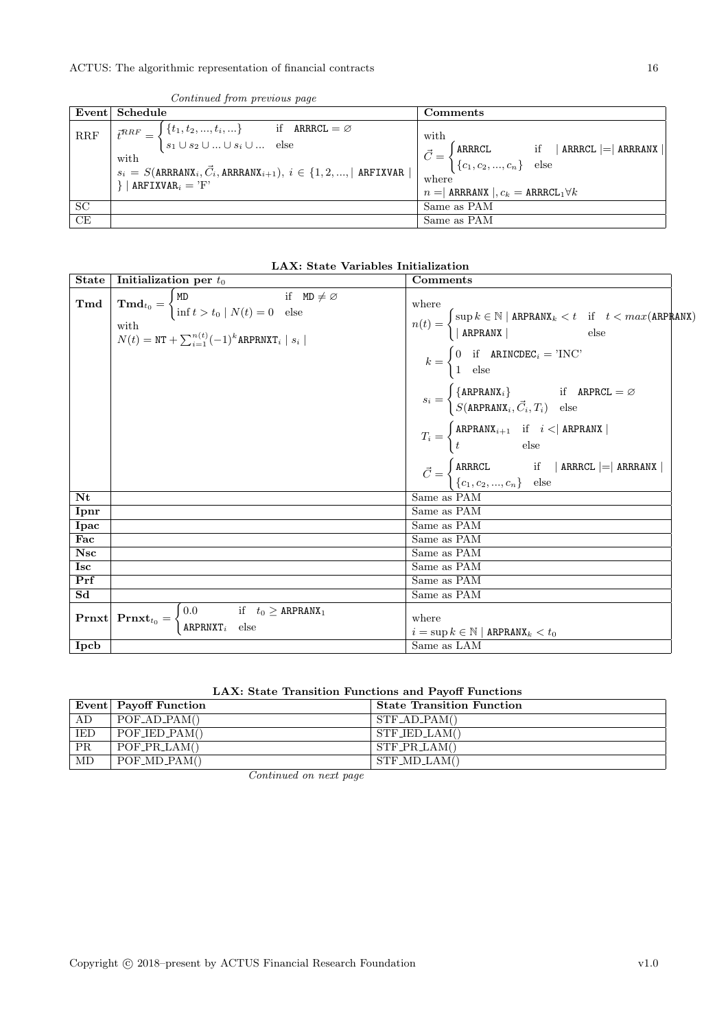|                      | Event Schedule                                                                                                                                                                                                                                                                                                                                                                                                                                             | Comments                                                                |
|----------------------|------------------------------------------------------------------------------------------------------------------------------------------------------------------------------------------------------------------------------------------------------------------------------------------------------------------------------------------------------------------------------------------------------------------------------------------------------------|-------------------------------------------------------------------------|
| $\operatorname{RRF}$ | $\overline{t^{RRF}} = \begin{cases} \{t_1, t_2, , t_i, \} & \text{if } \text{ARRCL} = \varnothing \\ s_1 \cup s_2 \cup  \cup s_i \cup  & \text{else} \end{cases}$<br>with $s_i = S(\text{ARRANX}_i, \vec{C}_i, \text{ARRANX}_{i+1}), i \in \{1, 2, ,  \text{ARTXVAR}  \mid \}$ $\vec{C} = \begin{cases} \text{ARRCL} & \text{if }  \text{ARRCL}  =  \text{ARRANX}  \\ \{c_1, c_2, , c_n\} & \text{else} \end{cases}$<br>$\}$   ARFIXVAR <sub>i</sub> = 'F' | with<br>$n =$ ARREANX $\vert$ , $c_k =$ ARRECL <sub>1</sub> $\forall k$ |
| <b>SC</b>            |                                                                                                                                                                                                                                                                                                                                                                                                                                                            | Same as PAM                                                             |
| CE                   |                                                                                                                                                                                                                                                                                                                                                                                                                                                            | Same as PAM                                                             |

Continued from previous page

| LAX: State Variables Initialization |
|-------------------------------------|
|-------------------------------------|

| State                  | Initialization per $t_0$                                                                                                                                                                                                                         | Comments                                                                                                                                                                                                                                                                                                                                                                                                                                                                                                                                                                                                                                                                                                                                                       |
|------------------------|--------------------------------------------------------------------------------------------------------------------------------------------------------------------------------------------------------------------------------------------------|----------------------------------------------------------------------------------------------------------------------------------------------------------------------------------------------------------------------------------------------------------------------------------------------------------------------------------------------------------------------------------------------------------------------------------------------------------------------------------------------------------------------------------------------------------------------------------------------------------------------------------------------------------------------------------------------------------------------------------------------------------------|
| Tmd                    | $\mathbf{Tmd}_{t_0} = \begin{cases} \mathtt{MD} & \text{if } \mathtt{MD} \neq \varnothing \\ \text{inf } t > t_0 \mid N(t) = 0 \text{ else} \end{cases}$<br>with<br>$N(t) = \text{NT} + \sum_{i=1}^{n(t)} (-1)^k \text{ARPRNXT}_i \mid s_i \mid$ | where<br>$n(t) = \begin{cases} \sup{k \in \mathbb{N} \mid \texttt{ARPRANK}_k < t & \text{if} \quad t < max(\texttt{ARPRANK}) \\ \mid \texttt{ARPRANK} \mid & \text{else} \end{cases}$<br>$k = \begin{cases} 0 & \text{if } \texttt{ARINCDEC}_i = \text{'INC'} \\ 1 & \text{else} \end{cases}$<br>$s_i = \begin{cases} {\texttt{ARPRANX}_i} & \text{if} \quad {\texttt{ARPRCL}} = \varnothing \ S({\texttt{ARPRANX}_i}, \vec{C}_i, T_i) & \text{else} \end{cases}$<br>$T_i = \begin{cases} \mathtt{ARPRANK}_{i+1} & \text{if} \quad i <  \text{ ARPRANK}  \\ t & \text{else} \end{cases}$<br>$\vec{C} = \begin{cases} \mathtt{ARRCL} & \text{if} \quad \vert \text{ ARRRCL} \mid = \vert \text{ ARRRANX} \mid \\ \{c_1, c_2, , c_n\} & \text{else} \end{cases}$ |
| Nt                     |                                                                                                                                                                                                                                                  | Same as PAM                                                                                                                                                                                                                                                                                                                                                                                                                                                                                                                                                                                                                                                                                                                                                    |
| Ipnr                   |                                                                                                                                                                                                                                                  | Same as PAM                                                                                                                                                                                                                                                                                                                                                                                                                                                                                                                                                                                                                                                                                                                                                    |
| Ipac                   |                                                                                                                                                                                                                                                  | Same as PAM                                                                                                                                                                                                                                                                                                                                                                                                                                                                                                                                                                                                                                                                                                                                                    |
| Fac                    |                                                                                                                                                                                                                                                  | Same as PAM                                                                                                                                                                                                                                                                                                                                                                                                                                                                                                                                                                                                                                                                                                                                                    |
| <b>Nsc</b>             |                                                                                                                                                                                                                                                  | Same as PAM                                                                                                                                                                                                                                                                                                                                                                                                                                                                                                                                                                                                                                                                                                                                                    |
| <b>Isc</b>             |                                                                                                                                                                                                                                                  | Same as PAM                                                                                                                                                                                                                                                                                                                                                                                                                                                                                                                                                                                                                                                                                                                                                    |
| Prf                    |                                                                                                                                                                                                                                                  | Same as PAM                                                                                                                                                                                                                                                                                                                                                                                                                                                                                                                                                                                                                                                                                                                                                    |
| $\overline{\text{Sd}}$ |                                                                                                                                                                                                                                                  | Same as PAM                                                                                                                                                                                                                                                                                                                                                                                                                                                                                                                                                                                                                                                                                                                                                    |
|                        | <b>Prnxt</b> <sub>t<sub>0</sub> = <math>\begin{cases} 0.0 &amp; \text{if } t_0 \geq \text{ARPRANX}_1 \\ \text{ARPRNXT}_i &amp; \text{else} \end{cases}</math></sub>                                                                              | where<br>$i = \sup k \in \mathbb{N}  $ ARPRANX $k < t_0$                                                                                                                                                                                                                                                                                                                                                                                                                                                                                                                                                                                                                                                                                                       |
| Ipcb                   |                                                                                                                                                                                                                                                  | Same as LAM                                                                                                                                                                                                                                                                                                                                                                                                                                                                                                                                                                                                                                                                                                                                                    |

| LAX: State Transition Functions and Payoff Functions |  |
|------------------------------------------------------|--|
|------------------------------------------------------|--|

|            | Event Payoff Function     | <b>State Transition Function</b> |
|------------|---------------------------|----------------------------------|
| AD         | $POF_AD_PAM()$            | $STF$ _AD_PAM()                  |
| <b>IED</b> | $POF_{\text{JED\_PAM}}()$ | $STF_{\text{LED-LAM}}()$         |
| <b>PR</b>  | $POF\_PR\_LAM()$          | $STF\_PR\_LAM()$                 |
| MD         | $POF_\text{MD\_PAM}()$    | $STF\_MD\_LAM()$                 |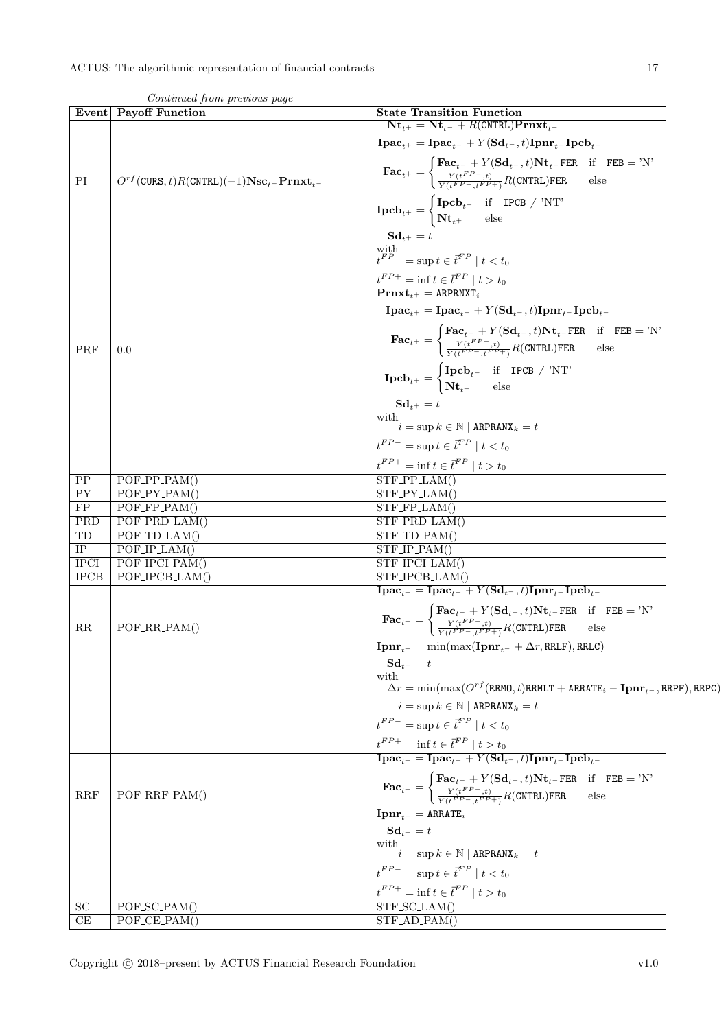| Event           | Continuation provided puge<br>Payoff Function                   | <b>State Transition Function</b>                                                                                                                                                                                                                                                                                                                                          |  |
|-----------------|-----------------------------------------------------------------|---------------------------------------------------------------------------------------------------------------------------------------------------------------------------------------------------------------------------------------------------------------------------------------------------------------------------------------------------------------------------|--|
|                 |                                                                 | $Nt_{t+} = Nt_{t-} + R(CNTRL)Prnxt_{t-}$                                                                                                                                                                                                                                                                                                                                  |  |
|                 |                                                                 | $\mathbf{I}\mathbf{p}\mathbf{a}\mathbf{c}_{t+} = \mathbf{I}\mathbf{p}\mathbf{a}\mathbf{c}_{t-} + Y(\mathbf{S}\mathbf{d}_{t-}, t)\mathbf{I}\mathbf{p}\mathbf{n}\mathbf{r}_{t-} \mathbf{I}\mathbf{p}\mathbf{c}\mathbf{b}_{t-}$                                                                                                                                              |  |
| PI              | $O^{rf}$ (CURS, t) $R$ (CNTRL)(-1) $Nsc_t$ -Prnxt <sub>t-</sub> | $\textbf{Fac}_{t^+} = \begin{cases} \textbf{Fac}_{t^-} + Y(\textbf{Sd}_{t^-}, t) \textbf{Nt}_{t^-} \textbf{FER} & \text{if} \quad \textbf{FEB} = \text{'N'} \\ \frac{Y(t^{FP}-, t)}{Y(t^{FP}-, t^{FP+})} R(\textbf{CNTRL}) \textbf{FER} & \text{else} \end{cases}$                                                                                                        |  |
|                 |                                                                 | $\mathbf{Ipcb}_{t^{+}} = \begin{cases} \mathbf{Ipcb}_{t^{-}} & \text{if} \quad \text{IPCB} \neq \text{'NT'} \\ \mathbf{Nt}_{t^{+}} & \text{else} \end{cases}$                                                                                                                                                                                                             |  |
|                 |                                                                 | $\mathbf{Sd}_{t+} = t$<br>with $t^{FP-}=\sup t\in\bar{t}^{FP}\mid t< t_0$                                                                                                                                                                                                                                                                                                 |  |
|                 |                                                                 | $\boldsymbol{t}^{FP+} = \inf \boldsymbol{t} \in \boldsymbol{\bar{t}}^{FP} \mid t > t_0$<br>$\overline{\mathbf{Prnxt}_{t+}} = \overline{\mathbf{ARPRNXT}}$                                                                                                                                                                                                                 |  |
|                 |                                                                 | $\mathbf{I}\mathbf{p}\mathbf{a}\mathbf{c}_{t+} = \mathbf{I}\mathbf{p}\mathbf{a}\mathbf{c}_{t-} + Y(\mathbf{S}\mathbf{d}_{t-}, t)\mathbf{I}\mathbf{p}\mathbf{n}\mathbf{r}_{t-} \mathbf{I}\mathbf{p}\mathbf{c}\mathbf{b}_{t-}$                                                                                                                                              |  |
|                 |                                                                 |                                                                                                                                                                                                                                                                                                                                                                           |  |
| PRF             | 0.0                                                             | $\textbf{Fac}_{t^+} = \begin{cases} \textbf{Fac}_{t^-} + Y(\textbf{Sd}_{t^-}, t) \textbf{Nt}_{t^-} \textbf{FER} & \text{if} \quad \textbf{FEB} = \text{'N'} \\ \frac{Y(t^{FP-}, t)}{Y(t^{FP-}, t^{FP+})} R(\textbf{CNTRL}) \textbf{FER} & \text{else} \end{cases}$                                                                                                        |  |
|                 |                                                                 | $\mathbf{Ipcb}_{t^+} = \begin{cases} \mathbf{Ipcb}_{t^-} & \text{if } \mathbf{IPCB} \neq \text{'NT'} \\ \mathbf{Nt}_{t^+} & \text{else} \end{cases}$                                                                                                                                                                                                                      |  |
|                 |                                                                 | $\mathbf{S}\mathbf{d}_{t^+}=t$                                                                                                                                                                                                                                                                                                                                            |  |
|                 |                                                                 | with<br>$\frac{1}{i} = \sup k \in \mathbb{N} \mid \mathtt{ARPRANK}_k = t$                                                                                                                                                                                                                                                                                                 |  |
|                 |                                                                 | $t^{FP-} = \sup t \in \bar{t}^{FP} \mid t < t_0$                                                                                                                                                                                                                                                                                                                          |  |
|                 |                                                                 | $t^{FP+} = \inf t \in \bar{t}^{FP} \mid t > t_0$                                                                                                                                                                                                                                                                                                                          |  |
| PP              | $POF_PPP_PAM()$                                                 | $STF_PPLAM()$                                                                                                                                                                                                                                                                                                                                                             |  |
| <b>PY</b>       | $POF_PY_PAM()$                                                  | $STF_PY_LAM()$                                                                                                                                                                                                                                                                                                                                                            |  |
| FP              | $POF_FPP_PAM()$                                                 | $STF_FPLAM()$                                                                                                                                                                                                                                                                                                                                                             |  |
| PRD             | POF_PRD_LAM()                                                   | $STF$ -PRD-LAM $()$                                                                                                                                                                                                                                                                                                                                                       |  |
| TD              | $POF\_TD\_LAM()$                                                | $STF\_TD\_PAM()$                                                                                                                                                                                                                                                                                                                                                          |  |
| IP              | $POF\_IP\_LAM()$                                                | $STF\_IP\_PAM()$                                                                                                                                                                                                                                                                                                                                                          |  |
| <b>IPCI</b>     | POF_IPCLPAM()                                                   | STF_IPCLLAM()                                                                                                                                                                                                                                                                                                                                                             |  |
| <b>IPCB</b>     | POF_IPCB_LAM()                                                  | $\overline{\text{STF\_IPCB\_LAM}}()$                                                                                                                                                                                                                                                                                                                                      |  |
|                 |                                                                 | $\mathbf{I}\mathbf{pac}_{t+} = \mathbf{I}\mathbf{pac}_{t-} + Y(\mathbf{Sd}_{t-}, t)\mathbf{I}\mathbf{pnr}_{t-}\mathbf{I}\mathbf{pcb}_{t-}$                                                                                                                                                                                                                                |  |
| RR              | POF_RR_PAM()                                                    | $\textbf{Fac}_{t^+} = \begin{cases} \textbf{Fac}_{t^-} + Y(\textbf{Sd}_{t^-}, t) \textbf{Nt}_{t^-} \textbf{FER} & \text{if} \quad \textbf{FEB} = \text{'N'} \\ \frac{Y(t^{FP}-,t)}{Y(t^{FP}-,t^{FP+})} R(\textbf{CNTRL}) \textbf{FER} & \text{else} \end{cases}$                                                                                                          |  |
|                 |                                                                 | $\textbf{I}\textbf{p}\textbf{n}\textbf{r}_{i+} = \min(\max(\textbf{I}\textbf{p}\textbf{n}\textbf{r}_{i-} + \Delta r, \texttt{RRLF}), \texttt{RRLC})$                                                                                                                                                                                                                      |  |
|                 |                                                                 | $Sd_{t+} = t$                                                                                                                                                                                                                                                                                                                                                             |  |
|                 |                                                                 | with<br>$\Delta r = \min(\max(O^{rf}(\texttt{RRMO}, t)\texttt{RRMLT} + \texttt{ARRATE}_{i} - \textbf{I}\texttt{p}\texttt{nr}_{t-}, \texttt{R}\texttt{R}\texttt{P}\texttt{F}), \texttt{RRPC})$                                                                                                                                                                             |  |
|                 |                                                                 | $i = \sup k \in \mathbb{N}$   ARPRANX $k = t$                                                                                                                                                                                                                                                                                                                             |  |
|                 |                                                                 | $t^{FP-} = \sup t \in \vec{t}^{FP} \mid t < t_0$                                                                                                                                                                                                                                                                                                                          |  |
|                 |                                                                 | $\frac{t^{FP+}}{\textbf{I} \textbf{p} \textbf{a} \textbf{c}_{t+}} = \textbf{inf} \ t \in \overline{t}^{FP} \   \ t > t_0$<br>$\textbf{I} \textbf{p} \textbf{a} \textbf{c}_{t+}} = \textbf{I} \textbf{p} \textbf{a} \textbf{c}_{t-} + Y (\textbf{S} \textbf{d}_{t-}, t) \textbf{I} \textbf{p} \textbf{n} \textbf{r}_{t-} \textbf{I} \textbf{p} \textbf{c} \textbf{b}_{t-}$ |  |
|                 |                                                                 |                                                                                                                                                                                                                                                                                                                                                                           |  |
| <b>RRF</b>      | POF_RRF_PAM()                                                   | $\textbf{Fac}_{t^+} = \begin{cases} \textbf{Fac}_{t^-} + Y(\textbf{Sd}_{t^-}, t) \textbf{Nt}_{t^-} \textbf{FER} & \text{if} \quad \textbf{FEB} = 'N' \\ \frac{Y(t^{FP} - t)}{Y(t^{FP} - t^{FP} + 1)} R(\textbf{CNTRL}) \textbf{FER} & \text{else} \end{cases}$                                                                                                            |  |
|                 |                                                                 | ${\bf I}{\bf p}{\bf n}{\bf r}_{t^+}={\tt A}{\tt R}{\tt R}{\tt A}{\tt T}{\tt E}_i$                                                                                                                                                                                                                                                                                         |  |
|                 |                                                                 | $\mathbf{Sd}_{t+} = t$                                                                                                                                                                                                                                                                                                                                                    |  |
|                 |                                                                 | with<br>$\overline{\hat{i}}$ = sup $k\in\mathbb{N}$   ARPRANX $_{k}=t$                                                                                                                                                                                                                                                                                                    |  |
|                 |                                                                 | $t^{FP-} = \sup t \in \overline{t}^{FP} \mid t < t_0$                                                                                                                                                                                                                                                                                                                     |  |
|                 |                                                                 | $t^{FP+} = \inf t \in \vec{t}^{FP} \mid t > t_0$                                                                                                                                                                                                                                                                                                                          |  |
| $\overline{SC}$ | $POF_SC_PAM()$                                                  | $STF_SCLAM()$                                                                                                                                                                                                                                                                                                                                                             |  |
| CE              | $POF$ <sub>-CE</sub> $PAM()$                                    | STFAD.PAM()                                                                                                                                                                                                                                                                                                                                                               |  |

Continued from previous page

<span id="page-16-0"></span>Copyright © 2018–present by ACTUS Financial Research Foundation v1.0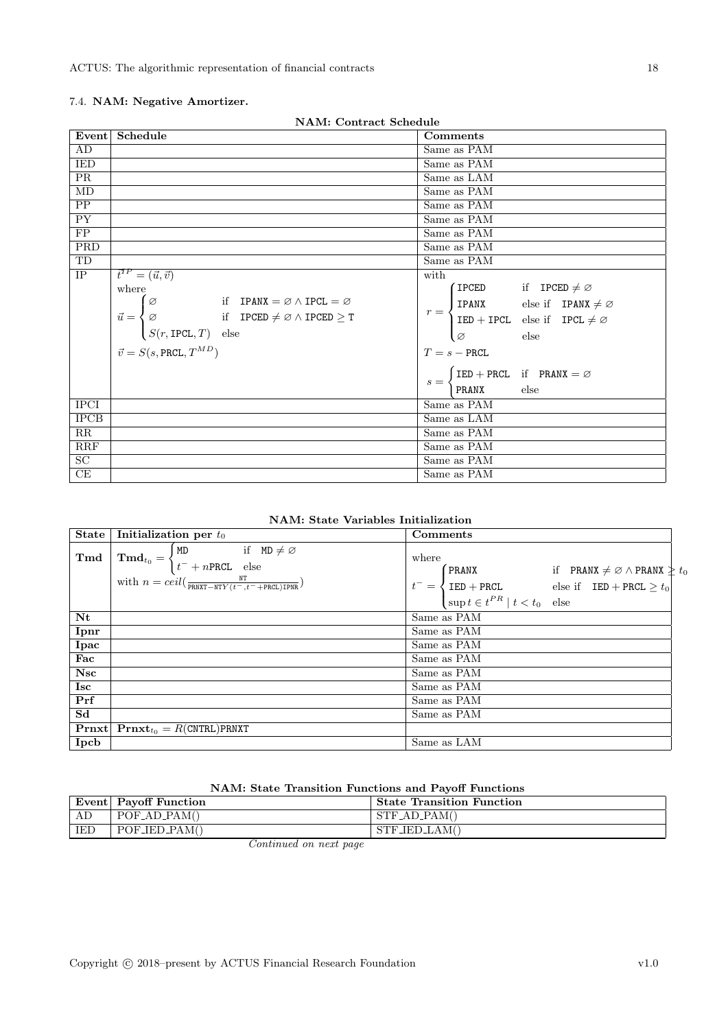### 7.4. NAM: Negative Amortizer.

| <b>NAM: Contract Schedule</b> |                                                                                                                                                                                                                                                          |                                                                                                                                                                                   |  |
|-------------------------------|----------------------------------------------------------------------------------------------------------------------------------------------------------------------------------------------------------------------------------------------------------|-----------------------------------------------------------------------------------------------------------------------------------------------------------------------------------|--|
|                               | Event Schedule                                                                                                                                                                                                                                           | Comments                                                                                                                                                                          |  |
| AD                            |                                                                                                                                                                                                                                                          | Same as PAM                                                                                                                                                                       |  |
| <b>IED</b>                    |                                                                                                                                                                                                                                                          | Same as PAM                                                                                                                                                                       |  |
| <b>PR</b>                     |                                                                                                                                                                                                                                                          | Same as LAM                                                                                                                                                                       |  |
| MD                            |                                                                                                                                                                                                                                                          | Same as PAM                                                                                                                                                                       |  |
| PP                            |                                                                                                                                                                                                                                                          | Same as PAM                                                                                                                                                                       |  |
| $\overline{PY}$               |                                                                                                                                                                                                                                                          | Same as PAM                                                                                                                                                                       |  |
| $\overline{FP}$               |                                                                                                                                                                                                                                                          | Same as PAM                                                                                                                                                                       |  |
| PRD                           |                                                                                                                                                                                                                                                          | Same as PAM                                                                                                                                                                       |  |
| TD                            |                                                                                                                                                                                                                                                          | Same as PAM                                                                                                                                                                       |  |
| <b>IP</b>                     | $\vec{t}^{TP} = (\vec{u}, \vec{v})$                                                                                                                                                                                                                      | with                                                                                                                                                                              |  |
|                               | where                                                                                                                                                                                                                                                    | (IPCED if IPCED $\neq \emptyset$                                                                                                                                                  |  |
|                               |                                                                                                                                                                                                                                                          |                                                                                                                                                                                   |  |
|                               | $\vec{u} = \begin{cases} \varnothing \qquad & \quad \text{if} \quad \text{IPANX} = \varnothing \land \text{IPCL} = \varnothing \\ \varnothing \qquad & \quad \text{if} \quad \text{IPCED} \neq \varnothing \land \text{IPCED} \geq \text{T} \end{cases}$ | $r = \begin{cases} \text{IPANX} & \text{else if} \quad \text{IPANX} \neq \varnothing \\ \text{IED} + \text{IPCL} & \text{else if} \quad \text{IPCL} \neq \varnothing \end{cases}$ |  |
|                               | $(S(r, \text{IPCL}, T)$ else                                                                                                                                                                                                                             | $_{\rm else}$<br>$\sqrt{2}$                                                                                                                                                       |  |
|                               | $\vec{v} = S(s, \text{PRCL}, T^{MD})$                                                                                                                                                                                                                    | $T=s-{\tt PRCL}$                                                                                                                                                                  |  |
|                               |                                                                                                                                                                                                                                                          | $\int$ IED + PRCL if PRANX = $\varnothing$<br>$s =$                                                                                                                               |  |
|                               |                                                                                                                                                                                                                                                          | <b>PRANX</b><br>else                                                                                                                                                              |  |
| <b>IPCI</b>                   |                                                                                                                                                                                                                                                          | Same as PAM                                                                                                                                                                       |  |
| <b>IPCB</b>                   |                                                                                                                                                                                                                                                          | Same as LAM                                                                                                                                                                       |  |
| RR                            |                                                                                                                                                                                                                                                          | Same as PAM                                                                                                                                                                       |  |
| RRF                           |                                                                                                                                                                                                                                                          | Same as PAM                                                                                                                                                                       |  |
| $\overline{SC}$               |                                                                                                                                                                                                                                                          | Same as PAM                                                                                                                                                                       |  |
| CE                            |                                                                                                                                                                                                                                                          | Same as PAM                                                                                                                                                                       |  |

| NAM: State Variables Initialization |  |  |
|-------------------------------------|--|--|
|-------------------------------------|--|--|

| State          | Initialization per $t_0$<br>Comments                                                                                                                                                                                               |                                                                                                                                                                                                                                                                             |
|----------------|------------------------------------------------------------------------------------------------------------------------------------------------------------------------------------------------------------------------------------|-----------------------------------------------------------------------------------------------------------------------------------------------------------------------------------------------------------------------------------------------------------------------------|
| Tmd            | $\mathbf{Tmd}_{t_0} = \begin{cases} \mathtt{MD} & \text{if } \mathtt{MD} \neq \varnothing \\ t^- + n \mathtt{PRCL} & \text{else} \end{cases}$<br>with $n = \text{ceil}(\frac{NT}{\text{PRNXT}-NTY(t-,t=+\text{PRCL})\text{IPNR}})$ | where<br>$\int$ PRANX if PRANX $\neq \varnothing \wedge$ PRANX $\frac{1}{\epsilon} t_0$<br>$t^{-} = \begin{cases} \text{IED} + \text{PRCL} & \text{else if} \quad \text{IED} + \text{PRCL} \geq t_0 \\ \text{sup } t \in t^{PR} \mid t < t_0 \quad \text{else} \end{cases}$ |
| $N_{t}$        |                                                                                                                                                                                                                                    | Same as PAM                                                                                                                                                                                                                                                                 |
| Ipnr           |                                                                                                                                                                                                                                    | Same as PAM                                                                                                                                                                                                                                                                 |
| Ipac           |                                                                                                                                                                                                                                    | Same as PAM                                                                                                                                                                                                                                                                 |
| Fac            |                                                                                                                                                                                                                                    | Same as PAM                                                                                                                                                                                                                                                                 |
| <b>Nsc</b>     |                                                                                                                                                                                                                                    | Same as PAM                                                                                                                                                                                                                                                                 |
| <b>Isc</b>     |                                                                                                                                                                                                                                    | Same as PAM                                                                                                                                                                                                                                                                 |
| Prf            |                                                                                                                                                                                                                                    | Same as PAM                                                                                                                                                                                                                                                                 |
| S <sub>d</sub> |                                                                                                                                                                                                                                    | Same as PAM                                                                                                                                                                                                                                                                 |
|                | $Prnxt$ $Prnxtt0 = R(CNTRL)PRNXT$                                                                                                                                                                                                  |                                                                                                                                                                                                                                                                             |
| Ipcb           |                                                                                                                                                                                                                                    | Same as LAM                                                                                                                                                                                                                                                                 |

### NAM: State Transition Functions and Payoff Functions

|     | Event   Payoff Function | <b>State Transition Function</b> |
|-----|-------------------------|----------------------------------|
| AD  | $POFAD-PAM()$           | $STF$ _AD_PAM()                  |
| IED | $POF_\text{LED}$ PAM()  | $STF_{\text{JED}\_\text{LAM}}($  |
|     | $\sim$<br>$\sim$ $\sim$ |                                  |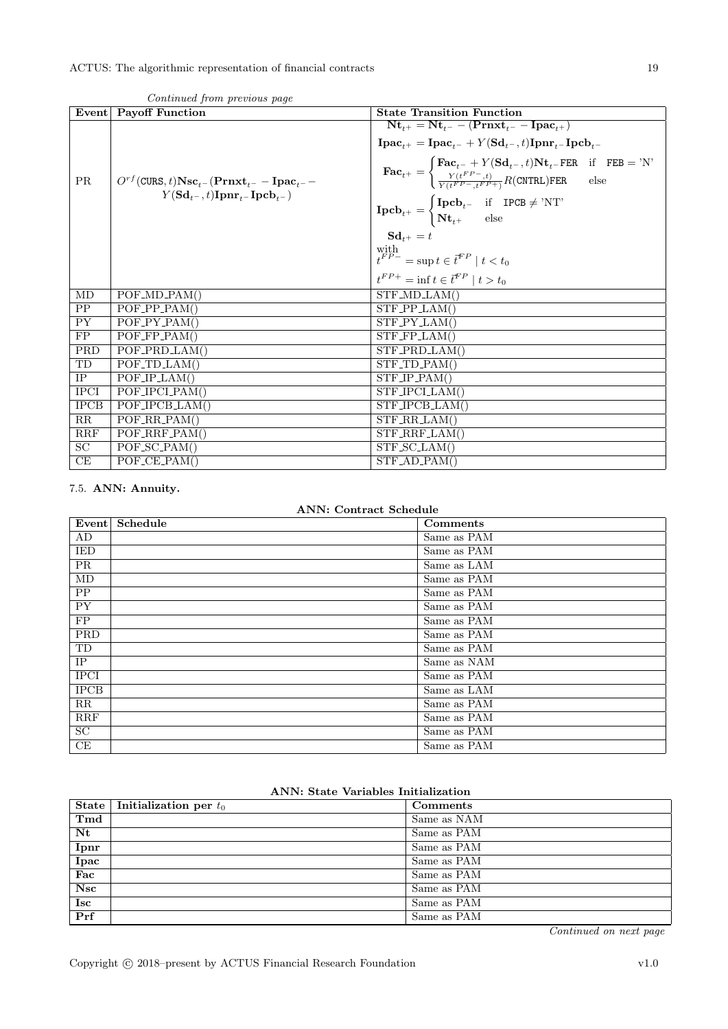|                 | Event Payoff Function                                                                                                                                          | <b>State Transition Function</b>                                                                                                                                                                                                                                   |
|-----------------|----------------------------------------------------------------------------------------------------------------------------------------------------------------|--------------------------------------------------------------------------------------------------------------------------------------------------------------------------------------------------------------------------------------------------------------------|
|                 |                                                                                                                                                                | $Nt_{t+} = Nt_{t-} - (Prnxt_{t-} - Ipac_{t+})$                                                                                                                                                                                                                     |
| <b>PR</b>       | $O^{rf}(\texttt{CURS},t)\textbf{Nsc}_{t^-}(\textbf{Prnxt}_{t^-}-\textbf{I}\textbf{pac}_{t^-}-$<br>$Y(\mathrm{Sd}_{t-}, t)\mathrm{Ipm}_{t-}\mathrm{Ipcb}_{t-})$ | $\mathbf{I}\mathbf{pac}_{t+} = \mathbf{I}\mathbf{pac}_{t-} + Y(\mathbf{Sd}_{t-}, t)\mathbf{I}\mathbf{pnr}_{t-}\mathbf{I}\mathbf{pcb}_{t-}$                                                                                                                         |
|                 |                                                                                                                                                                | $\textbf{Fac}_{t^+} = \begin{cases} \textbf{Fac}_{t^-} + Y(\textbf{Sd}_{t^-}, t) \textbf{Nt}_{t^-} \textbf{FER} & \text{if} \quad \textbf{FEB} = \text{'N'} \\ \frac{Y(t^{FP-}, t)}{Y(t^{FP-}, t^{FP+})} R(\textbf{CNTRL}) \textbf{FER} & \text{else} \end{cases}$ |
|                 |                                                                                                                                                                | $\mathbf{Ipcb}_{t^{+}} = \begin{cases} \mathbf{Ipcb}_{t^{-}} & \text{if } \mathbf{IPCB} \neq \text{'NT'} \\ \mathbf{Nt}_{t^{+}} & \text{else} \end{cases}$                                                                                                         |
|                 |                                                                                                                                                                | $\mathbf{Sd}_{t+} = t$                                                                                                                                                                                                                                             |
|                 |                                                                                                                                                                | $\label{eq:optimal} \begin{aligned} & \underset{t^{FP-}}{\text{with}} = \sup{t \in \vec{t}^{FP} \mid t < t_0} \end{aligned}$                                                                                                                                       |
|                 |                                                                                                                                                                | $t^{FP+} = \inf t \in \bar{t}^{FP} \mid t > t_0$                                                                                                                                                                                                                   |
| MD              | $POF\_{MD\_PAM()}$                                                                                                                                             | $STF\_{MD\_{LAM}}($                                                                                                                                                                                                                                                |
| PP              | $POF_PPP_PAM()$                                                                                                                                                | $STF_PPLAM()$                                                                                                                                                                                                                                                      |
| <b>PY</b>       | $POF_PY_PAM()$                                                                                                                                                 | STF_PY_LAM()                                                                                                                                                                                                                                                       |
| FP              | $POF_FPP_PAM()$                                                                                                                                                | $STF_FPLAM()$                                                                                                                                                                                                                                                      |
| <b>PRD</b>      | POF_PRD_LAM()                                                                                                                                                  | STF_PRD_LAM()                                                                                                                                                                                                                                                      |
| TD              | $POF\_TD\_LAM()$                                                                                                                                               | STF_TD_PAM()                                                                                                                                                                                                                                                       |
| $\rm IP$        | $POF/IP_LAM()$                                                                                                                                                 | $STF\_IP\_PAM()$                                                                                                                                                                                                                                                   |
| <b>IPCI</b>     | POF_IPCLPAM()                                                                                                                                                  | STF_IPCL_LAM()                                                                                                                                                                                                                                                     |
| <b>IPCB</b>     | POF_IPCB_LAM()                                                                                                                                                 | STF_IPCB_LAM()                                                                                                                                                                                                                                                     |
| RR              | $POF_RR_PAM()$                                                                                                                                                 | STF_RR_LAM()                                                                                                                                                                                                                                                       |
| RRF             | $POF_RRF_PAM()$                                                                                                                                                | STF_RRF_LAM()                                                                                                                                                                                                                                                      |
| $\overline{SC}$ | $POF_SCDAM()$                                                                                                                                                  | STF_SC_LAM()                                                                                                                                                                                                                                                       |
| CE              | $POF_{CE\_PAM}()$                                                                                                                                              | $STF$ <sub>-AD</sub> $-PAM()$                                                                                                                                                                                                                                      |

Continued from previous page

<span id="page-18-0"></span>7.5. ANN: Annuity.

### ANN: Contract Schedule

| Event           | Schedule | Comments    |
|-----------------|----------|-------------|
| AD              |          | Same as PAM |
| IED             |          | Same as PAM |
| PR              |          | Same as LAM |
| MD              |          | Same as PAM |
| $\overline{PP}$ |          | Same as PAM |
| PY              |          | Same as PAM |
| FP              |          | Same as PAM |
| <b>PRD</b>      |          | Same as PAM |
| TD              |          | Same as PAM |
| IP              |          | Same as NAM |
| <b>IPCI</b>     |          | Same as PAM |
| <b>IPCB</b>     |          | Same as LAM |
| RR              |          | Same as PAM |
| <b>RRF</b>      |          | Same as PAM |
| $\overline{SC}$ |          | Same as PAM |
| CE              |          | Same as PAM |

### ANN: State Variables Initialization

|             | State   Initialization per $t_0$ | Comments    |
|-------------|----------------------------------|-------------|
| Tmd         |                                  | Same as NAM |
| Nt          |                                  | Same as PAM |
| Ipnr        |                                  | Same as PAM |
| <b>Ipac</b> |                                  | Same as PAM |
| Fac         |                                  | Same as PAM |
| Nsc         |                                  | Same as PAM |
| Isc         |                                  | Same as PAM |
| Prf         |                                  | Same as PAM |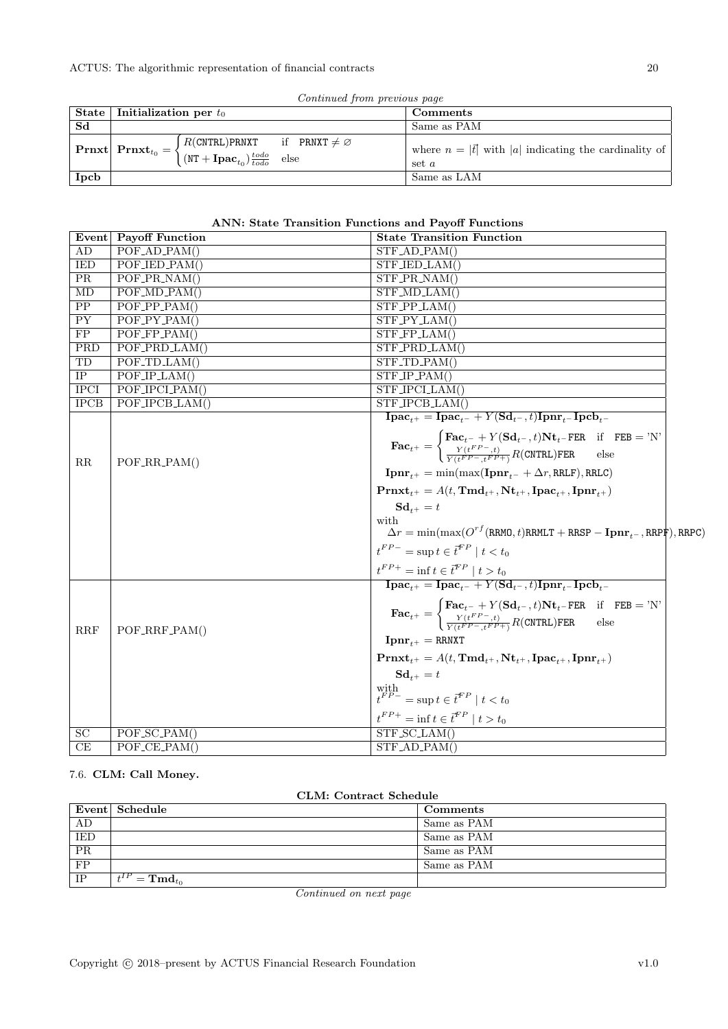| Continued from previous page |                                  |                                                                                                                                                                                                                            |  |                                                                       |
|------------------------------|----------------------------------|----------------------------------------------------------------------------------------------------------------------------------------------------------------------------------------------------------------------------|--|-----------------------------------------------------------------------|
|                              | State   Initialization per $t_0$ |                                                                                                                                                                                                                            |  | Comments                                                              |
| Sd                           |                                  |                                                                                                                                                                                                                            |  | Same as PAM                                                           |
|                              |                                  | $\boxed{\textbf{Prnxt}}\textbf{Prnxt}_{t_0} = \begin{cases} R(\texttt{CNTRL})\texttt{PRNXT} & \text{if } \texttt{PRNXT} \neq \varnothing \ (\texttt{NT} + \textbf{Ipac}_{t_0})\frac{todo}{todo} & \text{else} \end{cases}$ |  | where $n =  \vec{t} $ with  a  indicating the cardinality of<br>set a |
| Ipcb                         |                                  |                                                                                                                                                                                                                            |  | Same as LAM                                                           |

### ANN: State Transition Functions and Payoff Functions

|                 | Event Payoff Function                     | <b>State Transition Function</b>                                                                                                                                                                                                                                                                                                                                                                                                                                                                                                                                                                                                                |
|-----------------|-------------------------------------------|-------------------------------------------------------------------------------------------------------------------------------------------------------------------------------------------------------------------------------------------------------------------------------------------------------------------------------------------------------------------------------------------------------------------------------------------------------------------------------------------------------------------------------------------------------------------------------------------------------------------------------------------------|
| AD              | $POF$ <sub>-AD</sub> <sub>-PAM</sub> $()$ | $STF$ _AD_PAM()                                                                                                                                                                                                                                                                                                                                                                                                                                                                                                                                                                                                                                 |
| <b>IED</b>      | POF_IED_PAM()                             | STF_IED_LAM()                                                                                                                                                                                                                                                                                                                                                                                                                                                                                                                                                                                                                                   |
| <b>PR</b>       | $POF\_PR\_NAM()$                          | $STF$ <sub>-PR_NAM</sub> $()$                                                                                                                                                                                                                                                                                                                                                                                                                                                                                                                                                                                                                   |
| MD              | $POF_\text{MD\_PAM}()$                    | $STF\_{MD}\_{LAM}$                                                                                                                                                                                                                                                                                                                                                                                                                                                                                                                                                                                                                              |
| $\overline{PP}$ | $POF_PPP_PAM()$                           | $STF_PPLAM()$                                                                                                                                                                                                                                                                                                                                                                                                                                                                                                                                                                                                                                   |
| $\overline{PY}$ | $POF_PY_PAM()$                            | $\overline{\text{STF}_\text{-} \text{PY}_\text{-LAM}}()$                                                                                                                                                                                                                                                                                                                                                                                                                                                                                                                                                                                        |
| $\overline{FP}$ | $POF_FPP_PAM()$                           | $STF_FPLAM()$                                                                                                                                                                                                                                                                                                                                                                                                                                                                                                                                                                                                                                   |
| PRD             | POF_PRD_LAM()                             | STF_PRD_LAM()                                                                                                                                                                                                                                                                                                                                                                                                                                                                                                                                                                                                                                   |
| TD              | $POF\_TD\_LAM()$                          | $STF\_TD\_PAM()$                                                                                                                                                                                                                                                                                                                                                                                                                                                                                                                                                                                                                                |
| IP              | POF/IP.LAM()                              | $\overline{\text{STF\_IP\_PAM}}()$                                                                                                                                                                                                                                                                                                                                                                                                                                                                                                                                                                                                              |
| <b>IPCI</b>     | POF_IPCLPAM()                             | STF_IPCLLAM()                                                                                                                                                                                                                                                                                                                                                                                                                                                                                                                                                                                                                                   |
| <b>IPCB</b>     | POF_IPCB_LAM()                            | STF_IPCB_LAM()                                                                                                                                                                                                                                                                                                                                                                                                                                                                                                                                                                                                                                  |
|                 |                                           | $\mathbf{I}\mathbf{p}\mathbf{a}\mathbf{c}_{t+} = \mathbf{I}\mathbf{p}\mathbf{a}\mathbf{c}_{t-} + Y(\mathbf{S}\mathbf{d}_{t-},t)\mathbf{I}\mathbf{p}\mathbf{n}\mathbf{r}_{t-}\mathbf{I}\mathbf{p}\mathbf{c}\mathbf{b}_{t-}$                                                                                                                                                                                                                                                                                                                                                                                                                      |
| $\rm RR$        | POF_RR_PAM()                              | $\textbf{Fac}_{t^{+}} = \begin{cases} \textbf{Fac}_{t^{-}} + Y(\textbf{Sd}_{t^{-}}, t)\textbf{Nt}_{t^{-}}\textbf{FER} & \text{if} \quad \textbf{FEB} = \text{'N'}\\ \frac{Y(t^{FP}-,t)}{Y(t^{FP}-, t^{FP}+\text{'}}R(\textbf{CNTRL})\textbf{FER} & \text{else} \end{cases}$<br>$\mathbf{Ipmr}_{t+} = \min(\max(\mathbf{Ipmr}_{t-} + \Delta r, \text{RRLF}), \text{RRLC})$<br>$\text{Prnxt}_{t+} = A(t, \text{Tmd}_{t+}, \text{Nt}_{t+}, \text{Ipac}_{t+}, \text{Ipmr}_{t+})$<br>$\mathbf{Sd}_{t+} = t$<br>with<br>$\Delta r = \min(\max(O^{rf}(RRMO, t)RRMLT + RRSP - \mathbf{Ipmr}_{-}, RRPF), RRPC)$                                          |
|                 |                                           | $t^{FP-} = \sup t \in \bar{t}^{FP} \mid t < t_0$<br>$\frac{t^{FP+}}{\textbf{I}\textbf{p}\textbf{a}\textbf{c}_{t^+}}=\inf t\in \bar{t}^{FP}\mid t>t_0}{\textbf{I}\textbf{p}\textbf{a}\textbf{c}_{t^+}}=\textbf{I}\textbf{p}\textbf{a}\textbf{c}_{t^-}+Y(\textbf{S}\textbf{d}_{t^-},t)\textbf{I}\textbf{p}\textbf{n}\textbf{r}_{t^-}\textbf{I}\textbf{p}\textbf{c}\textbf{b}_{t^-}}$                                                                                                                                                                                                                                                              |
| RRF             | POF_RRF_PAM()                             | $\textbf{Fac}_{t^{+}} = \begin{cases} \textbf{Fac}_{t^{-}} + Y(\textbf{Sd}_{t^{-}}, t)\textbf{Nt}_{t^{-}}\textbf{FER} & \text{if} \quad \textbf{FEB} = \text{'N'}\\ \frac{Y(t^{FP}-,t)}{Y(t^{FP}-, t^{FP}+)}R(\textbf{CNTRL})\textbf{FER} & \text{else} \end{cases}$<br>$\text{I} \text{p} \text{n} \text{r}_{t+} = \text{RRNXT}$<br>$Pr{\text{rxt}_{t+}} = A(t, \text{Tmd}_{t+}, \text{Nt}_{t+}, \text{Ipac}_{t+}, \text{Ipmr}_{t+})$<br>$\mathbf{Sd}_{t+} = t$<br>$\label{eq:optimal} \begin{array}{l} \underset{t}{\text{with}}\\ t^{FP-}=\sup t\in \vec{t}^{FP}\mid t< t_0 \end{array}$<br>$t^{FP+} = \inf t \in \bar{t}^{FP} \mid t > t_0$ |
| <b>SC</b>       | $\overline{POF\_SC\_PAM}()$               | $STF_SCLAM()$                                                                                                                                                                                                                                                                                                                                                                                                                                                                                                                                                                                                                                   |
| CE              | $POF_{CE\_PAM}()$                         | $STF$ <sub>-AD</sub> $-PAM()$                                                                                                                                                                                                                                                                                                                                                                                                                                                                                                                                                                                                                   |

### <span id="page-19-0"></span>7.6. CLM: Call Money.

| CLM: Contract Schedule |  |
|------------------------|--|
|                        |  |

|                 | Event Schedule                          | Comments    |
|-----------------|-----------------------------------------|-------------|
| AD              |                                         | Same as PAM |
| IED             |                                         | Same as PAM |
| PR              |                                         | Same as PAM |
| $\overline{FP}$ |                                         | Same as PAM |
| IP              | $t^{IP} = \mathbf{Tm} \mathbf{d}_{t_0}$ |             |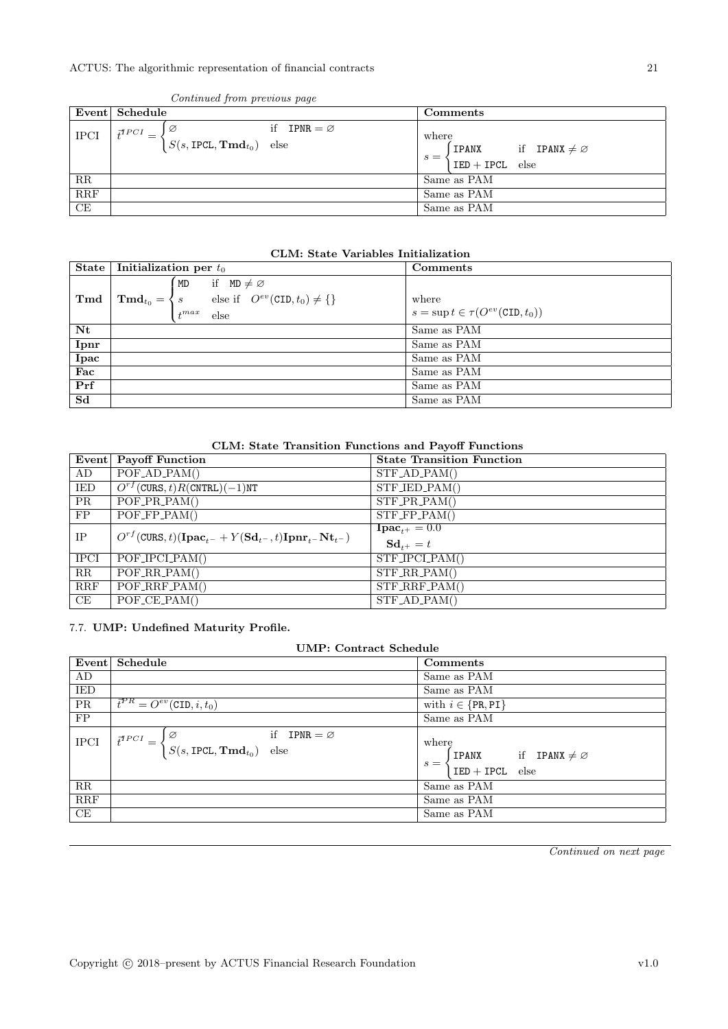|                         | Event Schedule                                                                                                    | $Comments$                                                                |
|-------------------------|-------------------------------------------------------------------------------------------------------------------|---------------------------------------------------------------------------|
| <b>IPCI</b>             | if IPNR = $\varnothing$<br>Ø<br>$\vec{t}^{TPCI}$<br>$=$<br>$\big  S(s, \text{IPCL}, \text{Tmd}_{t_0}) \big $ else | where<br>if IPANX $\neq \emptyset$<br>IPANX<br>$s =$<br>$IED + IPCL$ else |
| $\rm RR$                |                                                                                                                   | Same as PAM                                                               |
| $\overline{\text{RRF}}$ |                                                                                                                   | Same as PAM                                                               |
| CE                      |                                                                                                                   | Same as PAM                                                               |

#### Continued from previous page

#### CLM: State Variables Initialization

| State          | Initialization per $t_0$                                                                                                                      | Comments                                                |
|----------------|-----------------------------------------------------------------------------------------------------------------------------------------------|---------------------------------------------------------|
| Tmd            | if $MD \neq \emptyset$<br>MD<br>else if $O^{ev}(\text{CID}, t_0) \neq \{\}\$<br>$\mathbf{Tmd}_{t_0} = \langle s \rangle$<br>$t^{max}$<br>else | where<br>$s = \sup t \in \tau(O^{ev}(\text{CID}, t_0))$ |
| Nt             |                                                                                                                                               | Same as PAM                                             |
| Ipnr           |                                                                                                                                               | Same as PAM                                             |
| <b>Ipac</b>    |                                                                                                                                               | Same as PAM                                             |
| Fac            |                                                                                                                                               | Same as PAM                                             |
| Prf            |                                                                                                                                               | Same as PAM                                             |
| S <sub>d</sub> |                                                                                                                                               | Same as PAM                                             |

#### CLM: State Transition Functions and Payoff Functions

|             | Event Payoff Function                                                                                                   | <b>State Transition Function</b>         |
|-------------|-------------------------------------------------------------------------------------------------------------------------|------------------------------------------|
| AD          | $POF$ <sub>-AD</sub> <sub>-PAM</sub> $()$                                                                               | $STF$ <sub>-AD</sub> -PAM()              |
| IED         | $O^{rf}$ (CURS, t)R(CNTRL)(-1)NT                                                                                        | STF_IED_PAM()                            |
| <b>PR</b>   | $POF\_PR\_PAM()$                                                                                                        | $STF_P$ R_PAM()                          |
| FP          | $\overline{POF.FP}$ -PAM()                                                                                              | $STF_FPP_AM()$                           |
| IP          | $O^{rf}(\text{CURS},t)(\textbf{I}\textbf{pac}_{t-} + Y(\textbf{Sd}_{t-},t)\textbf{I}\textbf{pnr}_{t-}\textbf{Nt}_{t-})$ | ${\bf Inac}_{i+} = 0.0$<br>$Sd_{t+} = t$ |
| <b>IPCI</b> | $\overline{POF}$ JPCLPAM()                                                                                              | STF_IPCLPAM()                            |
| RR          | $\overline{POF_RR}$ $\overline{PAM}$ ()                                                                                 | $STF_R$ R.PAM()                          |
| RRF         | $POF_RRF_PAM()$                                                                                                         | $STF_RRF_PAM()$                          |
| CE          | $\overline{POF\_CE\_PAM}$ ()                                                                                            | $STF$ <sub>-AD</sub> -PAM()              |

#### <span id="page-20-0"></span>7.7. UMP: Undefined Maturity Profile.

| <b>UMP: Contract Schedule</b> |                                                                                                         |                                                                                      |  |  |  |  |
|-------------------------------|---------------------------------------------------------------------------------------------------------|--------------------------------------------------------------------------------------|--|--|--|--|
| Event                         | Schedule                                                                                                | Comments                                                                             |  |  |  |  |
| AD                            |                                                                                                         | Same as PAM                                                                          |  |  |  |  |
| IED                           |                                                                                                         | Same as PAM                                                                          |  |  |  |  |
| <b>PR</b>                     | $\overline{t}^{PR} = O^{ev}(\text{CID}, i, t_0)$                                                        | with $i \in \{PR, PI\}$                                                              |  |  |  |  |
| FP                            |                                                                                                         | Same as PAM                                                                          |  |  |  |  |
| <b>IPCI</b>                   | if IPNR = $\varnothing$<br>l Ø<br>$\vec{t}^{TPCI}$ =<br>$S(s, \text{IPCL}, \mathbf{Tmd}_{t_0})$<br>else | where<br><b>IPANX</b> if <b>IPANX</b> $\neq \emptyset$<br>$s =$<br>$IED + IPCL$ else |  |  |  |  |
| RR                            |                                                                                                         | Same as PAM                                                                          |  |  |  |  |
| <b>RRF</b>                    |                                                                                                         | Same as PAM                                                                          |  |  |  |  |
| CE                            |                                                                                                         | Same as PAM                                                                          |  |  |  |  |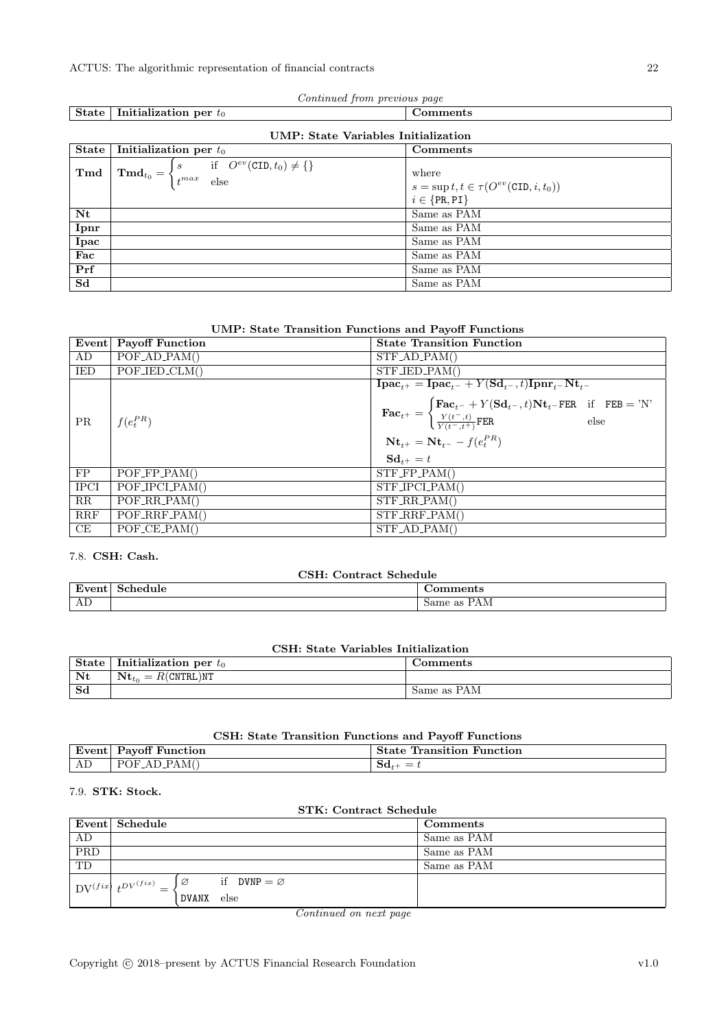| Continued from previous page |                                                                                                                                 |                                                               |  |  |  |  |
|------------------------------|---------------------------------------------------------------------------------------------------------------------------------|---------------------------------------------------------------|--|--|--|--|
| <b>State</b>                 | Initialization per $t_0$                                                                                                        | Comments                                                      |  |  |  |  |
|                              | UMP: State Variables Initialization                                                                                             |                                                               |  |  |  |  |
| <b>State</b>                 | Initialization per $t_0$                                                                                                        | Comments                                                      |  |  |  |  |
| Tmd                          | $\mathbf{Tmd}_{t_0} = \begin{cases} s & \text{if} \quad O^{ev}(\text{CID}, t_0) \neq \{\} \\ t^{max} & \text{else} \end{cases}$ | where<br>$s = \sup t, t \in \tau(O^{ev}(\text{CID}, i, t_0))$ |  |  |  |  |
|                              |                                                                                                                                 | $i \in \{PR, PI\}$                                            |  |  |  |  |
| Nt                           |                                                                                                                                 | Same as PAM                                                   |  |  |  |  |
| Ipnr                         |                                                                                                                                 | Same as PAM                                                   |  |  |  |  |
| Ipac                         |                                                                                                                                 | Same as PAM                                                   |  |  |  |  |
| Fac                          |                                                                                                                                 | Same as PAM                                                   |  |  |  |  |
| Prf                          |                                                                                                                                 | Same as PAM                                                   |  |  |  |  |
| S <sub>d</sub>               |                                                                                                                                 | Same as PAM                                                   |  |  |  |  |

| <b>UMP: State Transition Functions and Payoff Functions</b> |  |  |  |  |  |  |  |
|-------------------------------------------------------------|--|--|--|--|--|--|--|
|-------------------------------------------------------------|--|--|--|--|--|--|--|

|             | Event   Payoff Function            | <b>State Transition Function</b>                                                                                                                                                                                                                                                                                                                                                                                                         |  |  |
|-------------|------------------------------------|------------------------------------------------------------------------------------------------------------------------------------------------------------------------------------------------------------------------------------------------------------------------------------------------------------------------------------------------------------------------------------------------------------------------------------------|--|--|
| AD          | $POF_{AD\_PAM}()$                  | $STF$ <sub>-AD</sub> -PAM()                                                                                                                                                                                                                                                                                                                                                                                                              |  |  |
| IED         | $POF_{\text{JED\_CLM}}()$          | $STF_{\text{JED\_PAM}}($                                                                                                                                                                                                                                                                                                                                                                                                                 |  |  |
| PR          | $f(e_t^{PR})$                      | $\mathbf{I}\mathbf{pac}_{t+} = \overline{\mathbf{I}\mathbf{pac}_{t-} + Y(\mathbf{Sd}_{t-}, t)\mathbf{I}\mathbf{pnr}_{t-}\mathbf{Nt}_{t-}}$<br>$\textbf{Fac}_{t^+} = \begin{cases} \textbf{Fac}_{t^-} + Y(\textbf{Sd}_{t^-}, t) \textbf{Nt}_{t^-} \textbf{FER} & \text{if} \quad \textbf{FEB} = \text{'N'} \\ \frac{Y(t^-, t)}{Y(t^-, t^+)} \textbf{FER} & \text{else} \end{cases}$<br>$Nt_{t+} = Nt_{t-} - f(e_t^{PR})$<br>$Sd_{t+} = t$ |  |  |
| FP          | $POF_FP_PAM()$                     | $STF_FPP_PAM()$                                                                                                                                                                                                                                                                                                                                                                                                                          |  |  |
| <b>IPCI</b> | $POF\_IPCI\_PAM()$                 | $STF\_IPCI-PAM()$                                                                                                                                                                                                                                                                                                                                                                                                                        |  |  |
| RR          | $POF_RR_PAM()$                     | $STF_R$ R.PAM()                                                                                                                                                                                                                                                                                                                                                                                                                          |  |  |
| RRF         | $POF_RRF_PAM()$                    | $STF_RRF_PAM()$                                                                                                                                                                                                                                                                                                                                                                                                                          |  |  |
| CE          | $POF_{\text{-}}CE_{\text{-}}PAM()$ | $STF$ <sub>-AD</sub> <sub>-PAM</sub> $()$                                                                                                                                                                                                                                                                                                                                                                                                |  |  |

### <span id="page-21-0"></span>7.8. CSH: Cash.

| CSH: Contract Schedule |                  |             |  |  |
|------------------------|------------------|-------------|--|--|
|                        | Event   Schedule | Comments    |  |  |
| AD                     |                  | Same as PAM |  |  |

| CSH: State Variables Initialization |  |
|-------------------------------------|--|
|-------------------------------------|--|

| <b>State</b> | Initialization per $t_0$ | Jomments    |
|--------------|--------------------------|-------------|
| Nt           | $Nt_{to}$<br>R(CNTRL)NT  |             |
| Sd           |                          | Same as PAM |

### CSH: State Transition Functions and Payoff Functions

|                                   | ----------------------------    |                                   |  |
|-----------------------------------|---------------------------------|-----------------------------------|--|
| Even<br>$\epsilon$ ill $\epsilon$ | Function<br>Payofi              | Function<br>™ransition ⊥<br>State |  |
| ' AL                              | PAM(<br>POF<br>' AD P<br>$\sim$ |                                   |  |

### <span id="page-21-1"></span>7.9. STK: Stock.

| <b>STK: Contract Schedule</b> |                                                             |                                                    |  |
|-------------------------------|-------------------------------------------------------------|----------------------------------------------------|--|
|                               | Event Schedule                                              | Comments                                           |  |
| AD                            |                                                             | Same as PAM                                        |  |
| <b>PRD</b>                    |                                                             | Same as PAM                                        |  |
| TD                            |                                                             | Same as PAM                                        |  |
|                               | $\label{eq:1} \text{DV}^{(fix)}\ t^{DV^{(fix)}}\; \text{-}$ | if DVNP $=\varnothing$<br>$\overline{\varnothing}$ |  |
|                               |                                                             | <b>DVANX</b><br>else                               |  |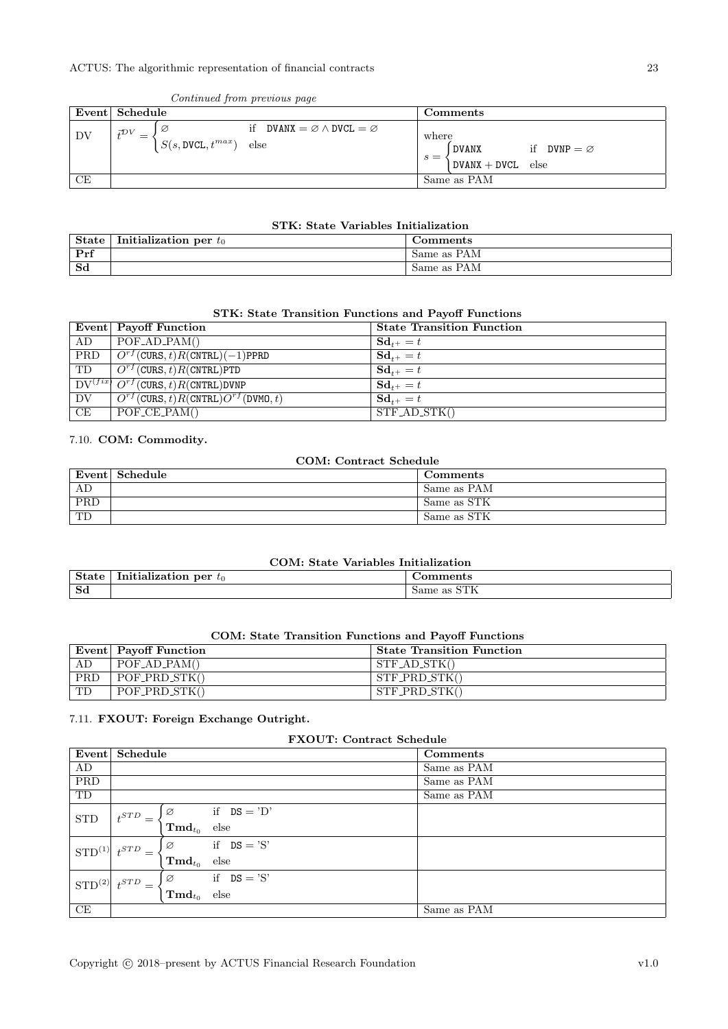#### Continued from previous page

#### STK: State Variables Initialization

| <b>State</b> | Initialization per $t_0$ | Comments    |
|--------------|--------------------------|-------------|
| Prf          |                          | Same as PAM |
| Sd           |                          | Same as PAM |

#### STK: State Transition Functions and Payoff Functions

|                        | Event Payoff Function                                                       | <b>State Transition Function</b> |
|------------------------|-----------------------------------------------------------------------------|----------------------------------|
| AD                     | $\overline{POF_{AD}PAM}$                                                    | $Sd_{t+} = t$                    |
| PRD                    | $\boxed{O^{rf}(\texttt{CURS},t)R(\texttt{CNTRL})(-1)\texttt{PPRD}}$         | $Sd_{t+} = t$                    |
| $\overline{\text{TD}}$ | $\overline{O^{rf}(\texttt{CURS},t)R(\texttt{CNTRL})\texttt{PTD}}$           | $Sd_{t+} = t$                    |
|                        | $\boxed{\text{DV}^{(fix)}\text{O}^{rf}(\text{CURS},t)R(\text{CNTRL})}$ DVNP | $Sd_{t+} = t$                    |
| $\overline{DV}$        | $\overline{O^{rf}(\text{CURS},t)R(\text{CNTRL})O^{rf}(\text{DVMO},t)}$      | $Sd_{t+} = t$                    |
| CE                     | $\overline{POF.CE.PAM}$                                                     | STFADSTK()                       |

#### <span id="page-22-0"></span>7.10. COM: Commodity.

### COM: Contract Schedule

|     | Event Schedule | Comments    |
|-----|----------------|-------------|
| AD  |                | Same as PAM |
| PRD |                | Same as STK |
| TD  |                | Same as STK |

#### COM: State Variables Initialization

| $\alpha$<br>.    | <br>per<br>ы<br>-UC<br>the contract of the contract of | .                                                               |
|------------------|--------------------------------------------------------|-----------------------------------------------------------------|
| $S_{\mathbf{Q}}$ |                                                        | $\sim$ $\sim$ $\sim$ $\sim$<br>$_{\rm same}$<br>$3.45$ $0 + 11$ |

#### COM: State Transition Functions and Payoff Functions

|     | $E$ vent   Payoff Function | <b>State Transition Function</b> |
|-----|----------------------------|----------------------------------|
|     | $POF_{AD}PAM()$            | $STFAD_STK()$                    |
| PRD | POF_PRD_STK()              | $STF_PRD_STK()$                  |
| TD  | POF_PRD_STK()              | $STF$ PRD $STK()$                |

#### <span id="page-22-1"></span>7.11. FXOUT: Foreign Exchange Outright.

| <b>FXOUT: Contract Schedule</b> |                         |                      |                  |  |             |
|---------------------------------|-------------------------|----------------------|------------------|--|-------------|
|                                 | Event Schedule          |                      |                  |  | Comments    |
| AD                              |                         |                      |                  |  | Same as PAM |
| PRD                             |                         |                      |                  |  | Same as PAM |
| TD                              |                         |                      |                  |  | Same as PAM |
| <b>STD</b>                      | $_{+}STD$               | Ø                    | if $DS = 'D'$    |  |             |
|                                 |                         | $\mathbf{Tmd}_{t_0}$ | $_{\text{else}}$ |  |             |
|                                 | $STD^{(1)}$ $t^{STD}$   | Ø                    | if $DS = 'S'$    |  |             |
|                                 |                         | $\mathbf{Tmd}_{t_0}$ | $_{\text{else}}$ |  |             |
|                                 | $STD^{(2)}$ $t^{STD}$ . | Ø                    | if $DS = 'S'$    |  |             |
|                                 |                         | $\mathbf{Tmd}_{t_0}$ | $_{\text{else}}$ |  |             |
| CE                              |                         |                      |                  |  | Same as PAM |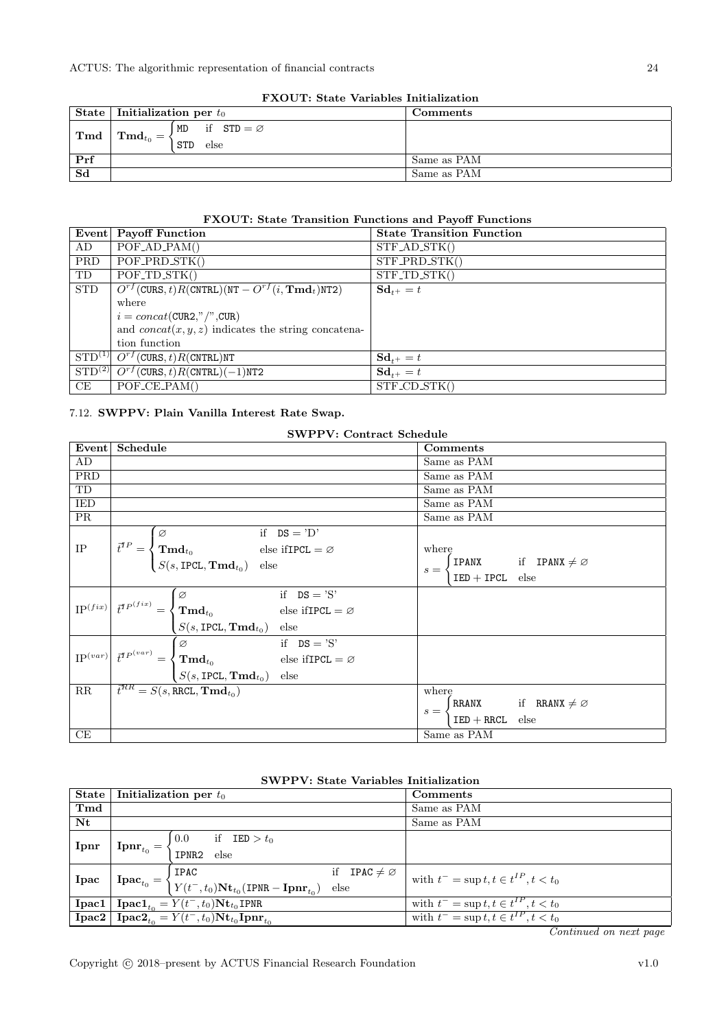| <b>FAOUL:</b> State variables initialization |                                  |                                           |             |  |
|----------------------------------------------|----------------------------------|-------------------------------------------|-------------|--|
|                                              | State   Initialization per $t_0$ |                                           | Comments    |  |
| Tmd                                          | $\mathbf{Tmd}_{t_0} = \langle$   | if $STD = \emptyset$<br>MD<br>STD<br>else |             |  |
| Prf                                          |                                  |                                           | Same as PAM |  |
| Sd                                           |                                  |                                           | Same as PAM |  |

## FXOUT: State Variables Initialization

#### FXOUT: State Transition Functions and Payoff Functions

|            | Event Payoff Function                                                                                                                      | <b>State Transition Function</b> |
|------------|--------------------------------------------------------------------------------------------------------------------------------------------|----------------------------------|
| AD         | POFAD.PAM()                                                                                                                                | $STF$ <sub>-AD</sub> $STK()$     |
| PRD        | POF_PRD_STK()                                                                                                                              | $STF$ PRD $STK()$                |
| TD         | $POF_TD_STK()$                                                                                                                             | $STF\_TD\_STK()$                 |
| <b>STD</b> | $O^{rf}$ (CURS, t) R(CNTRL)(NT – $O^{rf}(i, \text{Tmd}_t)$ NT2)                                                                            | $Sd_{t+} = t$                    |
|            | where                                                                                                                                      |                                  |
|            | $i = concat(CUR2," \text{ } \text{ }^{\prime\prime}, \text{ }^{\prime\prime}, \text{ }^{\prime\prime} \text{ }^{\prime} \text{ }^{\prime}$ |                                  |
|            | and $concat(x, y, z)$ indicates the string concatena-                                                                                      |                                  |
|            | tion function                                                                                                                              |                                  |
|            | $STD^{(1)}$ $O^{rf}(CURS, t)R(CNTRL)NT$                                                                                                    | $Sd_{t+} = t$                    |
|            | $\overline{\text{STD}^{(2)}}\overline{O^{rf}(\text{CURS},t)R(\text{CNTRL})}(-1)$ NT2                                                       | $Sd_{t+} = t$                    |
| CE         | $POF_{\text{-}}CE_{\text{-}}PAM()$                                                                                                         | $STF$ <sub>-CD</sub> $STK()$     |

### <span id="page-23-0"></span>7.12. SWPPV: Plain Vanilla Interest Rate Swap.

| <b>SWPPV: Contract Schedule</b> |                                                                                                                                                                             |                                               |  |  |  |
|---------------------------------|-----------------------------------------------------------------------------------------------------------------------------------------------------------------------------|-----------------------------------------------|--|--|--|
| Event                           | Schedule                                                                                                                                                                    | Comments                                      |  |  |  |
| AD                              |                                                                                                                                                                             | Same as PAM                                   |  |  |  |
| PRD                             |                                                                                                                                                                             | Same as PAM                                   |  |  |  |
| TD                              |                                                                                                                                                                             | Same as PAM                                   |  |  |  |
| <b>IED</b>                      |                                                                                                                                                                             | Same as PAM                                   |  |  |  |
| <b>PR</b>                       |                                                                                                                                                                             | Same as PAM                                   |  |  |  |
|                                 | if $DS = 'D'$<br>Ø                                                                                                                                                          |                                               |  |  |  |
| $\rm IP$                        | $\vec{t}^{TP} = \begin{cases} \mathbf{Tmd}_{t_0} & \text{else ifIPCL} = \varnothing \\ S(s, \text{IPCL}, \mathbf{Tmd}_{t_0}) & \text{else} \end{cases}$                     | where                                         |  |  |  |
|                                 |                                                                                                                                                                             | <b>IPANX</b> if <b>IPANX</b> $\neq \emptyset$ |  |  |  |
|                                 |                                                                                                                                                                             | $s =$<br>$IED + IPCL$ else                    |  |  |  |
|                                 | if $DS = 'S'$<br>Ø                                                                                                                                                          |                                               |  |  |  |
|                                 | $\left\vert \mathrm{IP}^{(fix)}\right\vert \vec{t}^{TP^{(fix)}}=\left\{ \mathrm{\bf Tmd}_{t_{0}}\right\}$<br>else if<br>IPCL = $\varnothing$                                |                                               |  |  |  |
|                                 | $S(s, \text{IPCL}, \text{Tmd}_{t_0})$ else                                                                                                                                  |                                               |  |  |  |
|                                 | if $DS = 'S'$<br>$\sqrt{2}$                                                                                                                                                 |                                               |  |  |  |
|                                 | $\text{IP}^{(var)}\Big \stackrel{\rightarrow}{t}^{TP\left( var\right) }=\left\{ \text{ }\mathbf{Tmd}_{t_{0}}\text{ \qquad } \right. \qquad \text{ else ifIPCL}=\varnothing$ |                                               |  |  |  |
|                                 | $S(s, \text{IPCL}, \text{Tmd}_{t_0})$ else                                                                                                                                  |                                               |  |  |  |
| $\rm RR$                        | $\overline{t}^{RR} = S(s, \text{RRCL}, \text{Tmd}_{t_0})$                                                                                                                   | where                                         |  |  |  |
|                                 |                                                                                                                                                                             | RRANX if RRANX $\neq \emptyset$<br>$s =$      |  |  |  |
|                                 |                                                                                                                                                                             | $IED + RRCL$<br>else                          |  |  |  |
| CE                              |                                                                                                                                                                             | Same as PAM                                   |  |  |  |

### SWPPV: State Variables Initialization

| State       | Initialization per $t_0$                                                                                  |                                                                                                                                                                                                                      | Comments                                    |                                                |
|-------------|-----------------------------------------------------------------------------------------------------------|----------------------------------------------------------------------------------------------------------------------------------------------------------------------------------------------------------------------|---------------------------------------------|------------------------------------------------|
| Tmd         |                                                                                                           |                                                                                                                                                                                                                      |                                             | Same as PAM                                    |
| $N_{\rm t}$ |                                                                                                           |                                                                                                                                                                                                                      |                                             | Same as PAM                                    |
|             |                                                                                                           |                                                                                                                                                                                                                      |                                             |                                                |
| Ipnr        | $\mathbf{Ipm}_{t_0} = \cdot$                                                                              | $\label{eq:1} \Omega = \left\{ \begin{array}{ll} \text{d} \Omega & \text{if} \quad \overline{\text{IED}} > t_0 \ \text{IPNR2} & \text{else} \end{array} \right.$                                                     |                                             |                                                |
|             | if <b>IPAC</b> $\neq \emptyset$<br>IPAC                                                                   |                                                                                                                                                                                                                      |                                             | with $t^-$ = sup $t, t \in t^{IP}$ , $t < t_0$ |
| Ipac        |                                                                                                           | $\mathbf{p}\mathbf{a}\mathbf{c}_{t_0} = \left\{\begin{matrix} \mathbf{r}\cdots\\ Y(t^-,t_0)\mathbf{N}\mathbf{t}_{t_0}(\text{IPNR}-\mathbf{I}\mathbf{p}\mathbf{n}\mathbf{r}_{t_0}) & \text{else} \end{matrix}\right.$ |                                             |                                                |
|             | <b>Ipac1</b>   <b>Ipac1</b> <sub>to</sub> = $Y(t^-, t_0)$ <b>N</b> t <sub>t<sub>0</sub></sub> <b>IPNR</b> |                                                                                                                                                                                                                      | with $t^-$ = sup $t, t \in t^{IP}, t < t_0$ |                                                |
|             | <b>Ipac2</b>   <b>Ipac2</b> <sub>to</sub> = $Y(t^-, t_0)Nt_{t_0}$ <b>Ipnr</b> <sub>to</sub>               |                                                                                                                                                                                                                      | with $t^-$ = sup $t, t \in t^{IP}, t < t_0$ |                                                |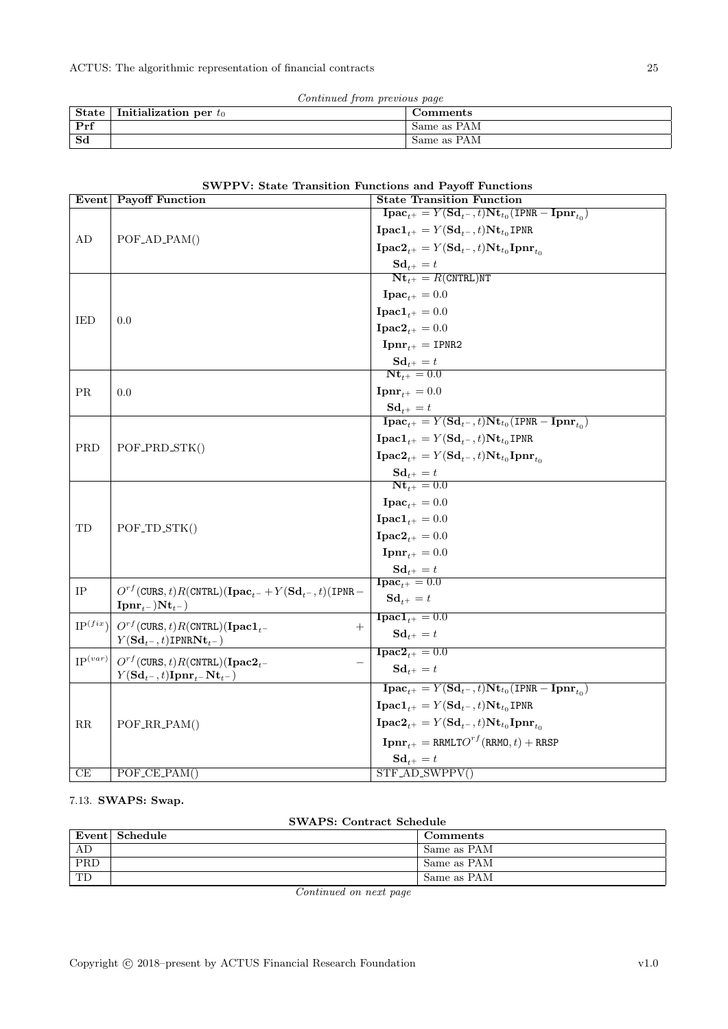| Continued from previous page |  |  |
|------------------------------|--|--|
|                              |  |  |

| <b>State</b> | Initialization per $t_0$ | Comments    |
|--------------|--------------------------|-------------|
| Prf          |                          | Same as PAM |
| Sd           |                          | Same as PAM |

|              | Event Payoff Function                                                                         | <b>State Transition Function</b>                                                                                                                                                     |
|--------------|-----------------------------------------------------------------------------------------------|--------------------------------------------------------------------------------------------------------------------------------------------------------------------------------------|
|              |                                                                                               | $\mathbf{I}\mathbf{pac}_{t+} = Y(\mathbf{Sd}_{t-}, t)\mathbf{Nt}_{t_0}(\mathbf{IPNR}-\mathbf{I}\mathbf{pnr}_{t_0})$                                                                  |
|              |                                                                                               | $\textbf{I} \textbf{p} \textbf{a} \textbf{c} \textbf{1}_{t+} = Y(\textbf{S} \textbf{d}_{t-}, t) \textbf{N} \textbf{t}_{t_0} \textbf{I} \textbf{P} \textbf{N} \textbf{R}$             |
| AD           | POF_AD_PAM()                                                                                  | $\mathbf{I}\mathbf{pac2}_{t+} = Y(\mathbf{Sd}_{t-}, t)\mathbf{Nt}_{t_0}\mathbf{I}\mathbf{pnr}_{t_0}$                                                                                 |
|              |                                                                                               | $\mathbf{Sd}_{t^+} = t$                                                                                                                                                              |
|              |                                                                                               | $Nt_{t+} = R(CNTRL)NT$                                                                                                                                                               |
|              |                                                                                               | $\textbf{I}\textbf{p}\textbf{a}\textbf{c}_{t+} = 0.0$                                                                                                                                |
|              |                                                                                               | $\textbf{I} \textbf{p} \textbf{a} \textbf{c} \textbf{1}_{t+} = 0.0$                                                                                                                  |
| IED          | 0.0                                                                                           | <b>Ipac2</b> <sub>t+</sub> = 0.0                                                                                                                                                     |
|              |                                                                                               | $\mathbf{Ipm}_{t+} = \text{IPNR2}$                                                                                                                                                   |
|              |                                                                                               | $\mathbf{Sd}_{t+} = t$                                                                                                                                                               |
|              |                                                                                               | $Nt_{t+} = 0.0$                                                                                                                                                                      |
| PR.          | 0.0                                                                                           | ${\bf Ipm}_{t+} = 0.0$                                                                                                                                                               |
|              |                                                                                               | $\mathbf{Sd}_{t+} = t$                                                                                                                                                               |
|              |                                                                                               | $\mathbf{I}\mathbf{pac}_{t+} = Y(\mathbf{Sd}_{t-}, t)\mathbf{Nt}_{t_0}(\mathbf{IPNR}-\mathbf{I}\mathbf{pnr}_{t_0})$                                                                  |
| PRD          | POF_PRD_STK()                                                                                 | $\textbf{I} \textbf{p} \textbf{a} \textbf{c} \textbf{1}_{t+} = Y(\textbf{S} \textbf{d}_{t-}, t) \textbf{N} \textbf{t}_{t_0} \textbf{I} \textbf{P} \textbf{N} \textbf{R}$             |
|              |                                                                                               | $\mathbf{I}\mathbf{pac2}_{t+} = Y(\mathbf{Sd}_{t-}, t)\mathbf{Nt}_{t_0}\mathbf{I}\mathbf{pnr}_{t_0}$                                                                                 |
|              |                                                                                               | $\mathbf{Sd}_{t+} = t$                                                                                                                                                               |
|              | POF <sub>-TD-STK()</sub>                                                                      | $Nt_{t+} = 0.0$                                                                                                                                                                      |
|              |                                                                                               | $\textbf{I}\textbf{pac}_{t+} = 0.0$                                                                                                                                                  |
| TD           |                                                                                               | $\textbf{I} \textbf{p} \textbf{a} \textbf{c} \textbf{1}_{t+} = 0.0$                                                                                                                  |
|              |                                                                                               | $\mathbf{I}\mathbf{pac2}_{t+} = 0.0$                                                                                                                                                 |
|              |                                                                                               | $\mathbf{Ipm}_{t+} = 0.0$                                                                                                                                                            |
|              |                                                                                               | $\mathbf{Sd}_{t+} = t$<br>$\textbf{I}\textbf{p}\textbf{a}\textbf{c}_{t+} = 0.0$                                                                                                      |
| IP           | $O^{rf}(\text{CURS}, t)R(\text{CNTRL})(\text{Ipac}_{t-} + Y(\text{Sd}_{t-}, t)(\text{IPNR} -$ | $\mathbf{Sd}_{t+} = t$                                                                                                                                                               |
|              | $\mathbf{Ipm}_{t-})\mathbf{Nt}_{t-}$                                                          |                                                                                                                                                                                      |
| $IP^{(fix)}$ | $O^{rf}$ (CURS, t)R(CNTRL)(Ipac1 <sub>t</sub> -<br>$^{+}$                                     | $\textbf{I} \textbf{p} \textbf{a} \textbf{c} \textbf{1}_{t+} = 0.0$                                                                                                                  |
|              | $Y({\bf S}{\bf d}_{t^-},t)$ IPNR ${\bf N}{\bf t}_{t-}$ )                                      | $\mathbf{Sd}_{t+} = t$                                                                                                                                                               |
| $IP^{(var)}$ | $O^{rf}$ (CURS, t)R(CNTRL)(Ipac2 <sub>t-</sub>                                                | ${\bf Inac2}_{t+} = 0.0$                                                                                                                                                             |
|              | $Y(\mathbf{Sd}_{t-}, t)$ Ipnr <sub>t</sub> -Nt <sub>t</sub> -)                                | $\mathbf{Sd}_{t+} = t$                                                                                                                                                               |
|              |                                                                                               | $\mathbf{I}\mathbf{p}\mathbf{a}\mathbf{c}_{t+} = Y(\mathbf{S}\mathbf{d}_{t-}, t)\mathbf{N}\mathbf{t}_{t_0}(\mathbf{I}\mathsf{PNR} - \mathbf{I}\mathbf{p}\mathbf{n}\mathbf{r}_{t_0})$ |
|              |                                                                                               | $\textbf{I} \textbf{p} \textbf{a} \textbf{c} \textbf{1}_{t+} = Y(\textbf{S} \textbf{d}_{t-}, t) \textbf{N} \textbf{t}_{t_0} \textbf{I} \textbf{P} \textbf{N} \textbf{R}$             |
| $_{\rm RR}$  | POF_RR_PAM()                                                                                  | $\mathbf{I}\mathbf{pac2}_{t+} = Y(\mathbf{Sd}_{t-}, t)\mathbf{Nt}_{t_0}\mathbf{I}\mathbf{pnr}_{t_0}$                                                                                 |
|              |                                                                                               | $\mathbf{I}\mathbf{p}\mathbf{n}\mathbf{r}_{t+} = \texttt{RRMLTO}^{rf}(\texttt{RRMO},t) + \texttt{RRSP}$                                                                              |
|              |                                                                                               | $\mathbf{Sd}_{t+} = t$                                                                                                                                                               |
| CE           | $POF_{\text{-}}CE_{\text{-}}PAM()$                                                            | $STF_AD_SWPPV()$                                                                                                                                                                     |

### <span id="page-24-0"></span>7.13. SWAPS: Swap.

SWAPS: Contract Schedule

|                           | Event   Schedule | Comments    |
|---------------------------|------------------|-------------|
| AD                        |                  | Same as PAM |
| $\overline{\mathrm{PRD}}$ |                  | Same as PAM |
| $\overline{\text{TD}}$    |                  | Same as PAM |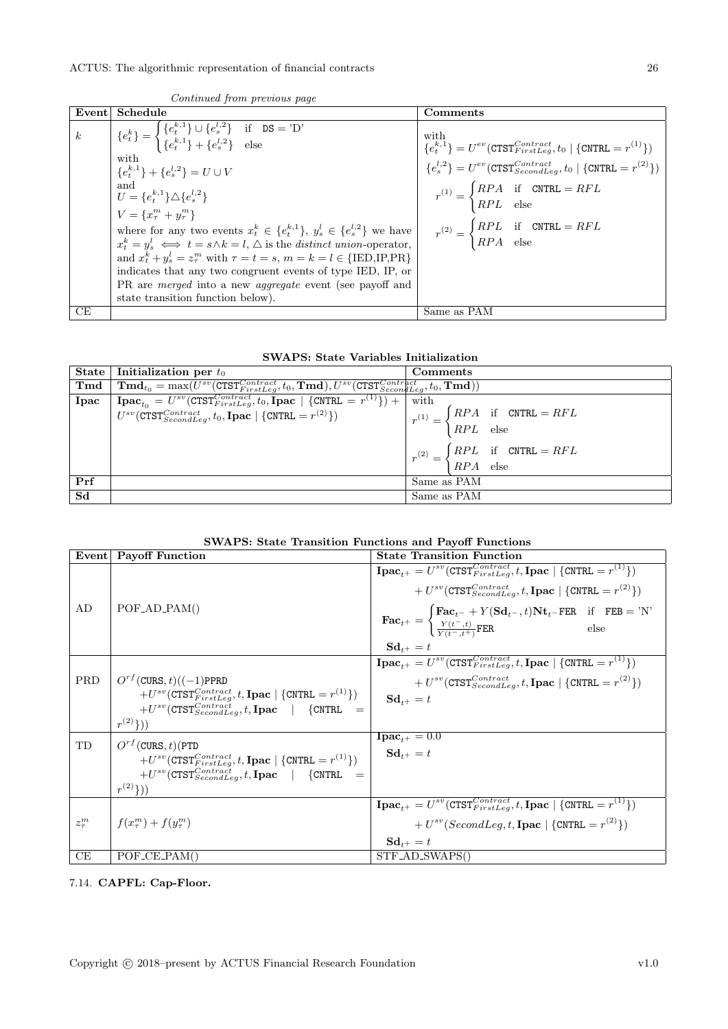$k \qquad \quad \left| \begin{array}{c} \{e_t^k\} = \end{array} \right.$ 

state transition function below).

| Continued from previous page                                                                                                                                                                                                                                                                                                                                                                                                                                                                                                                                                                 |                                                                                                                                                                                                                                                                                                                                                                                                                      |
|----------------------------------------------------------------------------------------------------------------------------------------------------------------------------------------------------------------------------------------------------------------------------------------------------------------------------------------------------------------------------------------------------------------------------------------------------------------------------------------------------------------------------------------------------------------------------------------------|----------------------------------------------------------------------------------------------------------------------------------------------------------------------------------------------------------------------------------------------------------------------------------------------------------------------------------------------------------------------------------------------------------------------|
| Schedule                                                                                                                                                                                                                                                                                                                                                                                                                                                                                                                                                                                     | Comments                                                                                                                                                                                                                                                                                                                                                                                                             |
| ${e_t^k} = \begin{cases} {e_t^{k,1}} \cup {e_s^{l,2}} & \text{if } \text{DS} = \text{'D'} \\ {e_t^{k,1}} + {e_s^{l,2}} & \text{else} \end{cases}$<br>with<br>${e^{k,1}_{t}} + {e^{l,2}_{s}} = U \cup V$<br>and<br>and<br>$U = \{e^{k,1}_t\} \triangle \{e^{l,2}_s\}$<br>$V = \{x_{\tau}^{m} + y_{\tau}^{m}\}\$<br>where for any two events $x_t^k \in \{e_t^{k,1}\}, y_s^l \in \{e_s^{l,2}\}\$ we have<br>$x_t^k = y_s^l \iff t = s \land k = l, \triangle$ is the distinct union-operator,<br>and $x_t^k + y_s^l = z_\tau^m$ with $\tau = t = s$ , $m = k = l \in \{ \text{IED, IP, PR} \}$ | with<br>${e_t^{k,1}} = U^{ev}(\text{CTST}_{FirstLeaf}^{Contract}, t_0 \mid \text{CNTRL} = r^{(1)})$<br>${e_s^{l,2}} = U^{ev}(\text{CTST}_{SecondLeo}^{Contract}, t_0 \mid \{\text{CNTRL} = r^{(2)}\})$<br>$r^{(1)} = \begin{cases} RPA & \text{if} \quad \text{CNTRL} = RFL \\ RPL & \text{else} \end{cases}$<br>$r^{(2)} = \begin{cases} RPL & \text{if} \quad \text{CNTRL} = RFL \\ RPA & \text{else} \end{cases}$ |

 $\frac{Co}{\text{Event}}$  Schedule

indicates that any two congruent events of type IED, IP, or PR are *merged* into a new *aggregate* event (see payoff and

CE Same as PAM

|  |  | <b>SWAPS: State Variables Initialization</b> |
|--|--|----------------------------------------------|
|  |  |                                              |

|                | State   Initialization per $t_0$                                                                                                                                   | Comments                                                                                            |  |
|----------------|--------------------------------------------------------------------------------------------------------------------------------------------------------------------|-----------------------------------------------------------------------------------------------------|--|
| $\mathbf{Tmd}$ | $\mid \mathbf{Tmd}_{t_0} = \max(U^{sv}(\texttt{CTST}_{FirstLeaf}^{Contract}, t_0, \mathbf{Tmd}), U^{sv}(\texttt{CTST}_{SecondLeg}^{Contract}, t_0, \mathbf{Tmd}))$ |                                                                                                     |  |
| Ipac           | $\text{Ipac}_{t_0} = U^{sv}(\text{CTST}_{FirstLeg}^{Contract}, t_0, \text{Ipac} \mid {\text{CNTRL}} = r^{(1)}) +$                                                  | with                                                                                                |  |
|                | $U^{sv}(\text{CTST}_{SecondLeaf}^{Contract}, t_0, \text{Ipac} \mid {\text{CNTRL} = r^{(2)}})$                                                                      | $r^{(1)} = \begin{cases} RPA & \text{if} \quad \text{CNTRL} = RFL \\ RPL & \text{else} \end{cases}$ |  |
|                |                                                                                                                                                                    |                                                                                                     |  |
|                |                                                                                                                                                                    | $r^{(2)} = \begin{cases} RPL & \text{if } \text{ CNTRL} = RFL \\ RPA & \text{else} \end{cases}$     |  |
|                |                                                                                                                                                                    |                                                                                                     |  |
| Prf            |                                                                                                                                                                    | Same as PAM                                                                                         |  |
| Sd             |                                                                                                                                                                    | Same as PAM                                                                                         |  |

| <b>SWAPS: State Transition Functions and Payoff Functions</b> |  |  |  |  |  |
|---------------------------------------------------------------|--|--|--|--|--|
|---------------------------------------------------------------|--|--|--|--|--|

| Event      | <b>Payoff Function</b>                                                                   | <b>State Transition Function</b>                                                                                                                                                                                                                   |
|------------|------------------------------------------------------------------------------------------|----------------------------------------------------------------------------------------------------------------------------------------------------------------------------------------------------------------------------------------------------|
|            |                                                                                          | $\textbf{I}\textbf{pac}_{t+} = U^{sv}(\text{CTST}_{FirstLeaf}^{Contract}, t, \textbf{I}\textbf{pac} \mid {\text{CNTRL}} = r^{(1)})$                                                                                                                |
|            |                                                                                          | + $U^{sv}$ (CTST $^{Contract}_{SecondLes}$ , t, Ipac   {CNTRL = $r^{(2)}$ })                                                                                                                                                                       |
| AD         | $POF_{AD\_PAM}$                                                                          | $\textbf{Fac}_{t^{+}} = \begin{cases} \textbf{Fac}_{t^{-}} + Y(\textbf{Sd}_{t^{-}}, t) \textbf{Nt}_{t^{-}} \textbf{FER} & \text{if} \quad \textbf{FEB} = \text{'N'}\\ \frac{Y(t^{-}, t)}{Y(t^{-} + t^{+})} \textbf{FER} & \text{else} \end{cases}$ |
|            |                                                                                          |                                                                                                                                                                                                                                                    |
|            |                                                                                          | $S_{t+1} = t$                                                                                                                                                                                                                                      |
|            |                                                                                          | $\boxed{\textbf{pac}_{t+} = U^{sv}(\texttt{CTST}_{FirstLeg}^{Contract}, t, \textbf{I} \textbf{pac} \mid \{\texttt{CNTRL} = r^{(1)}\})}$                                                                                                            |
| <b>PRD</b> | $O^{rf}$ (CURS, t)((-1)PPRD                                                              | + $U^{sv}$ (CTST $^{Contract}_{SecondLes}$ , t, Ipac   {CNTRL = $r^{(2)}$ })                                                                                                                                                                       |
|            | $+U^{sv}(\text{CTST}_{FirstLeg}^{Contract}, t, \text{Ipac}   {\text{CNTRL}} = r^{(1)}))$ | $Sd_{t+} = t$                                                                                                                                                                                                                                      |
|            | $+U^{sv}$ (CTST $^{Contract}_{SecondLeo}$ , t, Ipac   {CNTRL =                           |                                                                                                                                                                                                                                                    |
|            | $r^{(2)}$ }))                                                                            |                                                                                                                                                                                                                                                    |
| TD         | $O^{rt}$ (CURS, t) (PTD                                                                  | $\textbf{I}\textbf{pac}_{t+} = 0.0$                                                                                                                                                                                                                |
|            | $+U^{sv}(\text{CTST}_{FirstLeg}^{Contract}, t, \text{Ipac}   {\text{CNTRL}} = r^{(1)}))$ | $\mathbf{Sd}_{t+} = t$                                                                                                                                                                                                                             |
|            | $+U^{sv}$ (CTST $^{Contract}_{SecondLeg}, t$ , Ipac   {CNTRL =                           |                                                                                                                                                                                                                                                    |
|            | $r^{(2)}$ }))                                                                            |                                                                                                                                                                                                                                                    |
|            |                                                                                          | $\textbf{I}\textbf{pac}_{t+} = U^{sv}(\text{CTST}_{FirstLeaf}^{Contract}, t, \textbf{I}\textbf{pac} \mid {\text{CNTRL}} = r^{(1)})$                                                                                                                |
| $z_\tau^m$ | $f(x_{\tau}^{m}) + f(y_{\tau}^{m})$                                                      | + $U^{sv}(SecondLeg, t, \textbf{Ipac}   \{CNTRL = r^{(2)}\})$                                                                                                                                                                                      |
|            |                                                                                          | $\mathbf{Sd}_{t+} = t$                                                                                                                                                                                                                             |
| СE         | $POF_{C}E_{PAM}$                                                                         | STF_AD_SWAPS()                                                                                                                                                                                                                                     |

<span id="page-25-0"></span>7.14. CAPFL: Cap-Floor.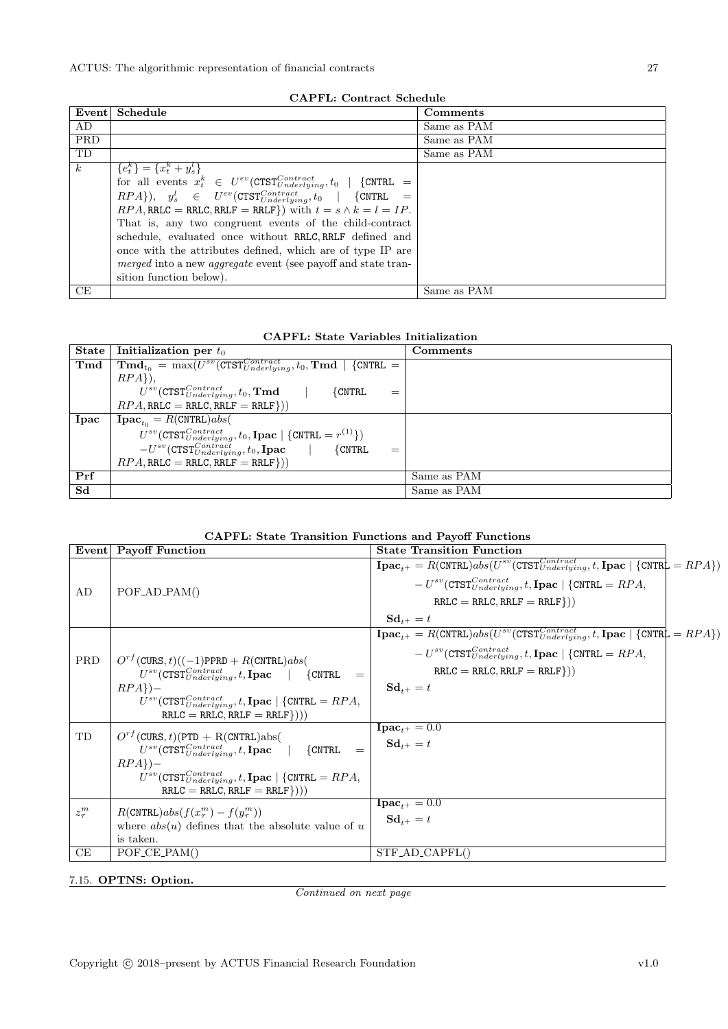|            | CAPPL: Contract Schedule                                                                           |             |  |  |
|------------|----------------------------------------------------------------------------------------------------|-------------|--|--|
| Event      | Schedule                                                                                           | Comments    |  |  |
| AD         |                                                                                                    | Same as PAM |  |  |
| <b>PRD</b> |                                                                                                    | Same as PAM |  |  |
| TD         |                                                                                                    | Same as PAM |  |  |
| $\kappa$   | ${e_t^k} = {x_t^k + y_s^l}$                                                                        |             |  |  |
|            | for all events $x_t^k$ $\in U^{ev}(\text{CTST}^{Contract}_{Underlying}, t_0 \mid \text{{CNTRL}} =$ |             |  |  |
|            | $RPA\},\quad y_s^l \in U^{ev}(\texttt{CTST}^{Contract}_{Underlying}, t_0) \mid \text{{CNTRL} =$    |             |  |  |
|            | $RPA$ , RRLC = RRLC, RRLF = RRLF}) with $t = s \wedge k = l = IP$ .                                |             |  |  |
|            | That is, any two congruent events of the child-contract                                            |             |  |  |
|            | schedule, evaluated once without RRLC, RRLF defined and                                            |             |  |  |
|            | once with the attributes defined, which are of type IP are                                         |             |  |  |
|            | merged into a new <i>aggregate</i> event (see payoff and state tran-                               |             |  |  |
|            | sition function below).                                                                            |             |  |  |
| CE         |                                                                                                    | Same as PAM |  |  |

### CAPFL: Contract Schedule

### CAPFL: State Variables Initialization

| ${\bf State}$ | Initialization per $t_0$                                                                                        | Comments    |
|---------------|-----------------------------------------------------------------------------------------------------------------|-------------|
| Tmd           | $\boxed{\text{Tmd}_{t_0} = \max(U^{sv}(\text{CTST}^{Contract}_{Underlying}, t_0, \text{Tmd }   \text{CNTRL } =$ |             |
|               | $RPA$ ).                                                                                                        |             |
|               | $U^{sv}(\mathrm{CTST}_{Underlying}^{Contract}, t_0, \mathrm{Tmd})$<br>$\{$ CNTRL<br>$\equiv$                    |             |
|               | $RPA, RRLC = RRLC, RRLF = RRLF$ })                                                                              |             |
| Ipac          | $Ipacto = R(CNTRL)abs$                                                                                          |             |
|               | $U^{sv}(\text{CTST}^{Contract}_{Underlying}, t_0, \text{Ipac} \mid {\text{CNTRL} = r^{(1)} {\text{)}}$          |             |
|               | $-U^{sv}(\mathtt{CTST}_{Underlying}^{Contra\bar{c}\bar{t}},t_0,\mathbf{I}\mathbf{pac}$  <br>$\{CNTRL$<br>$=$    |             |
|               | $RPA$ , RRLC = RRLC, RRLF = RRLF}))                                                                             |             |
| Prf           |                                                                                                                 | Same as PAM |
| Sd            |                                                                                                                 | Same as PAM |

#### CAPFL: State Transition Functions and Payoff Functions

|            | Event Payoff Function                                                                                  | <b>State Transition Function</b>                                                                                                                                                                                                     |  |
|------------|--------------------------------------------------------------------------------------------------------|--------------------------------------------------------------------------------------------------------------------------------------------------------------------------------------------------------------------------------------|--|
|            |                                                                                                        | $\boxed{\textbf{Ipac}_{t+} = R(\text{CNTRL})abs(U^{sv}(\text{CTST}_{Underlying}^{Contract}, t, \textbf{Ipac} \mid \{\text{CNTRL} = RPA\})}$<br>$-U^{sv}(\text{CTST}_{Underlying}^{Contract}, t, \text{Ipac}   {\text{CNTRL}} = RPA,$ |  |
| AD         | $POF$ <sub>-AD</sub> <sub>-PAM</sub> $()$                                                              | $RRLC = RRLC, RRLF = RRLF$ })                                                                                                                                                                                                        |  |
|            |                                                                                                        | $\mathbf{Sd}_{t+} = t$                                                                                                                                                                                                               |  |
|            |                                                                                                        | $\textbf{I}\textbf{pac}_{t+} = R(\texttt{CNTRL})abs(U^{sv}(\texttt{CTST}_{Underlying}^{Contract}, t, \textbf{I}\textbf{pac} \mid {\text{CNTRL}} = RPA))$                                                                             |  |
| PRD        | $O^{rf}$ (CURS, t)((-1)PPRD + R(CNTRL)abs(                                                             | $-U^{sv}$ (CTST $_{Underlying}^{Contract}$ , $t$ , Ipac   {CNTRL = $RPA$ ,                                                                                                                                                           |  |
|            | $=$                                                                                                    | $RRLC = RRLC, RRLF = RRLF$ })                                                                                                                                                                                                        |  |
|            | $RPA\rbrace -$                                                                                         | $Sd_{t+} = t$                                                                                                                                                                                                                        |  |
|            | $U^{sv}$ (CTST $^{Contract}_{Underlying}$ , t, Ipac   {CNTRL = $RPA$ ,<br>$RRLC = RRLC, RRLF = RRLF))$ |                                                                                                                                                                                                                                      |  |
| TD         | $O^{rf}$ (CURS, t)(PTD + R(CNTRL)abs(                                                                  | $I\overline{\textbf{pac}_{t^+}} = 0.0$                                                                                                                                                                                               |  |
|            | $U^{sv}$ (CTST $_{Underlying}^{Contract}$ , t, Ipac   {CNTRL}                                          | $\mathbf{Sd}_{t+} = t$                                                                                                                                                                                                               |  |
|            | $RPA$ })-                                                                                              |                                                                                                                                                                                                                                      |  |
|            | $U^{sv}$ (CTST $^{Contract}_{Underlying}$ , t, Ipac   {CNTRL = $RPA$ ,                                 |                                                                                                                                                                                                                                      |  |
|            | $RRLC = RRLC, RRLF = RRLF))$                                                                           |                                                                                                                                                                                                                                      |  |
| $z_\tau^m$ | $R(\text{CNTRL})abs(f(x_\tau^m) - f(y_\tau^m))$                                                        | $I\overline{\textbf{pac}_{t^+}} = 0.0$                                                                                                                                                                                               |  |
|            | where $abs(u)$ defines that the absolute value of u                                                    | $Sd_{t+} = t$                                                                                                                                                                                                                        |  |
|            | is taken.                                                                                              |                                                                                                                                                                                                                                      |  |
| СE         | $POF$ <sub>-CE</sub> $-PAM()$                                                                          | $STF$ _AD_CAPFL()                                                                                                                                                                                                                    |  |

<span id="page-26-0"></span>7.15. OPTNS: Option.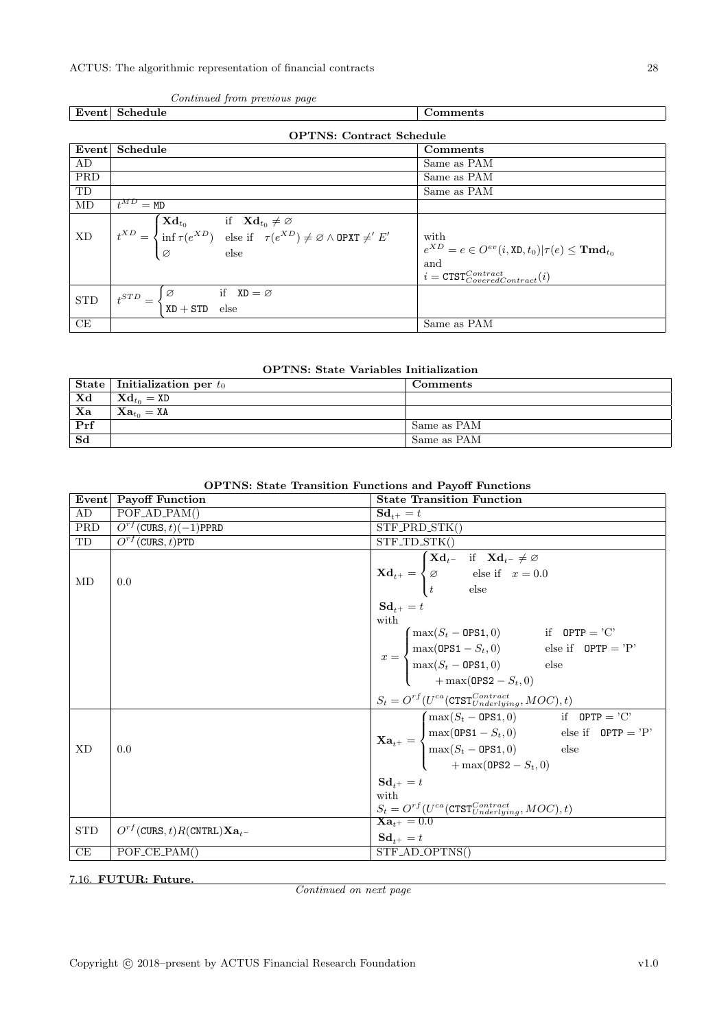٦

| Event                  | Schedule                                                                                                                                                                                                                                                       | Comments                                                                                                                                           |
|------------------------|----------------------------------------------------------------------------------------------------------------------------------------------------------------------------------------------------------------------------------------------------------------|----------------------------------------------------------------------------------------------------------------------------------------------------|
|                        | <b>OPTNS: Contract Schedule</b>                                                                                                                                                                                                                                |                                                                                                                                                    |
| Event                  | Schedule                                                                                                                                                                                                                                                       | Comments                                                                                                                                           |
| AD                     |                                                                                                                                                                                                                                                                | Same as PAM                                                                                                                                        |
| PRD                    |                                                                                                                                                                                                                                                                | Same as PAM                                                                                                                                        |
| TD                     |                                                                                                                                                                                                                                                                | Same as PAM                                                                                                                                        |
| MD                     | $t^{MD} = M D$                                                                                                                                                                                                                                                 |                                                                                                                                                    |
| $\mathbf{X}\mathbf{D}$ | $\mathbf{r}^{XD} = \begin{cases} \mathbf{X}\mathbf{d}_{t_0} & \text{if } \mathbf{X}\mathbf{d}_{t_0} \neq \varnothing \\ \inf \tau(e^{XD}) & \text{else if } \tau(e^{XD}) \neq \varnothing \land \text{OPXT} \neq' E' \\ \varnothing & \text{else} \end{cases}$ | with<br>$e^{XD} = e \in O^{ev}(i,\mathtt{XD},t_0)   \tau(e) \leq \mathbf{Tmd}_{t_0}$<br>and<br>$i = \texttt{CTST}^{Contract}_{CoveredContract}(i)$ |
| <b>STD</b>             | $t^{STD} = \begin{cases} \varnothing & \text{if } \mathbf{XD} = \varnothing \\ \mathbf{XD} + \mathbf{STD} & \text{else} \end{cases}$                                                                                                                           |                                                                                                                                                    |
| CE                     |                                                                                                                                                                                                                                                                | Same as PAM                                                                                                                                        |

#### Continued from previous page

| <b>OPTNS:</b> State Variables Initialization |  |  |
|----------------------------------------------|--|--|
|----------------------------------------------|--|--|

|                         | State   Initialization per $t_0$                    | Comments    |
|-------------------------|-----------------------------------------------------|-------------|
| $\mathbf{X} \mathbf{d}$ | $\mathbf{X}\mathbf{d}_{t_0} = \mathtt{X}\mathtt{D}$ |             |
| Xa                      | $Xa_{t_0} = XA$                                     |             |
| Prf                     |                                                     | Same as PAM |
| Sd                      |                                                     | Same as PAM |

#### OPTNS: State Transition Functions and Payoff Functions

|            | Event Payoff Function                | <b>State Transition Function</b>                                                                                                                                                                                                                                                                                                                                                                                                                                                                                             |
|------------|--------------------------------------|------------------------------------------------------------------------------------------------------------------------------------------------------------------------------------------------------------------------------------------------------------------------------------------------------------------------------------------------------------------------------------------------------------------------------------------------------------------------------------------------------------------------------|
| AD         | $\overline{POF_{AD}}$ $PAM()$        | $\mathbf{Sd}_{t+} = t$                                                                                                                                                                                                                                                                                                                                                                                                                                                                                                       |
| <b>PRD</b> | $O^{rf}$ (CURS, t)(-1)PPRD           | STF_PRD_STK()                                                                                                                                                                                                                                                                                                                                                                                                                                                                                                                |
| TD         | $O^{rf}$ (CURS, t)PTD                | STF_TD_STK()                                                                                                                                                                                                                                                                                                                                                                                                                                                                                                                 |
| MD         | 0.0                                  | $\mathbf{X}\mathbf{d}_{t^{+}} = \begin{cases} \mathbf{X}\mathbf{d}_{t^{-}} & \text{if} \quad \mathbf{X}\mathbf{d}_{t^{-}} \neq \varnothing \\ \varnothing & \text{else} \text{ if } \quad x = 0.0 \\ t & \text{else} \end{cases}$<br>$\mathbf{Sd}_{t+} = t$<br>with<br>$x = \begin{cases} \max(S_t - \texttt{OPS1}, 0) & \text{if } \texttt{OPTP} = 'C' \\ \max(\texttt{OPS1} - S_t, 0) & \text{else if } \texttt{OPTP} = 'P' \\ \max(S_t - \texttt{OPS1}, 0) & \text{else} \\ + \max(\texttt{OPS2} - S_t, 0) & \end{cases}$ |
|            |                                      |                                                                                                                                                                                                                                                                                                                                                                                                                                                                                                                              |
| <b>XD</b>  | 0.0                                  | $\label{eq:1} \begin{aligned} S_t &= O^{rf}(U^{ca}(\texttt{CTST}^{Contract}_{Underlying}, MOC), t) \\ \begin{aligned} &\textbf{X}\textbf{a}_{t^+} = \begin{cases} \max(S_t - \texttt{OPS1}, 0) & \text{if} \quad \texttt{OPTP} = \text{'C'}\\ \max( \texttt{OPS1} - S_t, 0) & \text{else if} \quad \texttt{OPTP} = \text{'P'}\\ \max(S_t - \texttt{OPS1}, 0) & \text{else}\\ +\max(\texttt{OPS2} - S_t, 0) \end{cases} \end{aligned}$                                                                                        |
|            |                                      | $\mathbf{Sd}_{t+} = t$<br>with<br>$S_t = \underline{O^{rf}}(U^{ca}(\texttt{CTST}^{Contract}_{Underlying}, MOC), t)$                                                                                                                                                                                                                                                                                                                                                                                                          |
| <b>STD</b> | $O^{rf}$ (CURS, t)R(CNTRL) $Xa_{t-}$ | $Xa_{t+} = 0.0$<br>$\mathbf{Sd}_{t+} = t$                                                                                                                                                                                                                                                                                                                                                                                                                                                                                    |
| CE         | POF_CE_PAM()                         | STF_AD_OPTNS()                                                                                                                                                                                                                                                                                                                                                                                                                                                                                                               |

<span id="page-27-0"></span>7.16. FUTUR: Future.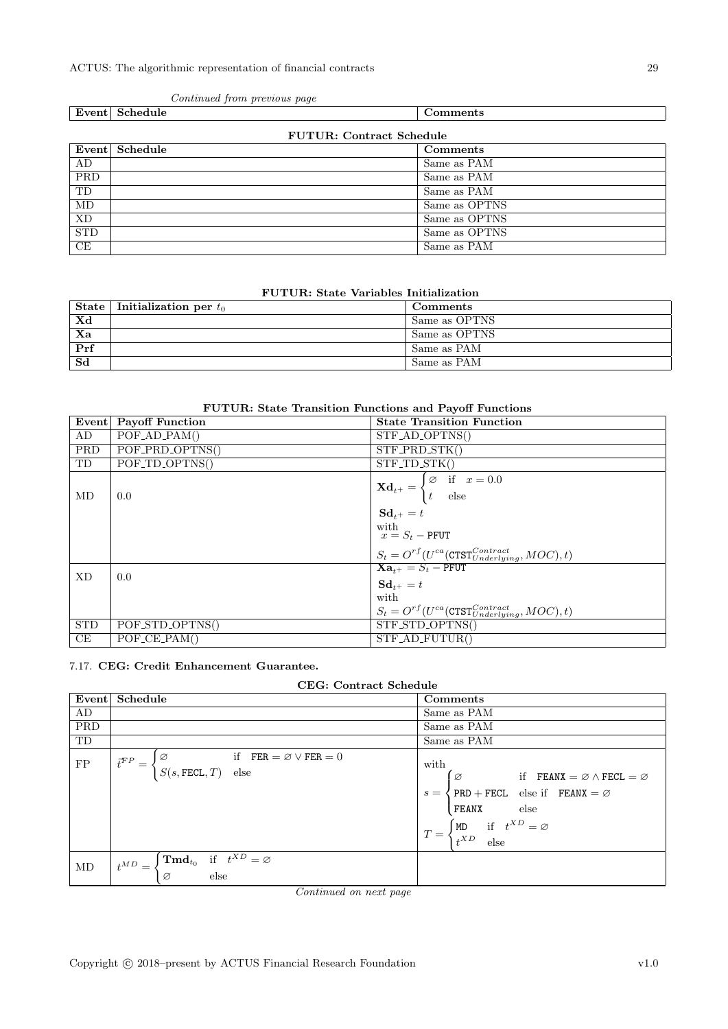|            | Event Schedule                  | Comments      |  |
|------------|---------------------------------|---------------|--|
|            | <b>FUTUR: Contract Schedule</b> |               |  |
|            | Event Schedule                  | Comments      |  |
| AD         |                                 | Same as PAM   |  |
| PRD        |                                 | Same as PAM   |  |
| TD         |                                 | Same as PAM   |  |
| MD         |                                 | Same as OPTNS |  |
| XD         |                                 | Same as OPTNS |  |
| <b>STD</b> |                                 | Same as OPTNS |  |
| CE         |                                 | Same as PAM   |  |

#### Continued from previous page

#### FUTUR: State Variables Initialization

|                          | State   Initialization per $t_0$ | Comments      |
|--------------------------|----------------------------------|---------------|
| $\mathbf{X}\mathbf{d}$   |                                  | Same as OPTNS |
| $\overline{\mathbf{Xa}}$ |                                  | Same as OPTNS |
| Prf                      |                                  | Same as PAM   |
| Sd                       |                                  | Same as PAM   |

### FUTUR: State Transition Functions and Payoff Functions

|            | Event Payoff Function                     | <b>State Transition Function</b>                                                                                             |
|------------|-------------------------------------------|------------------------------------------------------------------------------------------------------------------------------|
| AD         | $POF$ <sub>-AD</sub> <sub>-PAM</sub> $()$ | STF_AD_OPTNS()                                                                                                               |
| PRD        | POF_PRD_OPTNS()                           | STF_PRD_STK()                                                                                                                |
| TD         | POF_TD_OPTNS()                            | $STF\_TD\_STK()$                                                                                                             |
| MD         | 0.0                                       | $\mathbf{X} \mathbf{d}_{t+} = \begin{cases} \varnothing & \text{if} \quad x = \overline{0.0} \\ t & \text{else} \end{cases}$ |
|            |                                           | $Sd_{t+} = t$                                                                                                                |
|            |                                           | with<br>$x = S_t$ – PFUT                                                                                                     |
|            |                                           | $S_t = O^{rf}(U^{ca}(\text{CTST}_{Underlying}^{Contract}, MOC), t)$                                                          |
| <b>XD</b>  | 0.0                                       | $Xa_{t+} = S_t - P$ FUT                                                                                                      |
|            |                                           | $Sd_{t+} = t$                                                                                                                |
|            |                                           | with                                                                                                                         |
|            |                                           | $S_t = O^{rf}(U^{ca}(\text{CTST}^{Contract}_{Underlying}, MOC), t)$                                                          |
| <b>STD</b> | POF_STD_OPTNS()                           | STF_STD_OPTNS()                                                                                                              |
| CE         | $POF_{CE}PAM()$                           | STF_AD_FUTUR()                                                                                                               |

### <span id="page-28-0"></span>7.17. CEG: Credit Enhancement Guarantee.

| Event      | Schedule                                                                                                                                                                                                                          | Comments                                                                                                                                                                                                                                                                  |
|------------|-----------------------------------------------------------------------------------------------------------------------------------------------------------------------------------------------------------------------------------|---------------------------------------------------------------------------------------------------------------------------------------------------------------------------------------------------------------------------------------------------------------------------|
| AD         |                                                                                                                                                                                                                                   | Same as PAM                                                                                                                                                                                                                                                               |
| PRD        |                                                                                                                                                                                                                                   | Same as PAM                                                                                                                                                                                                                                                               |
| TD         |                                                                                                                                                                                                                                   | Same as PAM                                                                                                                                                                                                                                                               |
| ${\rm FP}$ | $\left\{ \begin{aligned} &\varnothing \qquad \qquad \text{if} \quad \texttt{FER} = \varnothing \vee \texttt{FER} = 0 \\ &S(s, \texttt{FECL}, T) \quad \text{else} \end{aligned} \right.$<br>$\vec{t}^{FP} = \left\langle \right.$ | with<br>$\varnothing$ if FEANX = $\varnothing \wedge$ FECL = $\varnothing$<br>$\{ PRD + FECL \}$ else if $FEANX = \emptyset$<br>$s =$<br>else<br>FEANX<br>$\begin{cases} \mathtt{MD} & \text{if} \quad t^{XD} = \varnothing \\ t^{XD} & \text{else} \end{cases}$<br>$T =$ |
| MD         | $\int \mathbf{Tm} \mathbf{d}_{t_0}$ if $t^{XD} = \varnothing$<br>$t^{MD} =$<br>else<br>Ø                                                                                                                                          |                                                                                                                                                                                                                                                                           |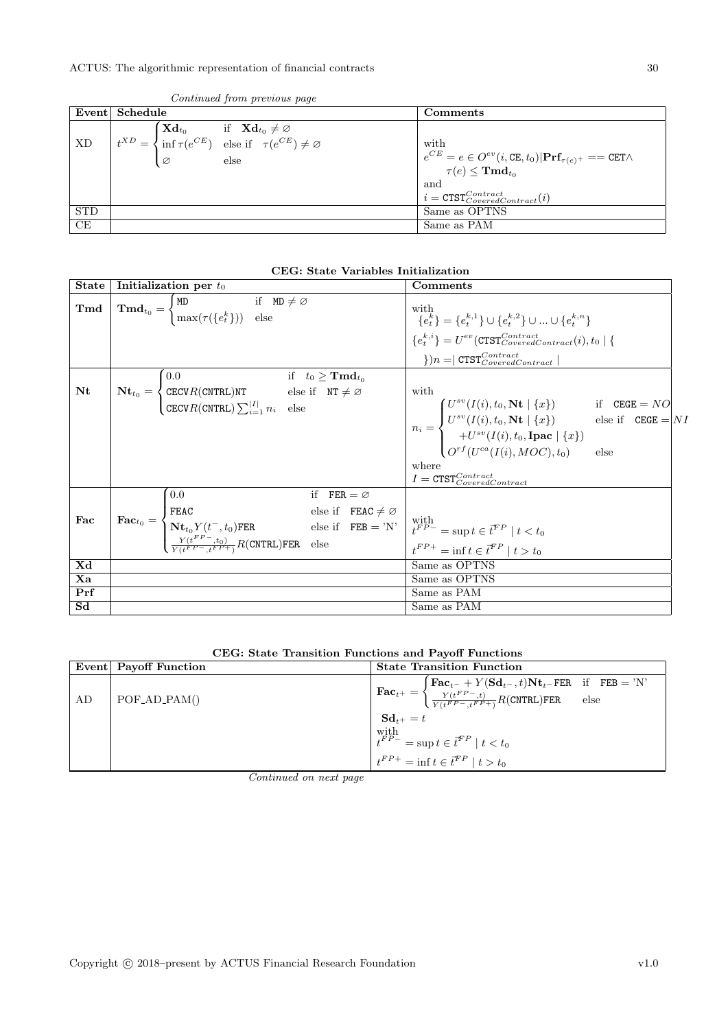|            | Event Schedule                                                                                                                                                                                                                                                | Comments                                                                                                                      |
|------------|---------------------------------------------------------------------------------------------------------------------------------------------------------------------------------------------------------------------------------------------------------------|-------------------------------------------------------------------------------------------------------------------------------|
|            |                                                                                                                                                                                                                                                               |                                                                                                                               |
|            | $\overline{\text{XD}}$ $\begin{bmatrix} t^{XD} = \begin{cases} \textbf{Xd}_{t_0} & \text{if } \textbf{Xd}_{t_0} \neq \varnothing \\ \inf \tau(e^{CE}) & \text{else if } \tau(e^{CE}) \neq \varnothing \\ \varnothing & \text{else} \end{cases} \end{bmatrix}$ | with                                                                                                                          |
|            |                                                                                                                                                                                                                                                               | $e^{CE} = e \in O^{ev}(i, \text{CE}, t_0)   \text{Prf}_{\tau(e)^+} == \text{CET} \wedge$<br>$\tau(e) \leq \mathbf{Tmd}_{t_0}$ |
|            |                                                                                                                                                                                                                                                               | and                                                                                                                           |
|            |                                                                                                                                                                                                                                                               | $i = \text{CTST}_{CoveredContract}(i)$                                                                                        |
| <b>STD</b> |                                                                                                                                                                                                                                                               | Same as OPTNS                                                                                                                 |
| СE         |                                                                                                                                                                                                                                                               | Same as PAM                                                                                                                   |

Continued from previous page

| <b>State</b>           | Initialization per $t_0$                                                                                                                                                                                                                                                                                                                                                                                                                                        | Comments                                                                             |
|------------------------|-----------------------------------------------------------------------------------------------------------------------------------------------------------------------------------------------------------------------------------------------------------------------------------------------------------------------------------------------------------------------------------------------------------------------------------------------------------------|--------------------------------------------------------------------------------------|
| $\mathbf{Tmd}$         | $\mathbf{Tmd}_{t_0} = \begin{cases} \mathtt{MD} & \text{if } \mathtt{MD} \neq \varnothing \\ \max(\tau(\lbrace e_t^k \rbrace)) & \text{else} \end{cases}$                                                                                                                                                                                                                                                                                                       | with<br>${e_t^k} = {e_t^{k,1}} \cup {e_t^{k,2}} \cup  \cup {e_t^{k,n}}$              |
|                        |                                                                                                                                                                                                                                                                                                                                                                                                                                                                 | ${e_i^{k,i}} = U^{ev}(\text{CTST}_{CoveredContract}(i), t_0   {\text{X}}$            |
|                        |                                                                                                                                                                                                                                                                                                                                                                                                                                                                 | $\vert \cdot \rangle$ ) $n = \vert \texttt{CTST}^{Contract}_{CoveredContract} \vert$ |
|                        | if $t_0 \geq \mathbf{Tmd}_{t_0}$<br>0.0                                                                                                                                                                                                                                                                                                                                                                                                                         |                                                                                      |
| $\mathbf{N}\mathbf{t}$ |                                                                                                                                                                                                                                                                                                                                                                                                                                                                 | with                                                                                 |
|                        | $N$ <b>t</b> <sub>t<sub>0</sub> = <math>\begin{cases} \text{CECV} R(\text{CNTRL})</math>NT else if NT <math>\neq \varnothing \ \text{CECV} R(\text{CNTRL}) \sum_{i=1}^{ I } n_i \end{cases}</math>else</sub>                                                                                                                                                                                                                                                    |                                                                                      |
|                        |                                                                                                                                                                                                                                                                                                                                                                                                                                                                 |                                                                                      |
|                        |                                                                                                                                                                                                                                                                                                                                                                                                                                                                 |                                                                                      |
|                        |                                                                                                                                                                                                                                                                                                                                                                                                                                                                 |                                                                                      |
|                        |                                                                                                                                                                                                                                                                                                                                                                                                                                                                 | where                                                                                |
|                        |                                                                                                                                                                                                                                                                                                                                                                                                                                                                 | $I = \texttt{CTST}^{Contract}_{CoveredContract}$                                     |
|                        | 0.0<br>if $FER = \emptyset$                                                                                                                                                                                                                                                                                                                                                                                                                                     |                                                                                      |
|                        |                                                                                                                                                                                                                                                                                                                                                                                                                                                                 |                                                                                      |
| Fac                    |                                                                                                                                                                                                                                                                                                                                                                                                                                                                 |                                                                                      |
|                        | $\textbf{Fac}_{t_0} = \left\{ \begin{aligned} &\texttt{FEAC} &\text{else if } &\texttt{FEAC} \neq \varnothing \\ &\texttt{Nt}_{t_0} Y(t^-,t_0) \texttt{FER} &\text{else if } &\texttt{FEB} = 'N' \\ &\frac{Y(t^{FP}-,t_0)}{Y(t^{FP}-,t^{FP}+)} R(\texttt{CNTRL}) \texttt{FER} &\text{else} \end{aligned} \right. \right. \left. \begin{aligned} &\texttt{ele} &\text{if } &\texttt{FEB} = 'N' \\ &t^{FP} = \sup t \in \overline{t}^{FP} \mid t < t_0 \\ &t^{FP$ |                                                                                      |
| Xd                     |                                                                                                                                                                                                                                                                                                                                                                                                                                                                 | Same as OPTNS                                                                        |
| Xa                     |                                                                                                                                                                                                                                                                                                                                                                                                                                                                 | Same as OPTNS                                                                        |
| Prf                    |                                                                                                                                                                                                                                                                                                                                                                                                                                                                 | Same as PAM                                                                          |
| Sd                     |                                                                                                                                                                                                                                                                                                                                                                                                                                                                 | Same as PAM                                                                          |

|  | CEG: State Transition Functions and Payoff Functions |  |  |  |  |
|--|------------------------------------------------------|--|--|--|--|
|--|------------------------------------------------------|--|--|--|--|

|    | Event Payoff Function | <b>State Transition Function</b>                                                                                                                                                                                                                                 |  |  |
|----|-----------------------|------------------------------------------------------------------------------------------------------------------------------------------------------------------------------------------------------------------------------------------------------------------|--|--|
| AD | $POF_{AD_{PAM()}}$    | $\textbf{Fac}_{t^+} = \begin{cases} \textbf{Fac}_{t^-} + Y(\textbf{Sd}_{t^-}, t) \textbf{Nt}_{t^-} \textbf{FER} & \text{if} \quad \textbf{FEB} = \text{'N'} \\ \frac{Y(t^{FP}, t)}{Y(t^{FP}, t^{FP+})} R(\textbf{CNTRL}) \textbf{FER} & \text{else} \end{cases}$ |  |  |
|    |                       | $Sd_{t+} = t$<br>with $t^{FP-}$ = sup $t \in \bar{t}^{FP} \mid t < t_0$<br>$t^{FP+} = \inf t \in \bar{t}^{FP} \mid t > t_0$                                                                                                                                      |  |  |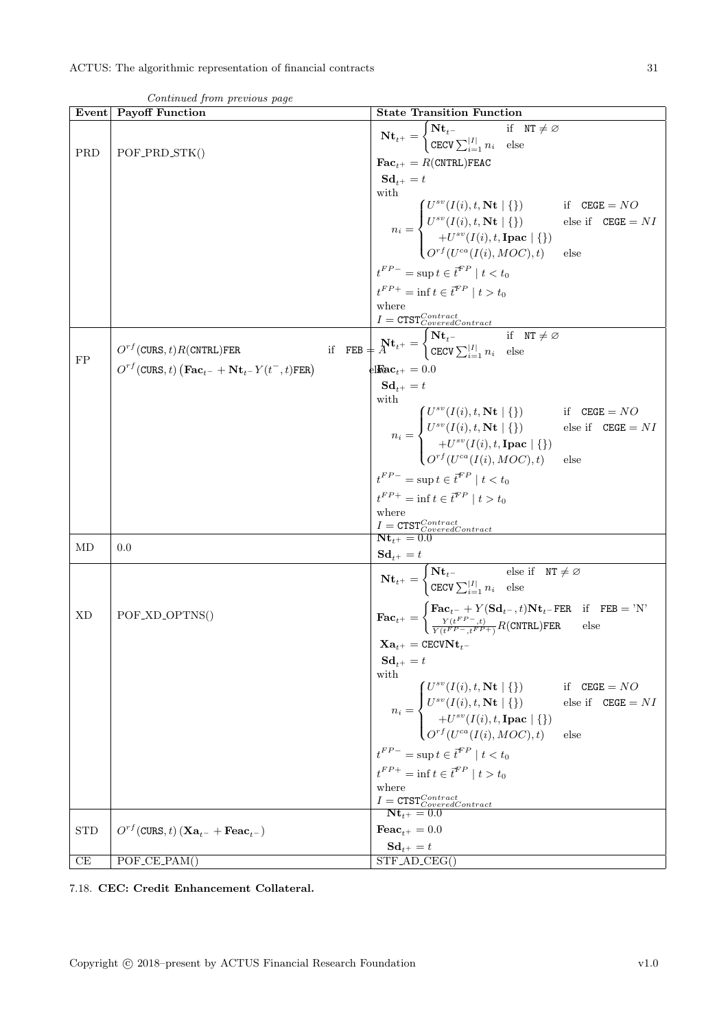|            | Continued from previous page                                                                                         |                                                                                                                                                                                                                                                                                                                                                                                                                                                                                                                                                                                                                                                                                                                                                                                                                                |
|------------|----------------------------------------------------------------------------------------------------------------------|--------------------------------------------------------------------------------------------------------------------------------------------------------------------------------------------------------------------------------------------------------------------------------------------------------------------------------------------------------------------------------------------------------------------------------------------------------------------------------------------------------------------------------------------------------------------------------------------------------------------------------------------------------------------------------------------------------------------------------------------------------------------------------------------------------------------------------|
| Event      | <b>Payoff Function</b>                                                                                               | <b>State Transition Function</b>                                                                                                                                                                                                                                                                                                                                                                                                                                                                                                                                                                                                                                                                                                                                                                                               |
| PRD        | POF_PRD_STK()                                                                                                        | $\mathbf{N} \mathbf{t}_{t+} = \begin{cases} \mathbf{N} \mathbf{t}_{t-} & \text{if } \text{NT} \neq \varnothing \\ \text{CECV} \sum_{i=1}^{ I } n_i & \text{else} \end{cases}$<br>$\textbf{Fac}_{t+} = R(\texttt{CNTRL})$ FEAC<br>$\mathbf{Sd}_{t+} = t$<br>with                                                                                                                                                                                                                                                                                                                                                                                                                                                                                                                                                                |
|            |                                                                                                                      | $n_i = \begin{cases} U^{sv}(I(i), t, \textbf{N} \textbf{t} \mid \{\}) & \text{if} \quad \texttt{CEGE} = NO \ U^{sv}(I(i), t, \textbf{N} \textbf{t} \mid \{\}) & \text{else if} \quad \texttt{CEGE} = NI \ + U^{sv}(I(i), t, \textbf{I}\textbf{p}\textbf{a}\textbf{c} \mid \{\}) \ O^{rf}(U^{ca}(I(i), MOC), t) & \text{else} \end{cases}$<br>$t^{FP-} = \sup t \in \bar{t}^{FP} \mid t < t_0$<br>$t^{FP+}$ = inf $t \in \overline{t}^{FP}$   $t > t_0$<br>where                                                                                                                                                                                                                                                                                                                                                                |
|            |                                                                                                                      |                                                                                                                                                                                                                                                                                                                                                                                                                                                                                                                                                                                                                                                                                                                                                                                                                                |
| FP         | $O^{rf}$ (CURS, t) R(CNTRL)FER<br>$O^{rf}$ (CURS, t) $(\textbf{Fac}_{t-} + \textbf{Nt}_{t-} Y(t^-, t) \texttt{FER})$ | $I = \texttt{CTST}_{CoveredContract}^{Contract}$<br>$\texttt{if} \quad \texttt{FEB} = \overline{A}^{\textbf{N} \textbf{t}_{t+}} = \begin{cases} \textbf{N} \textbf{t}_{t-} & \text{if} \quad \texttt{NT} \neq \varnothing \\ \texttt{CECV} \sum_{i=1}^{ I } n_i & \text{else} \end{cases}$<br>el $\textbf{Fac}_{t^+}=0.0$                                                                                                                                                                                                                                                                                                                                                                                                                                                                                                      |
|            |                                                                                                                      | $Sd_{t+} = t$<br>with<br>$n_i = \begin{cases} U^{sv}(I(i), t, \textbf{N} \textbf{t} \mid \{\}) & \text{if} \quad \texttt{CEGE} = NO \ U^{sv}(I(i), t, \textbf{N} \textbf{t} \mid \{\}) & \text{else if} \quad \texttt{CEGE} = NI \ + U^{sv}(I(i), t, \textbf{I}\textbf{p}\textbf{a}\textbf{c} \mid \{\}) \ O^{rf}(U^{ca}(I(i), MOC), t) & \text{else} \end{cases}$                                                                                                                                                                                                                                                                                                                                                                                                                                                             |
|            |                                                                                                                      | $t^{FP-} = \sup t \in \overline{t}^{FP} \mid t < t_0$<br>$t^{FP+} = \inf t \in \vec{t}^{FP} \mid t > t_0$<br>where<br>$\begin{array}{l} I = \texttt{CTST}^{Contract}_{CoveredContract} \\ \textbf{Nt}_{t^+} = 0.0 \end{array}$                                                                                                                                                                                                                                                                                                                                                                                                                                                                                                                                                                                                 |
| MD         | 0.0                                                                                                                  |                                                                                                                                                                                                                                                                                                                                                                                                                                                                                                                                                                                                                                                                                                                                                                                                                                |
|            |                                                                                                                      | $\textbf{Sd}_{t^{+}} = t$<br>$\textbf{Nt}_{t^{+}} = \begin{cases} \textbf{Nt}_{t^{-}} & \text{else if } \textbf{NT} \neq \varnothing \\ \textbf{CECV} \sum_{i=1}^{ I } n_i & \text{else} \end{cases}$                                                                                                                                                                                                                                                                                                                                                                                                                                                                                                                                                                                                                          |
| XD         | POF_XD_OPTNS()                                                                                                       | $\boxed{\textbf{Fac}_{t^+} = \begin{cases} \textbf{Fac}_{t^-} + Y(\textbf{Sd}_{t^-}, t)\textbf{Nt}_{t^-} \textbf{FER} & \text{if} \quad \textbf{FEB} = \text{'N'} \\ \frac{Y(t^{FP-}, t)}{Y(t^{FP-}, t^{FP+})} R(\textbf{CNTRL}) \textbf{FER} & \text{else} \end{cases}}$<br>$\mathbf{X}\mathbf{a}_{t^+} = \texttt{CECVNt}_{t^-}$<br>$\mathbf{Sd}_{t+} = t$<br>with<br>$n_i = \begin{cases} U^{sv}(I(i),t,\mathbf{N}\mathbf{t} \mid \{\}) & \text{if} \quad \mathtt{CEGE} = NO \\ U^{sv}(I(i),t,\mathbf{N}\mathbf{t} \mid \{\}) & \text{else if} \quad \mathtt{CEGE} = NI \\ +U^{sv}(I(i),t,\mathbf{I}\mathbf{p}\mathbf{a}\mathbf{c} \mid \{\}) \\ O^{rf}(U^{ca}(I(i),MOC),t) & \text{else} \end{cases}$<br>$t^{FP-} = \sup t \in \overline{t}^{FP} \mid t < t_0$<br>$t^{FP+} = \inf t \in \vec{t}^{FP} \mid t > t_0$<br>where |
|            |                                                                                                                      | $\frac{I = \texttt{CTST}^{Contract}_{CoveredContract}}{\textbf{Nt}_{t^{+}} = 0.0}$                                                                                                                                                                                                                                                                                                                                                                                                                                                                                                                                                                                                                                                                                                                                             |
| <b>STD</b> | $O^{rf}$ (CURS, t) $(Xa_{t-} + \textbf{F}a_{t-})$                                                                    | $\textbf{F}\textbf{e}\textbf{a}\textbf{c}_{t+} = 0.0$<br>$\mathbf{Sd}_{t+} = t$                                                                                                                                                                                                                                                                                                                                                                                                                                                                                                                                                                                                                                                                                                                                                |
| CE         | $POF$ <sub>-CE</sub> $-PAM()$                                                                                        | $STFAD_CEG()$                                                                                                                                                                                                                                                                                                                                                                                                                                                                                                                                                                                                                                                                                                                                                                                                                  |

 $Control$  from previc

<span id="page-30-0"></span>7.18. CEC: Credit Enhancement Collateral.